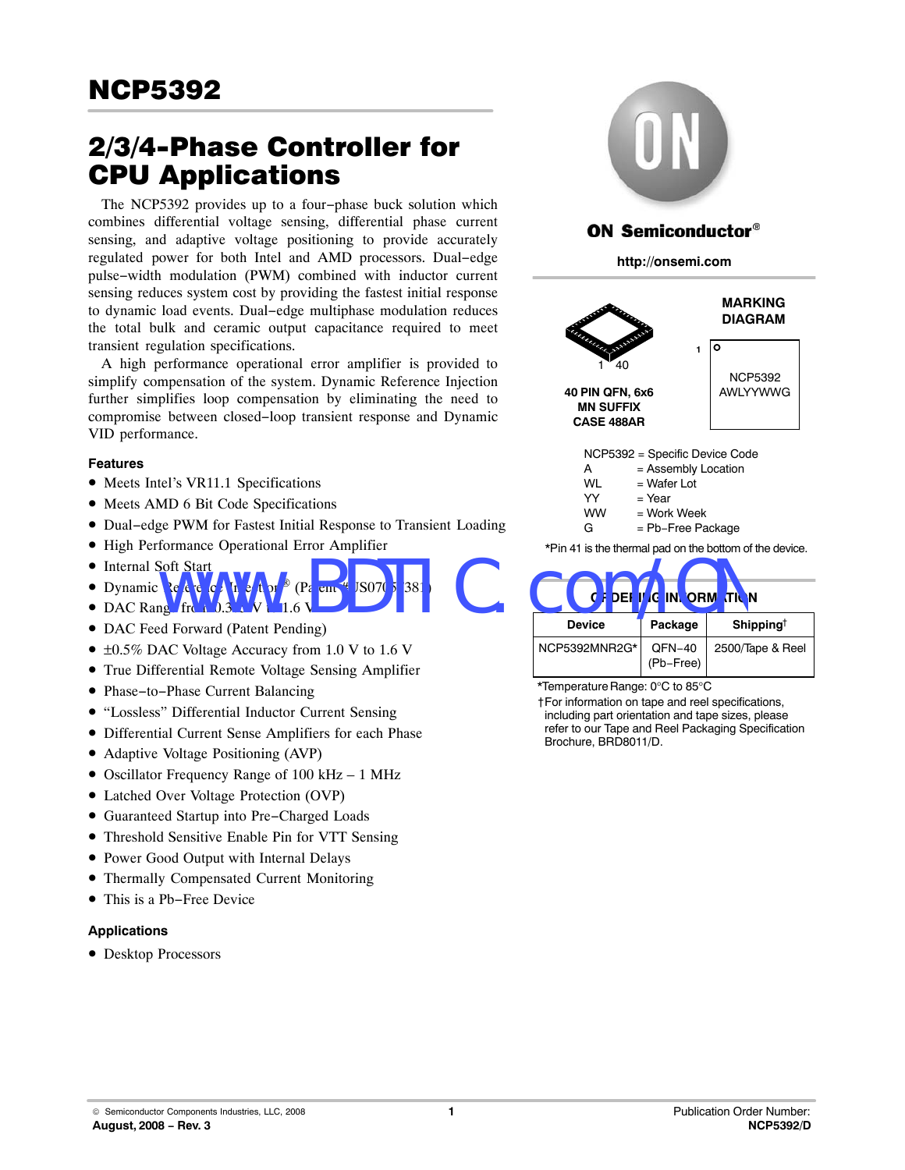## 2/3/4-Phase Controller for CPU Applications

The NCP5392 provides up to a four−phase buck solution which combines differential voltage sensing, differential phase current sensing, and adaptive voltage positioning to provide accurately regulated power for both Intel and AMD processors. Dual−edge pulse−width modulation (PWM) combined with inductor current sensing reduces system cost by providing the fastest initial response to dynamic load events. Dual−edge multiphase modulation reduces the total bulk and ceramic output capacitance required to meet transient regulation specifications.

A high performance operational error amplifier is provided to simplify compensation of the system. Dynamic Reference Injection further simplifies loop compensation by eliminating the need to compromise between closed−loop transient response and Dynamic VID performance.

#### **Features**

- Meets Intel's VR11.1 Specifications
- Meets AMD 6 Bit Code Specifications
- Dual−edge PWM for Fastest Initial Response to Transient Loading
- High Performance Operational Error Amplifier
- Internal Soft Start
- Dynamic Reference Injection<sup>®</sup>
- $\bullet$  DAC Rang  $V$  from 0.3  $\bullet$  W  $\bullet$  1.6
- DAC Feed Forward (Patent Pending)
- ±0.5% DAC Voltage Accuracy from 1.0 V to 1.6 V
- True Differential Remote Voltage Sensing Amplifier
- Phase−to−Phase Current Balancing
- "Lossless" Differential Inductor Current Sensing
- Differential Current Sense Amplifiers for each Phase
- Adaptive Voltage Positioning (AVP)
- Oscillator Frequency Range of 100 kHz 1 MHz
- Latched Over Voltage Protection (OVP)
- Guaranteed Startup into Pre−Charged Loads
- Threshold Sensitive Enable Pin for VTT Sensing
- Power Good Output with Internal Delays
- Thermally Compensated Current Monitoring
- This is a Pb−Free Device

#### **Applications**

• Desktop Processors



## ON Semiconductor®

**http://onsemi.com**







\*Temperature Range: 0°C to 85°C

†For information on tape and reel specifications, including part orientation and tape sizes, please refer to our Tape and Reel Packaging Specification Brochure, BRD8011/D.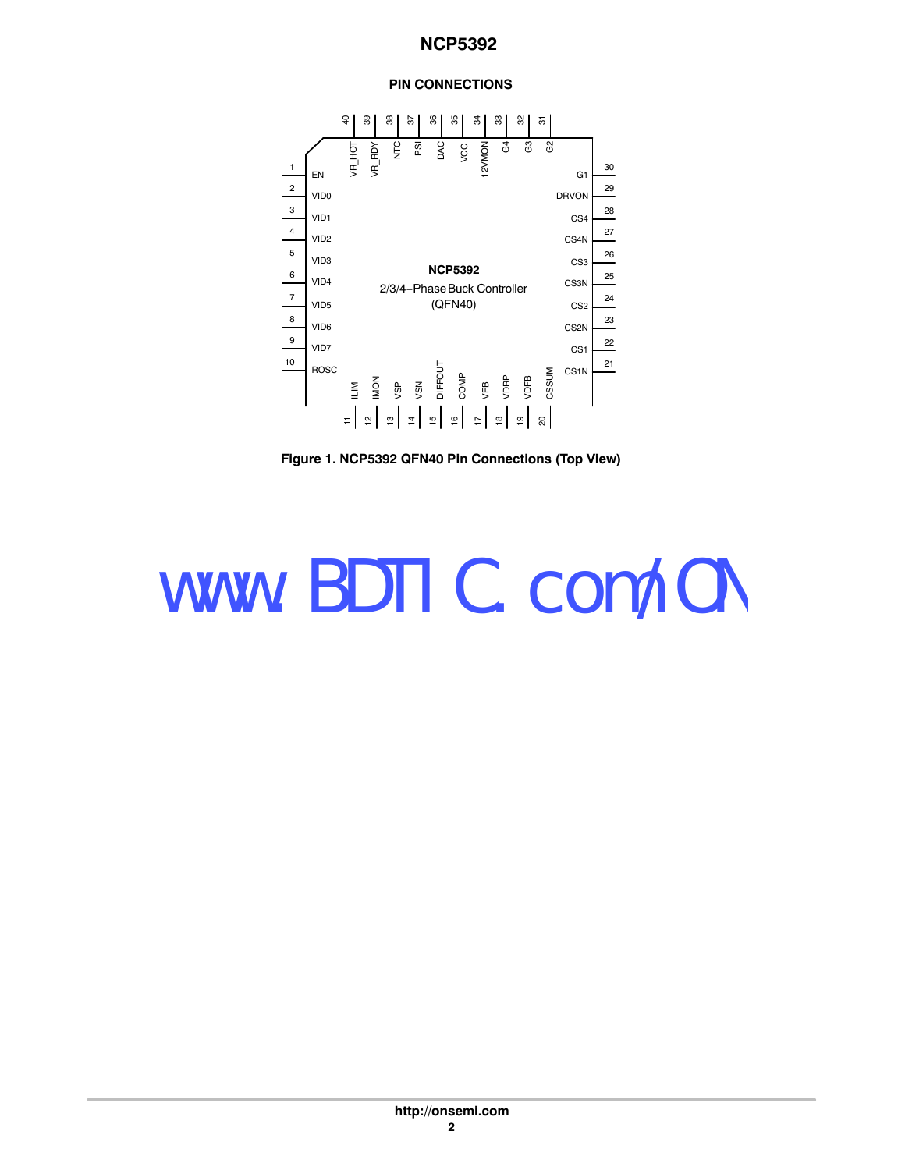## **PIN CONNECTIONS**



**Figure 1. NCP5392 QFN40 Pin Connections (Top View)**

## www.BDTIC.com/ON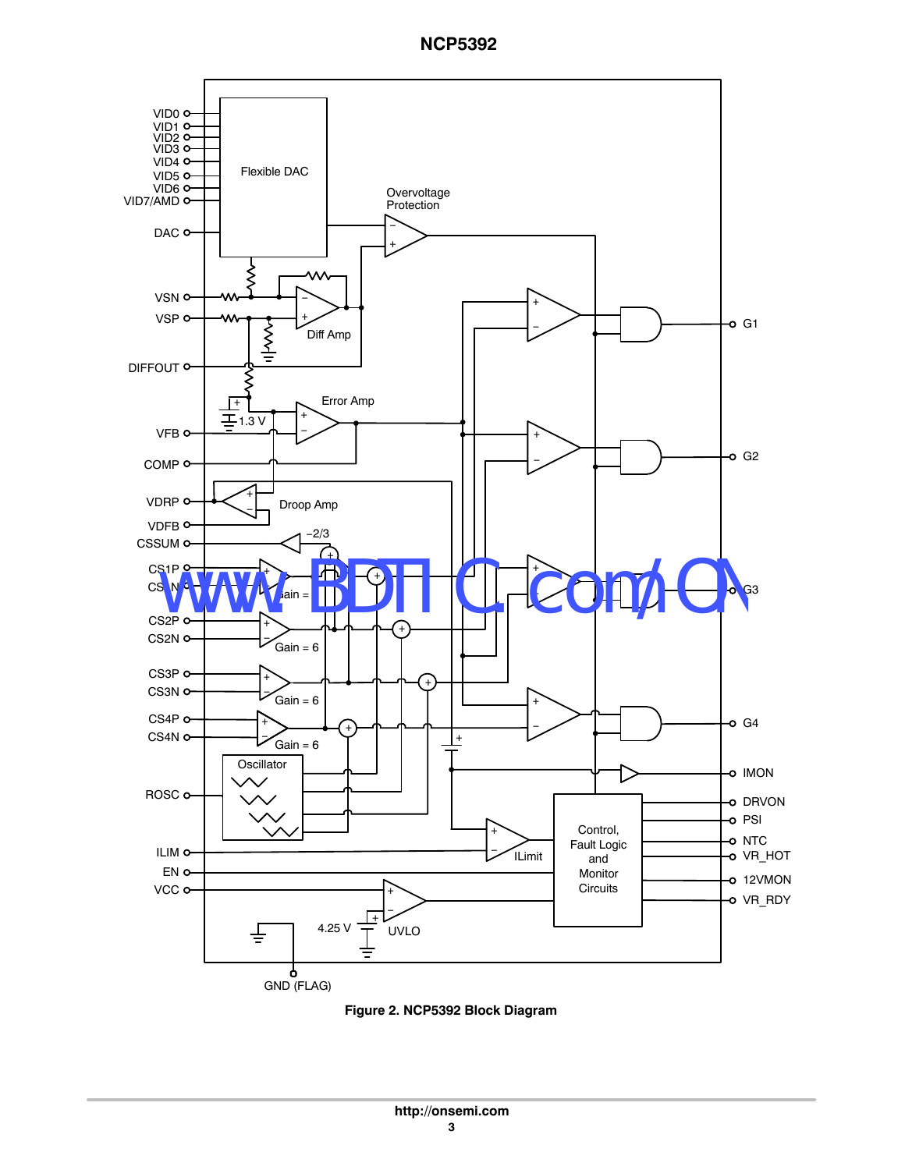

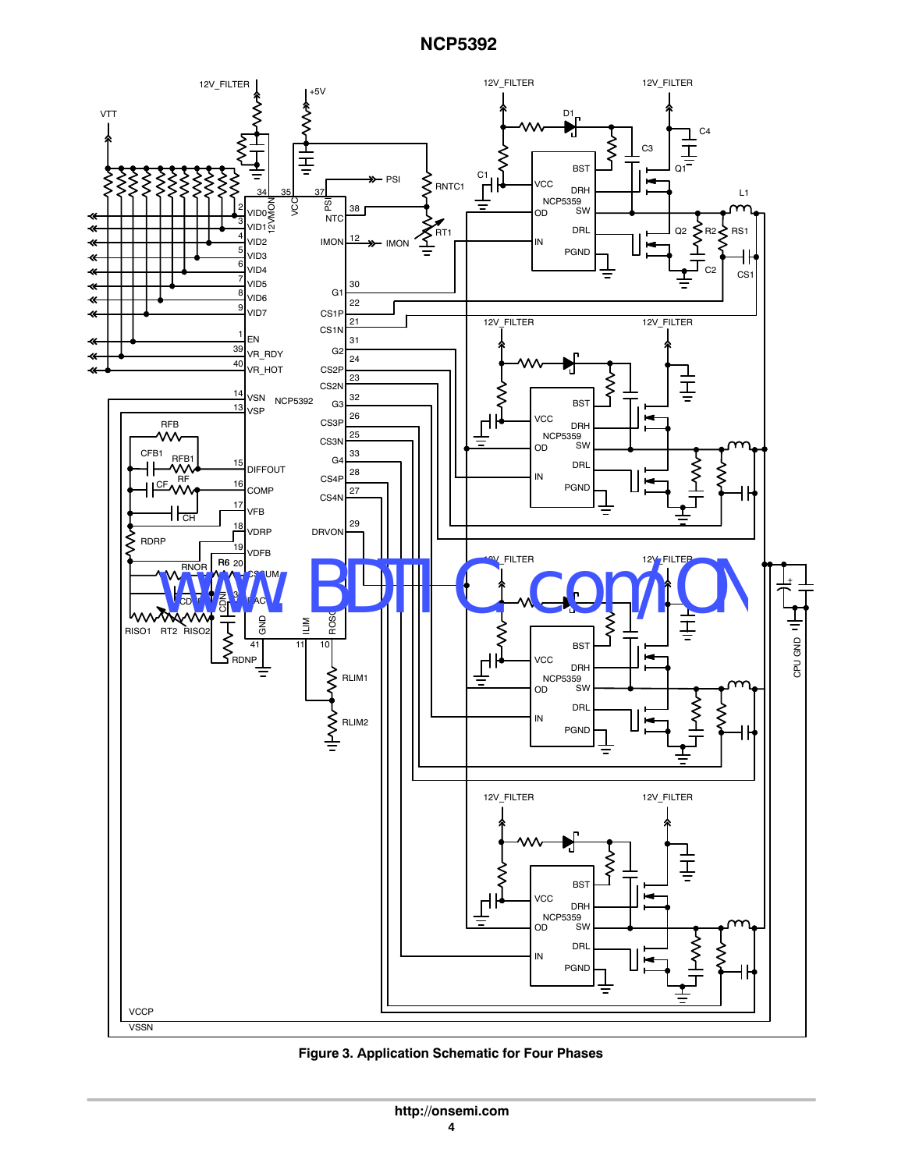

**Figure 3. Application Schematic for Four Phases**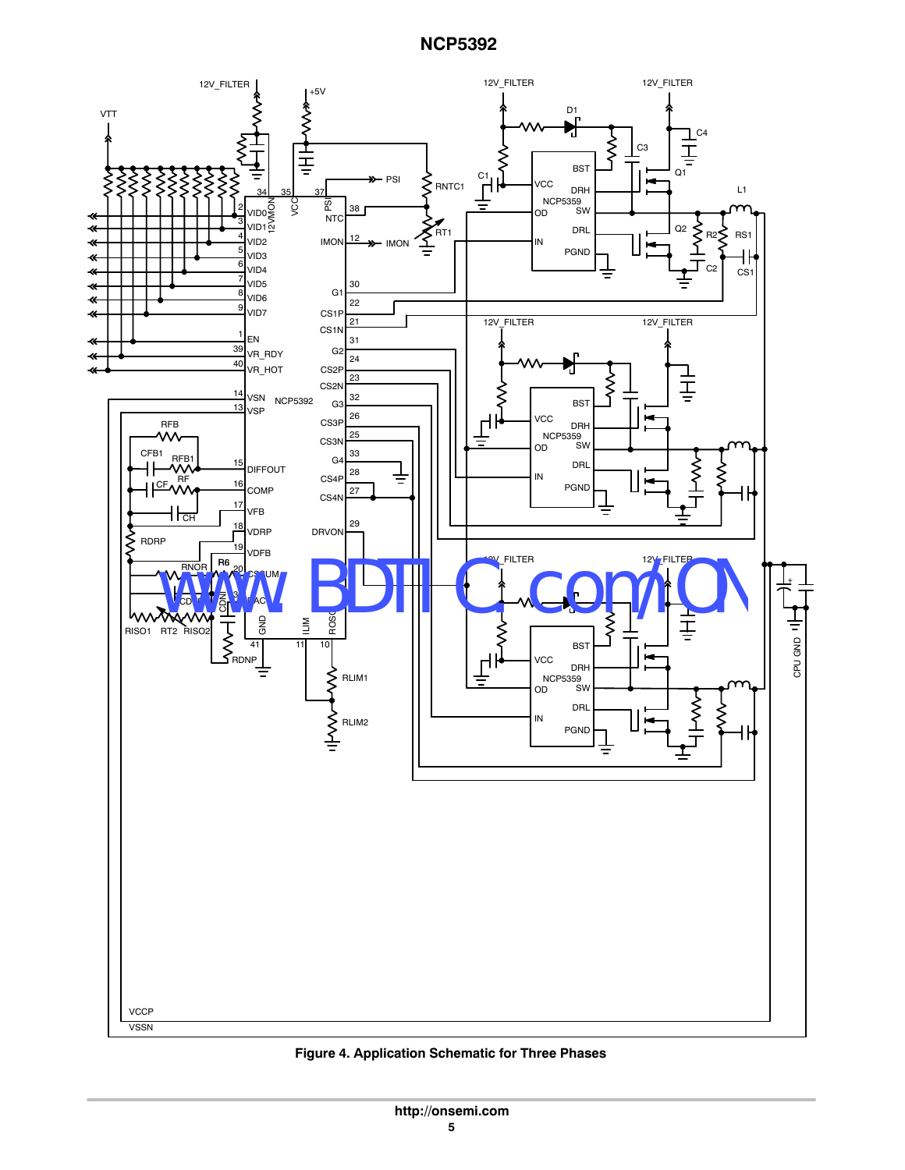

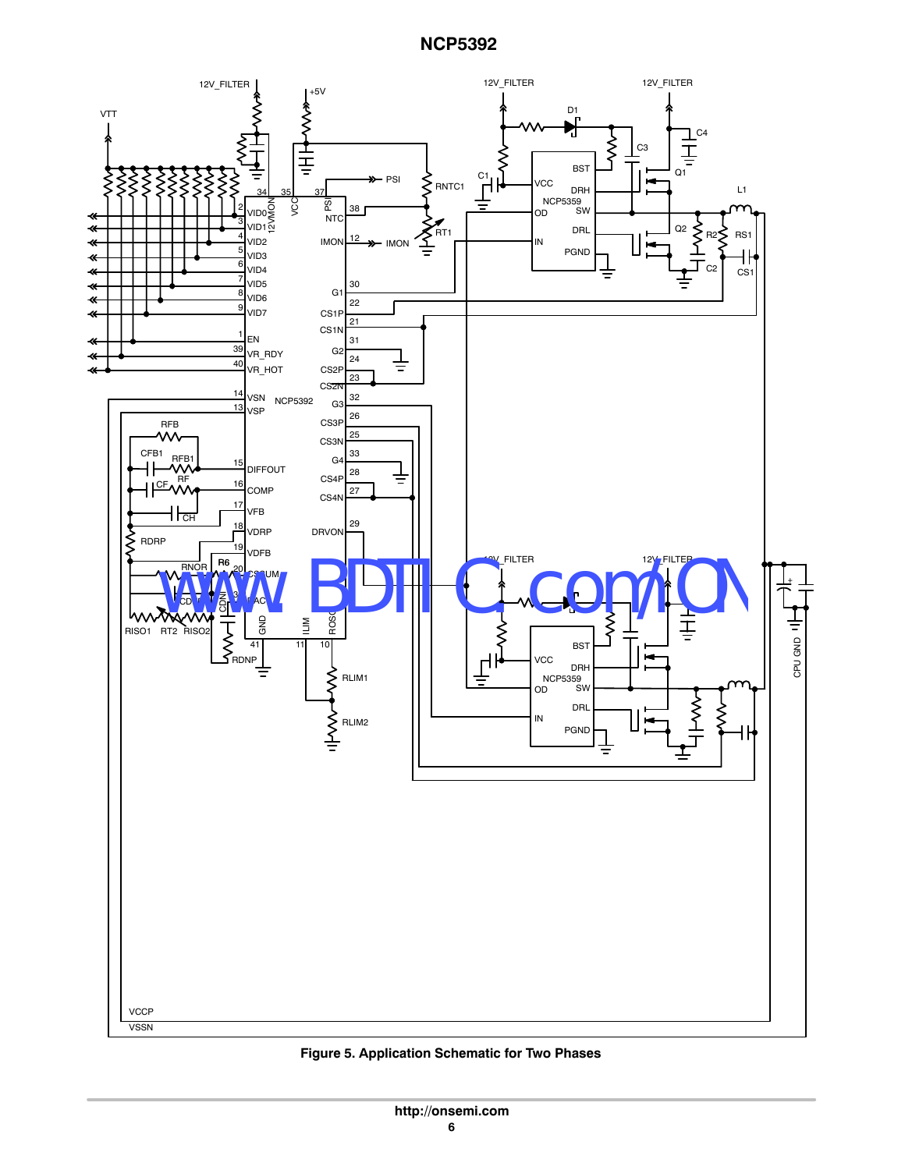

**Figure 5. Application Schematic for Two Phases**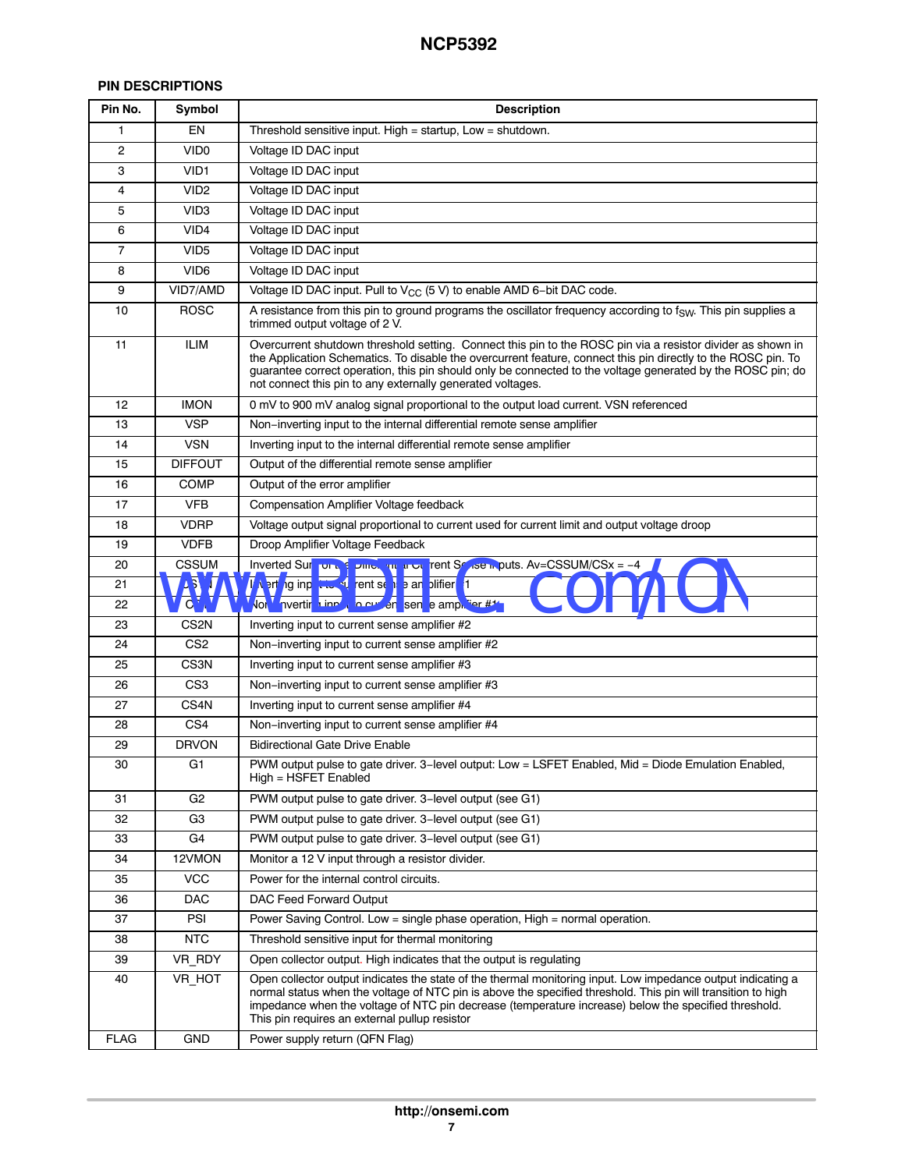## **PIN DESCRIPTIONS**

| Pin No.        | Symbol           | <b>Description</b>                                                                                                                                                                                                                                                                                                                                                                                        |
|----------------|------------------|-----------------------------------------------------------------------------------------------------------------------------------------------------------------------------------------------------------------------------------------------------------------------------------------------------------------------------------------------------------------------------------------------------------|
| 1              | EN               | Threshold sensitive input. High = startup, Low = shutdown.                                                                                                                                                                                                                                                                                                                                                |
| $\overline{c}$ | VID <sub>0</sub> | Voltage ID DAC input                                                                                                                                                                                                                                                                                                                                                                                      |
| 3              | VID <sub>1</sub> | Voltage ID DAC input                                                                                                                                                                                                                                                                                                                                                                                      |
| 4              | VID <sub>2</sub> | Voltage ID DAC input                                                                                                                                                                                                                                                                                                                                                                                      |
| 5              | VID <sub>3</sub> | Voltage ID DAC input                                                                                                                                                                                                                                                                                                                                                                                      |
| 6              | VID <sub>4</sub> | Voltage ID DAC input                                                                                                                                                                                                                                                                                                                                                                                      |
| $\overline{7}$ | VID <sub>5</sub> | Voltage ID DAC input                                                                                                                                                                                                                                                                                                                                                                                      |
| 8              | VID <sub>6</sub> | Voltage ID DAC input                                                                                                                                                                                                                                                                                                                                                                                      |
| 9              | VID7/AMD         | Voltage ID DAC input. Pull to $V_{CC}$ (5 V) to enable AMD 6-bit DAC code.                                                                                                                                                                                                                                                                                                                                |
| 10             | <b>ROSC</b>      | A resistance from this pin to ground programs the oscillator frequency according to $f_{SW}$ . This pin supplies a<br>trimmed output voltage of 2 V.                                                                                                                                                                                                                                                      |
| 11             | <b>ILIM</b>      | Overcurrent shutdown threshold setting. Connect this pin to the ROSC pin via a resistor divider as shown in<br>the Application Schematics. To disable the overcurrent feature, connect this pin directly to the ROSC pin. To<br>guarantee correct operation, this pin should only be connected to the voltage generated by the ROSC pin; do<br>not connect this pin to any externally generated voltages. |
| 12             | <b>IMON</b>      | 0 mV to 900 mV analog signal proportional to the output load current. VSN referenced                                                                                                                                                                                                                                                                                                                      |
| 13             | <b>VSP</b>       | Non-inverting input to the internal differential remote sense amplifier                                                                                                                                                                                                                                                                                                                                   |
| 14             | <b>VSN</b>       | Inverting input to the internal differential remote sense amplifier                                                                                                                                                                                                                                                                                                                                       |
| 15             | <b>DIFFOUT</b>   | Output of the differential remote sense amplifier                                                                                                                                                                                                                                                                                                                                                         |
| 16             | <b>COMP</b>      | Output of the error amplifier                                                                                                                                                                                                                                                                                                                                                                             |
| 17             | <b>VFB</b>       | Compensation Amplifier Voltage feedback                                                                                                                                                                                                                                                                                                                                                                   |
| 18             | <b>VDRP</b>      | Voltage output signal proportional to current used for current limit and output voltage droop                                                                                                                                                                                                                                                                                                             |
| 19             | <b>VDFB</b>      | Droop Amplifier Voltage Feedback                                                                                                                                                                                                                                                                                                                                                                          |
| 20             | <b>CSSUM</b>     | Inverted Sure on the Dimeterial uncertainty fent Scale of puts. Av=CSSUM/CSx = -4                                                                                                                                                                                                                                                                                                                         |
| 21             | <b>ASM</b>       | In erting inp the current sense an plifier #1                                                                                                                                                                                                                                                                                                                                                             |
| 22             | <b>VOMV</b>      | Von Vinvertir 1 input o curven sen e amp. fier #/                                                                                                                                                                                                                                                                                                                                                         |
| 23             | CS <sub>2N</sub> | Inverting input to current sense amplifier #2                                                                                                                                                                                                                                                                                                                                                             |
| 24             | CS <sub>2</sub>  | Non–inverting input to current sense amplifier #2                                                                                                                                                                                                                                                                                                                                                         |
| 25             | CS <sub>3N</sub> | Inverting input to current sense amplifier #3                                                                                                                                                                                                                                                                                                                                                             |
| 26             | CS <sub>3</sub>  | Non-inverting input to current sense amplifier #3                                                                                                                                                                                                                                                                                                                                                         |
| 27             | CS <sub>4N</sub> | Inverting input to current sense amplifier #4                                                                                                                                                                                                                                                                                                                                                             |
| 28             | CS <sub>4</sub>  | Non-inverting input to current sense amplifier #4                                                                                                                                                                                                                                                                                                                                                         |
| 29             | <b>DRVON</b>     | <b>Bidirectional Gate Drive Enable</b>                                                                                                                                                                                                                                                                                                                                                                    |
| 30             | G <sub>1</sub>   | PWM output pulse to gate driver. 3-level output: Low = LSFET Enabled, Mid = Diode Emulation Enabled,<br>High = HSFET Enabled                                                                                                                                                                                                                                                                              |
| 31             | G <sub>2</sub>   | PWM output pulse to gate driver. 3-level output (see G1)                                                                                                                                                                                                                                                                                                                                                  |
| 32             | G <sub>3</sub>   | PWM output pulse to gate driver. 3-level output (see G1)                                                                                                                                                                                                                                                                                                                                                  |
| 33             | G <sub>4</sub>   | PWM output pulse to gate driver. 3-level output (see G1)                                                                                                                                                                                                                                                                                                                                                  |
| 34             | 12VMON           | Monitor a 12 V input through a resistor divider.                                                                                                                                                                                                                                                                                                                                                          |
| 35             | <b>VCC</b>       | Power for the internal control circuits.                                                                                                                                                                                                                                                                                                                                                                  |
| 36             | <b>DAC</b>       | DAC Feed Forward Output                                                                                                                                                                                                                                                                                                                                                                                   |
| 37             | PSI              | Power Saving Control. Low = single phase operation, $High = normal operation$ .                                                                                                                                                                                                                                                                                                                           |
| 38             | <b>NTC</b>       | Threshold sensitive input for thermal monitoring                                                                                                                                                                                                                                                                                                                                                          |
| 39             | VR_RDY           | Open collector output. High indicates that the output is regulating                                                                                                                                                                                                                                                                                                                                       |
| 40             | VR_HOT           | Open collector output indicates the state of the thermal monitoring input. Low impedance output indicating a<br>normal status when the voltage of NTC pin is above the specified threshold. This pin will transition to high<br>impedance when the voltage of NTC pin decrease (temperature increase) below the specified threshold.<br>This pin requires an external pullup resistor                     |
| <b>FLAG</b>    | GND              | Power supply return (QFN Flag)                                                                                                                                                                                                                                                                                                                                                                            |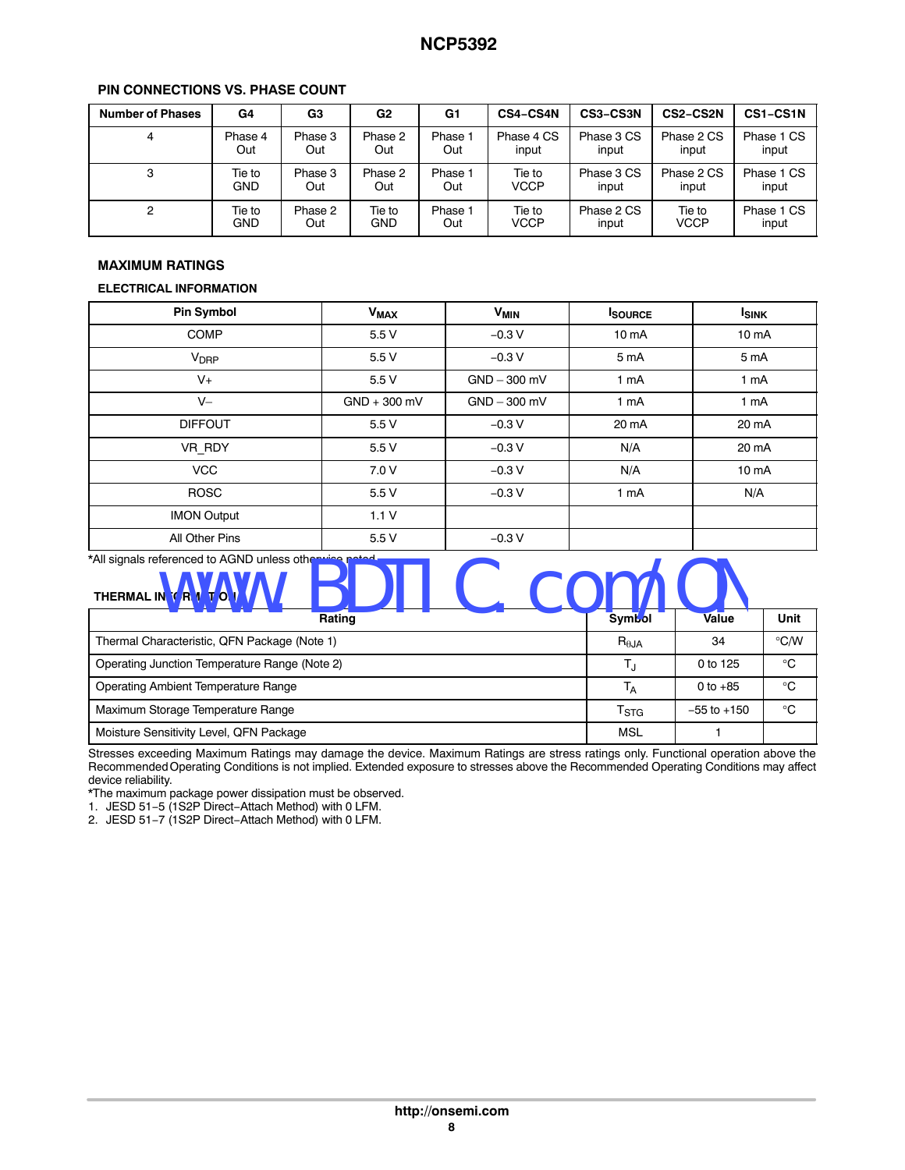| <b>Number of Phases</b> | G4         | G3      | G <sub>2</sub> | G1      | <b>CS4-CS4N</b> | CS3-CS3N   | CS2-CS2N   | CS1-CS1N   |
|-------------------------|------------|---------|----------------|---------|-----------------|------------|------------|------------|
| 4                       | Phase 4    | Phase 3 | Phase 2        | Phase 1 | Phase 4 CS      | Phase 3 CS | Phase 2 CS | Phase 1 CS |
|                         | Out        | Out     | Out            | Out     | input           | input      | input      | input      |
| 3                       | Tie to     | Phase 3 | Phase 2        | Phase 1 | Tie to          | Phase 3 CS | Phase 2 CS | Phase 1 CS |
|                         | GND        | Out     | Out            | Out     | VCCP            | input      | input      | input      |
| 2                       | Tie to     | Phase 2 | Tie to         | Phase 1 | Tie to          | Phase 2 CS | Tie to     | Phase 1 CS |
|                         | <b>GND</b> | Out     | <b>GND</b>     | Out     | VCCP            | input      | VCCP       | input      |

#### **PIN CONNECTIONS VS. PHASE COUNT**

#### **MAXIMUM RATINGS**

#### **ELECTRICAL INFORMATION**

| <b>Pin Symbol</b>      | <b>V<sub>MAX</sub></b> | <b>V<sub>MIN</sub></b> | <b>ISOURCE</b>    | <b>I</b> SINK     |
|------------------------|------------------------|------------------------|-------------------|-------------------|
| COMP                   | 5.5V                   | $-0.3V$                | 10 <sub>m</sub> A | 10 <sub>m</sub> A |
| <b>V<sub>DRP</sub></b> | 5.5 V                  | $-0.3V$                | 5 mA              | 5 mA              |
| $V_{+}$                | 5.5V                   | $GND - 300$ mV         | 1 mA              | 1 mA              |
| $V -$                  | $GND + 300$ mV         | $GND - 300$ mV         | 1 mA              | 1 mA              |
| <b>DIFFOUT</b>         | 5.5 V                  | $-0.3V$                | 20 mA             | 20 mA             |
| VR RDY                 | 5.5V                   | $-0.3V$                | N/A               | 20 mA             |
| <b>VCC</b>             | 7.0 V                  | $-0.3V$                | N/A               | 10 <sub>m</sub> A |
| <b>ROSC</b>            | 5.5V                   | $-0.3V$                | 1 mA              | N/A               |
| <b>IMON Output</b>     | 1.1V                   |                        |                   |                   |
| All Other Pins         | 5.5 V                  | $-0.3 V$               |                   |                   |

### \*All signals referenced to AGND unless otherwise noted.

| *All signals referenced to AGND unless otherwise noted<br>THERMAL IN OR ATIO |                           |                 |               |
|------------------------------------------------------------------------------|---------------------------|-----------------|---------------|
| Rating                                                                       | <b>Symbol</b>             | Value           | Unit          |
| Thermal Characteristic, QFN Package (Note 1)                                 | $R_{\theta$ JA            | 34              | $\degree$ C/W |
| Operating Junction Temperature Range (Note 2)                                |                           | 0 to 125        | $^{\circ}C$   |
| Operating Ambient Temperature Range                                          | T <sub>A</sub>            | 0 to $+85$      | $^{\circ}C$   |
| Maximum Storage Temperature Range                                            | $\mathsf{T}_{\text{STG}}$ | $-55$ to $+150$ | $^{\circ}C$   |
| Moisture Sensitivity Level, QFN Package                                      | MSL                       |                 |               |

Stresses exceeding Maximum Ratings may damage the device. Maximum Ratings are stress ratings only. Functional operation above the Recommended Operating Conditions is not implied. Extended exposure to stresses above the Recommended Operating Conditions may affect device reliability.

\*The maximum package power dissipation must be observed.

1. JESD 51−5 (1S2P Direct−Attach Method) with 0 LFM.

2. JESD 51−7 (1S2P Direct−Attach Method) with 0 LFM.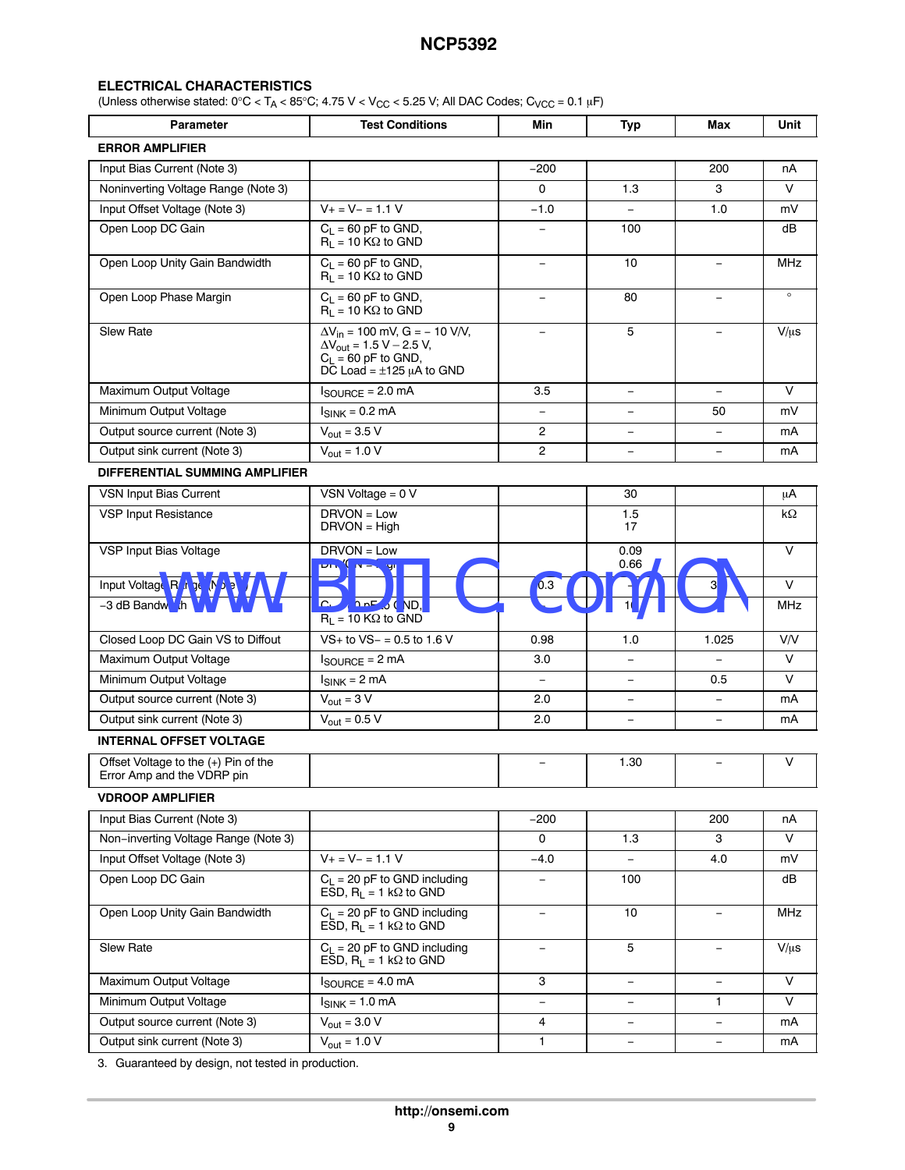#### **ELECTRICAL CHARACTERISTICS**

(Unless otherwise stated:  $0^{\circ}C < T_A < 85^{\circ}C$ ; 4.75 V < V<sub>CC</sub> < 5.25 V; All DAC Codes; C<sub>VCC</sub> = 0.1 µF)

| <b>Parameter</b>                                                   | <b>Test Conditions</b>                                                                                                                        |                          |                          |                          | Unit       |
|--------------------------------------------------------------------|-----------------------------------------------------------------------------------------------------------------------------------------------|--------------------------|--------------------------|--------------------------|------------|
| <b>ERROR AMPLIFIER</b>                                             |                                                                                                                                               |                          |                          |                          |            |
| Input Bias Current (Note 3)                                        |                                                                                                                                               | $-200$                   |                          | 200                      | nA         |
| Noninverting Voltage Range (Note 3)                                |                                                                                                                                               | 0                        | 1.3                      | 3                        | V          |
| Input Offset Voltage (Note 3)                                      | $V_+ = V_- = 1.1 V$                                                                                                                           | $-1.0$                   | $\equiv$                 | 1.0                      | mV         |
| Open Loop DC Gain                                                  | $C_1 = 60$ pF to GND,<br>$R_1 = 10 K\Omega$ to GND                                                                                            | -                        | 100                      |                          | dB         |
| Open Loop Unity Gain Bandwidth                                     | $C_L$ = 60 pF to GND,<br>$R_1 = 10 K\Omega$ to GND                                                                                            | $\overline{\phantom{a}}$ | 10                       | $\overline{\phantom{m}}$ | <b>MHz</b> |
| Open Loop Phase Margin                                             | $C_L$ = 60 pF to GND,<br>$R_1 = 10 K\Omega$ to GND                                                                                            | $\equiv$                 | 80                       | $\qquad \qquad -$        | $\circ$    |
| <b>Slew Rate</b>                                                   | $\Delta V_{in} = 100$ mV, G = - 10 V/V,<br>$\Delta V_{\text{out}} = 1.5 V - 2.5 V,$<br>$C_L$ = 60 pF to GND,<br>DC Load = $\pm$ 125 µA to GND | $\equiv$                 | 5                        | $\overline{\phantom{m}}$ | $V/\mu s$  |
| Maximum Output Voltage                                             | $I_{\text{SOURCE}} = 2.0 \text{ mA}$                                                                                                          | 3.5                      | $\overline{\phantom{0}}$ |                          | V          |
| Minimum Output Voltage                                             | $I_{\text{SINK}}$ = 0.2 mA                                                                                                                    | $\equiv$                 | $\equiv$                 | 50                       | mV         |
| Output source current (Note 3)                                     | $V_{\text{out}} = 3.5 \, \overline{V}$                                                                                                        | $\overline{c}$           | $\overline{\phantom{0}}$ | $\qquad \qquad -$        | mA         |
| Output sink current (Note 3)                                       | $V_{\text{out}} = 1.0 V$                                                                                                                      | $\mathbf{2}$             | $\equiv$                 | $\qquad \qquad -$        | mA         |
| DIFFERENTIAL SUMMING AMPLIFIER                                     |                                                                                                                                               |                          |                          |                          |            |
| VSN Input Bias Current                                             | VSN Voltage = $0 V$                                                                                                                           |                          | 30                       |                          | μA         |
| <b>VSP Input Resistance</b>                                        | $DRVON = Low$<br>$DRVON = High$                                                                                                               |                          | 1.5<br>17                |                          | kΩ         |
| VSP Input Bias Voltage                                             | DRVON = Low<br><b>Dr.</b> UN = Ugn                                                                                                            |                          | 0.09<br>0.66             |                          | $\vee$     |
| Input Voltage Ra, ge (N) a                                         |                                                                                                                                               | 0.3                      |                          | 3                        | $\vee$     |
| -3 dB Bandwi <sup>V</sup> th                                       | $C_1$ $\downarrow$ 0 pF $\circ$ $\circ$ ND,<br>$R_1 = 10 K\Omega$ to GND                                                                      |                          |                          |                          | MHz        |
| Closed Loop DC Gain VS to Diffout                                  | $VS +$ to $VS - = 0.5$ to 1.6 V                                                                                                               | 0.98                     | 1.0                      | 1.025                    | V/V        |
| Maximum Output Voltage                                             | $I_{\text{SOURCE}} = 2 \text{ mA}$                                                                                                            | 3.0                      | $\equiv$                 | $\overline{\phantom{0}}$ | $\vee$     |
| Minimum Output Voltage                                             | $I_{SINK} = 2 mA$                                                                                                                             | $\equiv$                 | $\overline{\phantom{m}}$ | 0.5                      | V          |
| Output source current (Note 3)                                     | $V_{\text{out}} = 3 V$                                                                                                                        | 2.0                      | $\equiv$                 | $\equiv$                 | mA         |
| Output sink current (Note 3)                                       | $V_{\text{out}} = 0.5 \overline{V}$                                                                                                           | 2.0                      | $\overline{\phantom{m}}$ | $\qquad \qquad -$        | mA         |
| <b>INTERNAL OFFSET VOLTAGE</b>                                     |                                                                                                                                               |                          |                          |                          |            |
| Offset Voltage to the (+) Pin of the<br>Error Amp and the VDRP pin |                                                                                                                                               |                          | 1.30                     |                          | V          |
| <b>VDROOP AMPLIFIER</b>                                            |                                                                                                                                               |                          |                          |                          |            |
| Input Bias Current (Note 3)                                        |                                                                                                                                               | $-200$                   |                          | 200                      | nA         |
| Non-inverting Voltage Range (Note 3)                               |                                                                                                                                               | 0                        | 1.3                      | 3                        | V          |
| Input Offset Voltage (Note 3)                                      | $V_+ = V_- = 1.1 V$                                                                                                                           | $-4.0$                   |                          | 4.0                      | mV         |
| Open Loop DC Gain                                                  | $C_L$ = 20 pF to GND including<br>ESD, $R_L = 1 k\Omega$ to GND                                                                               | -                        | 100                      |                          | dB         |
| Open Loop Unity Gain Bandwidth                                     | $C_L$ = 20 pF to GND including<br>ESD, $R_L = 1 k\Omega$ to GND                                                                               | $\overline{\phantom{0}}$ | 10                       |                          | MHz        |
| Slew Rate                                                          | $C_L = 20$ pF to GND including<br>$\overline{ESD}$ , $R_L = 1$ kΩ to GND                                                                      | $\qquad \qquad -$        | 5                        | $\overline{\phantom{0}}$ | $V/\mu s$  |
| Maximum Output Voltage                                             | $I_{\text{SOURCE}} = 4.0 \text{ mA}$                                                                                                          | 3                        | $\overline{\phantom{0}}$ | $\overline{\phantom{a}}$ | $\vee$     |
| Minimum Output Voltage                                             | $I_{SINK} = 1.0 \text{ mA}$                                                                                                                   | $\equiv$                 |                          | 1                        | V          |
| Output source current (Note 3)                                     | $V_{\text{out}} = 3.0 V$                                                                                                                      | 4                        | $\qquad \qquad -$        | $\qquad \qquad -$        | mA         |
| Output sink current (Note 3)                                       | $V_{\text{out}} = 1.0 V$                                                                                                                      | 1                        | $\overline{\phantom{0}}$ | $\qquad \qquad -$        | mA         |

[3.](#page-12-0) Guaranteed by design, not tested in production.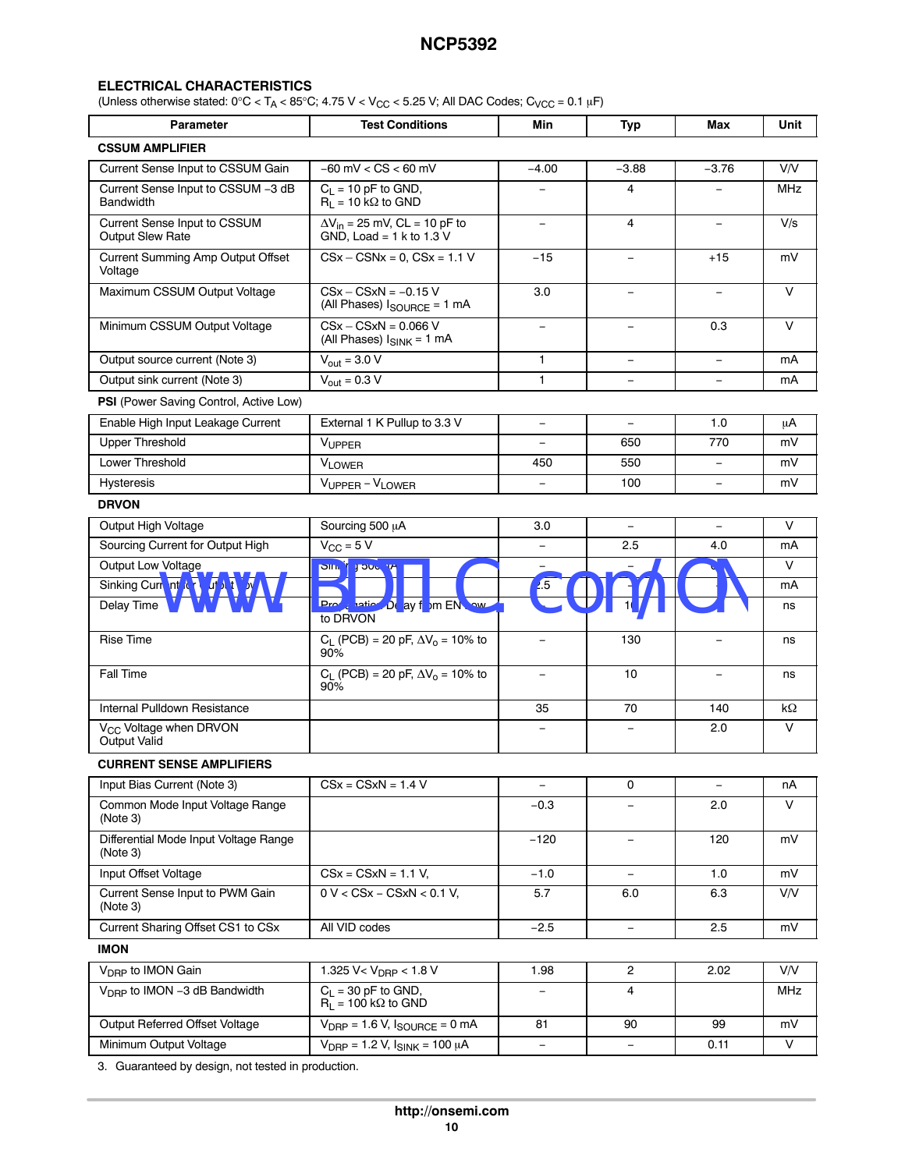#### **ELECTRICAL CHARACTERISTICS**

(Unless otherwise stated:  $0^{\circ}C < T_A < 85^{\circ}C$ ; 4.75 V < V<sub>CC</sub> < 5.25 V; All DAC Codes; C<sub>VCC</sub> = 0.1 µF)

| <b>Parameter</b>                                               | <b>Test Conditions</b>                                                    | Min                      | <b>Typ</b>               | Max                      | Unit       |
|----------------------------------------------------------------|---------------------------------------------------------------------------|--------------------------|--------------------------|--------------------------|------------|
| <b>CSSUM AMPLIFIER</b>                                         |                                                                           |                          |                          |                          |            |
| Current Sense Input to CSSUM Gain                              | $-60$ mV $<$ CS $<$ 60 mV                                                 | $-4.00$                  | $-3.88$                  | $-3.76$                  | V/V        |
| Current Sense Input to CSSUM -3 dB<br><b>Bandwidth</b>         | $C_L$ = 10 pF to GND,<br>$R_1 = 10 k\Omega$ to GND                        | $\equiv$                 | 4                        |                          | <b>MHz</b> |
| <b>Current Sense Input to CSSUM</b><br><b>Output Slew Rate</b> | $\Delta V_{in}$ = 25 mV, CL = 10 pF to<br>GND, Load = $1$ k to $1.3$ V    | ÷,                       | 4                        | $\overline{\phantom{0}}$ | V/s        |
| Current Summing Amp Output Offset<br>Voltage                   | $CSx - CSNx = 0$ , $CSx = 1.1 V$                                          | $-15$                    |                          | $+15$                    | mV         |
| Maximum CSSUM Output Voltage                                   | $CSx - CSxN = -0.15 V$<br>(All Phases) $I_{\text{SOURCE}} = 1 \text{ mA}$ | 3.0                      |                          | $\overline{\phantom{0}}$ | V          |
| Minimum CSSUM Output Voltage                                   | $CSx - CSxN = 0.066 V$<br>(All Phases) $I_{SINK} = 1 mA$                  | $\equiv$                 | $\equiv$                 | 0.3                      | $\vee$     |
| Output source current (Note 3)                                 | $V_{\text{out}} = 3.0 \, \overline{V}$                                    | 1                        | $\qquad \qquad -$        | $\qquad \qquad -$        | mA         |
| Output sink current (Note 3)                                   | $V_{\text{out}} = 0.3 V$                                                  | $\mathbf{1}$             | $\overline{\phantom{0}}$ | $\equiv$                 | mA         |
| PSI (Power Saving Control, Active Low)                         |                                                                           |                          |                          |                          |            |
| Enable High Input Leakage Current                              | External 1 K Pullup to 3.3 V                                              | $\qquad \qquad -$        | $\qquad \qquad -$        | 1.0                      | μA         |
| <b>Upper Threshold</b>                                         | VUPPER                                                                    |                          | 650                      | 770                      | mV         |
| Lower Threshold                                                | <b>VLOWER</b>                                                             | 450                      | 550                      | $\overline{\phantom{0}}$ | mV         |
| <b>Hysteresis</b>                                              | VUPPER - VLOWER                                                           | $\overline{\phantom{a}}$ | 100                      | $\qquad \qquad -$        | mV         |
| <b>DRVON</b>                                                   |                                                                           |                          |                          |                          |            |
| Output High Voltage                                            | Sourcing 500 µA                                                           | 3.0                      | $\equiv$                 | $\overline{\phantom{0}}$ | V          |
| Sourcing Current for Output High                               | $V_{CC}$ = 5 V                                                            | $\qquad \qquad -$        | 2.5                      | 4.0                      | mA         |
| Output Low Voltage                                             | Sin in J but uA                                                           | ÷,                       |                          |                          | $\vee$     |
| Sinking Current relation 10 You                                |                                                                           | 2.5                      |                          |                          | mA         |
| Delay Time                                                     | Prove lation De ay from EN Low<br>to DRVON                                |                          |                          |                          | ns         |
| <b>Rise Time</b>                                               | $C_L$ (PCB) = 20 pF, $\Delta V_0$ = 10% to<br>90%                         | $\overline{\phantom{0}}$ | 130                      |                          | ns         |
| Fall Time                                                      | $C_L$ (PCB) = 20 pF, $\Delta V_0$ = 10% to<br>90%                         | $\equiv$                 | 10                       |                          | ns         |
| Internal Pulldown Resistance                                   |                                                                           | 35                       | 70                       | 140                      | $k\Omega$  |
| V <sub>CC</sub> Voltage when DRVON<br>Output Valid             |                                                                           |                          |                          | 2.0                      | V          |
| <b>CURRENT SENSE AMPLIFIERS</b>                                |                                                                           |                          |                          |                          |            |
| Input Bias Current (Note 3)                                    | $CSx = CSxN = 1.4 V$                                                      | -                        | 0                        | $\qquad \qquad -$        | nA         |
| Common Mode Input Voltage Range<br>(Note 3)                    |                                                                           | $-0.3$                   |                          | 2.0                      | $\vee$     |
| Differential Mode Input Voltage Range<br>(Note 3)              |                                                                           | $-120$                   | $\overline{\phantom{0}}$ | 120                      | mV         |
| Input Offset Voltage                                           | $CSx = CSxN = 1.1 V,$                                                     | $-1.0$                   | $\overline{\phantom{a}}$ | 1.0                      | mV         |
| Current Sense Input to PWM Gain<br>(Note 3)                    | $0 V < CSx - CSxN < 0.1 V$ ,                                              | 5.7                      | 6.0                      | 6.3                      | V/V        |
| Current Sharing Offset CS1 to CSx                              | All VID codes                                                             | $-2.5$                   | $\overline{\phantom{0}}$ | 2.5                      | mV         |
| <b>IMON</b>                                                    |                                                                           |                          |                          |                          |            |
| V <sub>DRP</sub> to IMON Gain                                  | 1.325 V< $V_{DRP}$ < 1.8 V                                                | 1.98                     | 2                        | 2.02                     | V/V        |
| V <sub>DRP</sub> to IMON -3 dB Bandwidth                       | $C_1 = 30$ pF to GND,<br>$R_L = 100 k\Omega$ to GND                       |                          | 4                        |                          | MHz        |
| Output Referred Offset Voltage                                 | $V_{\text{DRP}} = 1.6 V$ , $I_{\text{SOURCE}} = 0 \text{ mA}$             | 81                       | 90                       | 99                       | mV         |
| Minimum Output Voltage                                         | $V_{\text{DRP}} = 1.2 V, I_{\text{SINK}} = 100 \mu A$                     | $\overline{\phantom{0}}$ |                          | 0.11                     | V          |
| 3. Guaranteed by design, not tested in production.             |                                                                           |                          |                          |                          |            |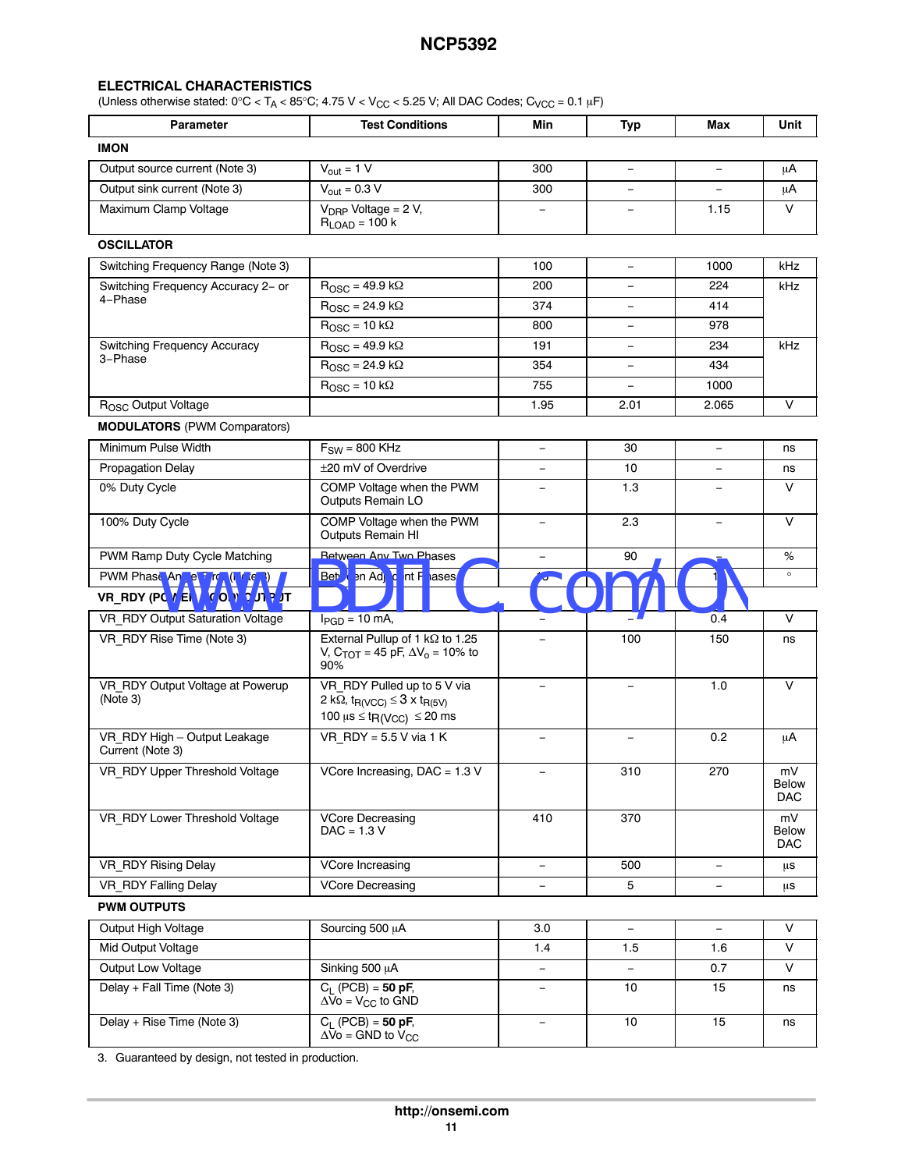#### **ELECTRICAL CHARACTERISTICS**

(Unless otherwise stated:  $0^{\circ}$ C < T<sub>A</sub> < 85 $^{\circ}$ C; 4.75 V < V<sub>CC</sub> < 5.25 V; All DAC Codes; C<sub>VCC</sub> = 0.1 µF)

| Parameter                                                       | <b>Test Conditions</b>                                                                                                                                               | Min                      | Typ                      | Max                      | Unit                      |
|-----------------------------------------------------------------|----------------------------------------------------------------------------------------------------------------------------------------------------------------------|--------------------------|--------------------------|--------------------------|---------------------------|
| <b>IMON</b>                                                     |                                                                                                                                                                      |                          |                          |                          |                           |
| Output source current (Note 3)                                  | $V_{\text{out}} = 1 \overline{V}$                                                                                                                                    | 300                      | $\equiv$                 | $\qquad \qquad -$        | μA                        |
| Output sink current (Note 3)                                    | $V_{\text{out}} = 0.3 V$                                                                                                                                             | 300                      | $\overline{\phantom{0}}$ | $\overline{\phantom{0}}$ | μA                        |
| Maximum Clamp Voltage                                           | $V_{DRP}$ Voltage = 2 V,<br>$R_{LOAD}$ = 100 k                                                                                                                       |                          |                          | 1.15                     | $\vee$                    |
| <b>OSCILLATOR</b>                                               |                                                                                                                                                                      |                          |                          |                          |                           |
| Switching Frequency Range (Note 3)                              |                                                                                                                                                                      | 100                      | $\overline{\phantom{a}}$ | 1000                     | kHz                       |
| Switching Frequency Accuracy 2- or                              | $R_{\rm OSC}$ = 49.9 k $\Omega$                                                                                                                                      | 200                      | $\equiv$                 | 224                      | kHz                       |
| 4-Phase                                                         | $R_{\rm OSC}$ = 24.9 k $\Omega$                                                                                                                                      | 374                      | $\equiv$                 | 414                      |                           |
|                                                                 | $R_{\text{OSC}} = 10 k\overline{\Omega}$                                                                                                                             | 800                      | $\equiv$                 | 978                      |                           |
| <b>Switching Frequency Accuracy</b>                             | $R_{\text{OSC}} = 49.9 \text{ k}\Omega$                                                                                                                              | 191                      | $\qquad \qquad -$        | 234                      | kHz                       |
| 3-Phase                                                         | $R_{\text{OSC}} = 24.9 \text{ k}\Omega$                                                                                                                              | 354                      | $\equiv$                 | 434                      |                           |
|                                                                 | $R_{\text{OSC}} = 10 \text{ k}\Omega$                                                                                                                                | 755                      | $-$                      | 1000                     |                           |
| R <sub>OSC</sub> Output Voltage                                 |                                                                                                                                                                      | 1.95                     | 2.01                     | 2.065                    | V                         |
| <b>MODULATORS</b> (PWM Comparators)                             |                                                                                                                                                                      |                          |                          |                          |                           |
| Minimum Pulse Width                                             | $F_{SW} = 800$ KHz                                                                                                                                                   | $\equiv$                 | 30                       | $\overline{\phantom{0}}$ | ns                        |
| <b>Propagation Delay</b>                                        | ±20 mV of Overdrive                                                                                                                                                  |                          | 10                       |                          | ns                        |
| 0% Duty Cycle                                                   | COMP Voltage when the PWM<br>Outputs Remain LO                                                                                                                       |                          | 1.3                      |                          | v                         |
| 100% Duty Cycle                                                 | COMP Voltage when the PWM<br>Outputs Remain HI                                                                                                                       | $\overline{\phantom{0}}$ | 2.3                      |                          | $\vee$                    |
| PWM Ramp Duty Cycle Matching                                    | <b>Between Any Two Phases</b>                                                                                                                                        |                          | 90                       |                          | %                         |
| PWM Phase Angle Errer (Nete 3)<br>VR RDY (PO WER A OO ) OUT PUT | Bet / an Ad to nt P lases                                                                                                                                            |                          |                          |                          | $\circ$                   |
| VR RDY Output Saturation Voltage                                | $I_{PGD}$ = 10 mA,                                                                                                                                                   |                          |                          | 0.4                      | $\vee$                    |
| VR RDY Rise Time (Note 3)                                       | External Pullup of 1 k $\Omega$ to 1.25<br>V, C <sub>TOT</sub> = 45 pF, $\Delta V_0$ = 10% to<br>90%                                                                 | $\equiv$                 | 100                      | 150                      | ns                        |
| VR RDY Output Voltage at Powerup<br>(Note 3)                    | VR RDY Pulled up to 5 V via<br>2 k $\Omega$ , t <sub>R(VCC)</sub> $\leq$ 3 x t <sub>R(5V)</sub><br>100 $\mu$ s $\leq$ t <sub>R</sub> (V <sub>CC</sub> ) $\leq$ 20 ms | $\equiv$                 | $\overline{\phantom{0}}$ | 1.0                      | $\vee$                    |
| VR RDY High - Output Leakage<br>Current (Note 3)                | VR $RDY = 5.5 V$ via 1 K                                                                                                                                             | $\overline{\phantom{m}}$ | $\overline{\phantom{a}}$ | 0.2                      | μA                        |
| VR_RDY Upper Threshold Voltage                                  | $\overline{\text{VCore}}$ Increasing, DAC = 1.3 V                                                                                                                    | $\overline{\phantom{m}}$ | 310                      | 270                      | mV<br>Below<br><b>DAC</b> |
| VR RDY Lower Threshold Voltage                                  | <b>VCore Decreasing</b><br>$DAC = 1.3 V$                                                                                                                             | 410                      | 370                      |                          | mV<br>Below<br>DAC.       |
| VR RDY Rising Delay                                             | VCore Increasing                                                                                                                                                     | $\frac{1}{2}$            | 500                      | $\overline{\phantom{0}}$ | μs                        |
| VR RDY Falling Delay                                            | <b>VCore Decreasing</b>                                                                                                                                              |                          | 5                        | $\qquad \qquad -$        | μs                        |
| <b>PWM OUTPUTS</b>                                              |                                                                                                                                                                      |                          |                          |                          |                           |
| Output High Voltage                                             | Sourcing 500 µA                                                                                                                                                      | 3.0                      |                          |                          | V                         |
| Mid Output Voltage                                              |                                                                                                                                                                      | 1.4                      | 1.5                      | 1.6                      | $\vee$                    |
| Output Low Voltage                                              | Sinking 500 µA                                                                                                                                                       | $\equiv$                 | $\equiv$                 | 0.7                      | V                         |
| Delay + Fall Time (Note 3)                                      | $C_{L}$ (PCB) = 50 pF,<br>$\Delta$ Vo = V <sub>CC</sub> to GND                                                                                                       | -                        | 10                       | 15                       | ns                        |
| Delay + Rise Time (Note 3)                                      | $C_L$ (PCB) = 50 pF,                                                                                                                                                 | $\equiv$                 | $10$                     | 15                       | ns                        |

[3.](#page-12-0) Guaranteed by design, not tested in production.

 $\Delta$ Vo = GND to V $_{\rm CC}$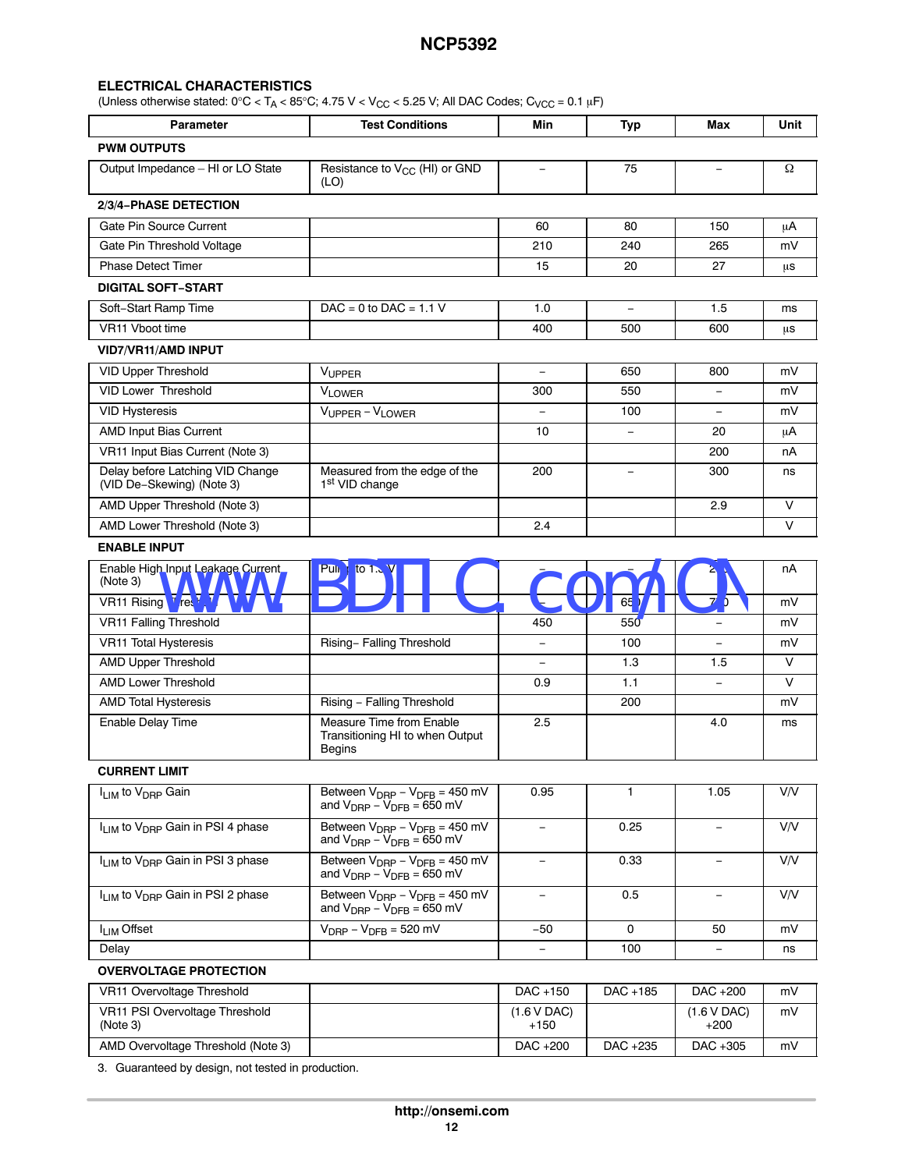#### **ELECTRICAL CHARACTERISTICS**

(Unless otherwise stated:  $0^{\circ}$ C < T<sub>A</sub> < 85°C; 4.75 V < V<sub>CC</sub> < 5.25 V; All DAC Codes; C<sub>VCC</sub> = 0.1 µF)

| <b>Parameter</b>                                              | <b>Test Conditions</b>                                                                                               | Min                      | <b>Typ</b> | Max                      | Unit   |
|---------------------------------------------------------------|----------------------------------------------------------------------------------------------------------------------|--------------------------|------------|--------------------------|--------|
| <b>PWM OUTPUTS</b>                                            |                                                                                                                      |                          |            |                          |        |
| Output Impedance - HI or LO State                             | Resistance to V <sub>CC</sub> (HI) or GND<br>(LO)                                                                    | $\equiv$                 | 75         | $\equiv$                 | Ω      |
| 2/3/4-PhASE DETECTION                                         |                                                                                                                      |                          |            |                          |        |
| Gate Pin Source Current                                       |                                                                                                                      | 60                       | 80         | 150                      | μA     |
| Gate Pin Threshold Voltage                                    |                                                                                                                      | 210                      | 240        | 265                      | mV     |
| <b>Phase Detect Timer</b>                                     |                                                                                                                      | 15                       | 20         | 27                       | μs     |
| <b>DIGITAL SOFT-START</b>                                     |                                                                                                                      |                          |            |                          |        |
| Soft-Start Ramp Time                                          | $DAC = 0$ to $DAC = 1.1$ V                                                                                           | 1.0                      | $\equiv$   | 1.5                      | ms     |
| VR11 Vboot time                                               |                                                                                                                      | 400                      | 500        | 600                      | μs     |
| <b>VID7/VR11/AMD INPUT</b>                                    |                                                                                                                      |                          |            |                          |        |
| <b>VID Upper Threshold</b>                                    | VUPPER                                                                                                               | $\equiv$                 | 650        | 800                      | mV     |
| <b>VID Lower Threshold</b>                                    | <b>VLOWER</b>                                                                                                        | 300                      | 550        | $\overline{\phantom{0}}$ | mV     |
| <b>VID Hysteresis</b>                                         | $V_{UPPER} - V_{LOWER}$                                                                                              |                          | 100        | $\equiv$                 | mV     |
| AMD Input Bias Current                                        |                                                                                                                      | 10                       |            | 20                       | μA     |
| VR11 Input Bias Current (Note 3)                              |                                                                                                                      |                          |            | 200                      | пA     |
| Delay before Latching VID Change<br>(VID De-Skewing) (Note 3) | Measured from the edge of the<br>1 <sup>st</sup> VID change                                                          | 200                      | $\equiv$   | 300                      | ns     |
| AMD Upper Threshold (Note 3)                                  |                                                                                                                      |                          |            | 2.9                      | $\vee$ |
| AMD Lower Threshold (Note 3)                                  |                                                                                                                      | 2.4                      |            |                          | $\vee$ |
| <b>ENABLE INPUT</b>                                           |                                                                                                                      |                          |            |                          |        |
| Enable High Input Leakage Current<br>(Note 3)                 | Pul <b>IF</b><br>to 1.                                                                                               |                          |            | 20                       | пA     |
| VR11 Rising Treshold                                          |                                                                                                                      |                          | 65         | 70                       | mV     |
| <b>VR11 Falling Threshold</b>                                 |                                                                                                                      | 450                      | 550        | $\equiv$                 | mV     |
| VR11 Total Hysteresis                                         | Rising- Falling Threshold                                                                                            |                          | 100        |                          | mV     |
| AMD Upper Threshold                                           |                                                                                                                      | $\equiv$                 | 1.3        | 1.5                      | V      |
| AMD Lower Threshold                                           |                                                                                                                      | 0.9                      | 1.1        | $\qquad \qquad -$        | V      |
| <b>AMD Total Hysteresis</b>                                   | Rising - Falling Threshold                                                                                           |                          | 200        |                          | mV     |
| Enable Delay Time                                             | Measure Time from Enable<br>Transitioning HI to when Output<br><b>Begins</b>                                         | 2.5                      |            | 4.0                      | ms     |
| <b>CURRENT LIMIT</b>                                          |                                                                                                                      |                          |            |                          |        |
| I <sub>LIM</sub> to V <sub>DRP</sub> Gain                     | Between $V_{DRP} - V_{DFB} = 450$ mV<br>and $V_{\text{DRP}} - V_{\text{DFB}} = 650$ mV                               | 0.95                     | 1          | 1.05                     | V/V    |
| I <sub>LIM</sub> to V <sub>DRP</sub> Gain in PSI 4 phase      | Between $V_{\text{DRP}} - V_{\text{DFB}} = 450 \text{ mV}$<br>and $V_{\text{DRP}} - V_{\text{DFB}} = 650$ mV         | $\overline{\phantom{0}}$ | 0.25       | $\overline{\phantom{0}}$ | V/V    |
| I <sub>LIM</sub> to V <sub>DRP</sub> Gain in PSI 3 phase      | Between $V_{\text{DRP}} - V_{\text{DFB}} = 450 \text{ mV}$<br>and $V_{\text{DRP}} - V_{\text{DFB}} = 650 \text{ mV}$ | $\qquad \qquad -$        | 0.33       | -                        | V/V    |
| I <sub>LIM</sub> to V <sub>DRP</sub> Gain in PSI 2 phase      | Between $V_{\text{DRP}} - V_{\text{DFB}} = 450$ mV<br>and $V_{\text{DRP}} - V_{\text{DFB}} = 650 \text{ mV}$         | $\overline{\phantom{a}}$ | 0.5        | $\overline{\phantom{a}}$ | V/V    |
| I <sub>LIM</sub> Offset                                       | $V_{\text{DRP}} - V_{\text{DFB}} = 520$ mV                                                                           | $-50$                    | 0          | 50                       | mV     |
| Delay                                                         |                                                                                                                      | $\overline{\phantom{a}}$ | 100        | $\overline{\phantom{a}}$ | ns     |
| <b>OVERVOLTAGE PROTECTION</b>                                 |                                                                                                                      |                          |            |                          |        |

| VR11 Overvoltage Threshold                 | DAC +150              | DAC +185 | DAC +200                   | mV |
|--------------------------------------------|-----------------------|----------|----------------------------|----|
| VR11 PSI Overvoltage Threshold<br>(Note 3) | (1.6 V DAC)<br>$+150$ |          | $(1.6 \vee$ DAC)<br>$+200$ | mV |
| AMD Overvoltage Threshold (Note 3)         | DAC +200              | DAC +235 | DAC +305                   | mV |

[3.](#page-12-0) Guaranteed by design, not tested in production.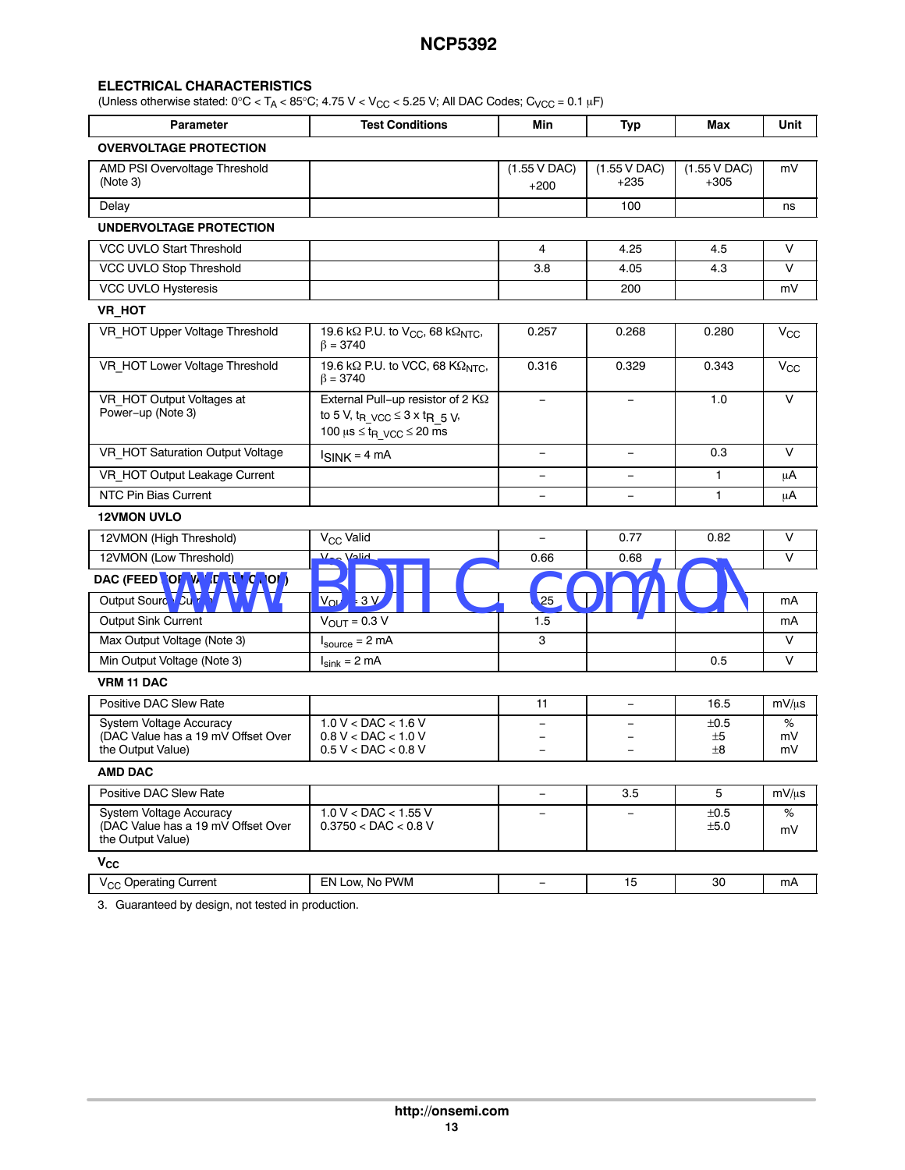#### <span id="page-12-0"></span>**ELECTRICAL CHARACTERISTICS**

(Unless otherwise stated:  $0^{\circ}$ C < T<sub>A</sub> < 85°C; 4.75 V < V<sub>CC</sub> < 5.25 V; All DAC Codes; C<sub>VCC</sub> = 0.1 µF)

| <b>Parameter</b>                                                                   | <b>Test Conditions</b>                                                                                                                                    | Min                                      | <b>Typ</b>                       | Max                                      | Unit          |
|------------------------------------------------------------------------------------|-----------------------------------------------------------------------------------------------------------------------------------------------------------|------------------------------------------|----------------------------------|------------------------------------------|---------------|
| <b>OVERVOLTAGE PROTECTION</b>                                                      |                                                                                                                                                           |                                          |                                  |                                          |               |
| AMD PSI Overvoltage Threshold<br>(Note 3)                                          |                                                                                                                                                           | $(1.55 \text{ V } \text{DAC})$<br>$+200$ | $(1.55 \text{ V DAC})$<br>$+235$ | $(1.55 \text{ V } \text{DAC})$<br>$+305$ | mV            |
| Delay                                                                              |                                                                                                                                                           |                                          | 100                              |                                          | ns            |
| UNDERVOLTAGE PROTECTION                                                            |                                                                                                                                                           |                                          |                                  |                                          |               |
| VCC UVLO Start Threshold                                                           |                                                                                                                                                           | 4                                        | 4.25                             | 4.5                                      | $\vee$        |
| VCC UVLO Stop Threshold                                                            |                                                                                                                                                           | 3.8                                      | 4.05                             | 4.3                                      | $\vee$        |
| VCC UVLO Hysteresis                                                                |                                                                                                                                                           |                                          | 200                              |                                          | mV            |
| VR_HOT                                                                             |                                                                                                                                                           |                                          |                                  |                                          |               |
| VR_HOT Upper Voltage Threshold                                                     | 19.6 k $\Omega$ P.U. to V <sub>CC</sub> , 68 k $\Omega$ <sub>NTC</sub> ,<br>$\beta = 3740$                                                                | 0.257                                    | 0.268                            | 0.280                                    | $\rm V_{CC}$  |
| VR_HOT Lower Voltage Threshold                                                     | 19.6 k $\Omega$ P.U. to VCC, 68 K $\Omega$ <sub>NTC</sub> ,<br>$\beta = 3740$                                                                             | 0.316                                    | 0.329                            | 0.343                                    | $V_{\rm CC}$  |
| VR HOT Output Voltages at<br>Power-up (Note 3)                                     | External Pull-up resistor of 2 $K\Omega$<br>to 5 V, $t_R$ $\sqrt{CC}$ $\leq$ 3 x $t_R$ 5 V,<br>100 $\mu$ s $\leq$ t <sub>R</sub> $\sqrt{CC}$ $\leq$ 20 ms |                                          |                                  | 1.0                                      | V             |
| VR HOT Saturation Output Voltage                                                   | $I$ SINK = 4 mA                                                                                                                                           | $\equiv$                                 | $\equiv$                         | 0.3                                      | $\vee$        |
| VR HOT Output Leakage Current                                                      |                                                                                                                                                           |                                          | $\overline{\phantom{0}}$         | 1                                        | μA            |
| <b>NTC Pin Bias Current</b>                                                        |                                                                                                                                                           | $\equiv$                                 | $\overline{\phantom{0}}$         | $\mathbf{1}$                             | μA            |
| <b>12VMON UVLO</b>                                                                 |                                                                                                                                                           |                                          |                                  |                                          |               |
| 12VMON (High Threshold)                                                            | V <sub>CC</sub> Valid                                                                                                                                     | $\equiv$                                 | 0.77                             | 0.82                                     | V             |
| 12VMON (Low Threshold)                                                             | <b>Vec Valid</b>                                                                                                                                          | 0.66                                     | 0.68                             |                                          | $\vee$        |
| DAC (FEED TOR WIDD TUNCTION)                                                       |                                                                                                                                                           |                                          |                                  |                                          |               |
| Output Source Current                                                              | 3V<br>Vou                                                                                                                                                 | .25                                      |                                  |                                          | mA            |
| <b>Output Sink Current</b>                                                         | $V_{\text{OUT}} = 0.3 \overline{V}$                                                                                                                       | 1.5                                      |                                  |                                          | mA            |
| Max Output Voltage (Note 3)                                                        | $I_{source} = 2 mA$                                                                                                                                       | 3                                        |                                  |                                          | $\vee$        |
| Min Output Voltage (Note 3)                                                        | $I_{\text{sink}} = 2 \text{ mA}$                                                                                                                          |                                          |                                  | 0.5                                      | $\vee$        |
| <b>VRM 11 DAC</b>                                                                  |                                                                                                                                                           |                                          |                                  |                                          |               |
| Positive DAC Slew Rate                                                             |                                                                                                                                                           | 11                                       | $\overline{\phantom{0}}$         | 16.5                                     | $mV/\mu s$    |
| System Voltage Accuracy<br>(DAC Value has a 19 mV Offset Over<br>the Output Value) | $1.0 V <$ DAC $< 1.6 V$<br>$0.8 V <$ DAC $< 1.0 V$<br>$0.5 V <$ DAC $< 0.8 V$                                                                             |                                          |                                  | ±0.5<br>±5<br>$\pm 8$                    | %<br>mV<br>mV |
| <b>AMD DAC</b>                                                                     |                                                                                                                                                           |                                          |                                  |                                          |               |
| Positive DAC Slew Rate                                                             |                                                                                                                                                           | $\equiv$                                 | 3.5                              | 5                                        | $mV/\mu s$    |
| System Voltage Accuracy<br>(DAC Value has a 19 mV Offset Over<br>the Output Value) | 1.0 V < DAC < 1.55 V<br>$0.3750 <$ DAC $< 0.8$ V                                                                                                          | $\overline{\phantom{0}}$                 | $\qquad \qquad -$                | ±0.5<br>±5.0                             | $\%$<br>mV    |
| $V_{CC}$                                                                           |                                                                                                                                                           |                                          |                                  |                                          |               |
| V <sub>CC</sub> Operating Current                                                  | EN Low, No PWM                                                                                                                                            | $\qquad \qquad -$                        | 15                               | 30                                       | mA            |

3. Guaranteed by design, not tested in production.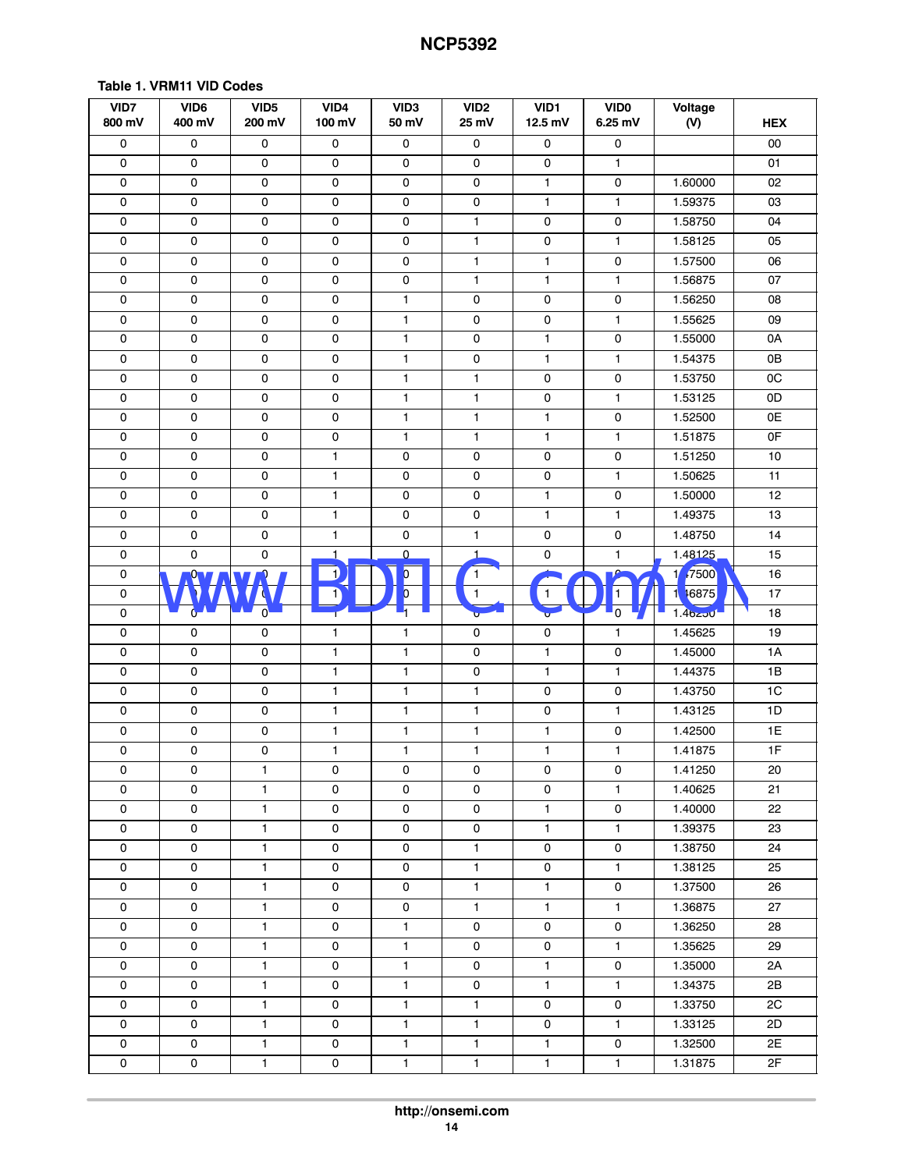<span id="page-13-0"></span>

| VID7<br>800 mV      | VID <sub>6</sub><br>400 mV | VID <sub>5</sub><br>200 mV    | VID4<br>100 mV | VID <sub>3</sub><br>50 mV | VID <sub>2</sub><br>25 mV | VID1<br>12.5 mV | <b>VIDO</b><br>6.25 mV | Voltage<br>(V)      | <b>HEX</b>     |
|---------------------|----------------------------|-------------------------------|----------------|---------------------------|---------------------------|-----------------|------------------------|---------------------|----------------|
| 0                   | $\mathsf{O}\xspace$        | $\mathsf{O}\xspace$           | $\mathsf 0$    | 0                         | $\mathsf 0$               | $\mathsf 0$     | $\mathsf{o}\,$         |                     | 00             |
| 0                   | 0                          | 0                             | 0              | $\mathsf{O}\xspace$       | $\mathsf{O}\xspace$       | $\mathsf{o}$    | $\mathbf{1}$           |                     | 01             |
| $\mathsf{O}\xspace$ | 0                          | 0                             | $\mathsf 0$    | $\mathsf{O}\xspace$       | 0                         | $\mathbf{1}$    | $\mathsf 0$            | 1.60000             | 02             |
| $\mathsf{O}\xspace$ | 0                          | 0                             | $\mathsf 0$    | $\mathsf{O}\xspace$       | $\mathsf 0$               | $\mathbf{1}$    | 1                      | 1.59375             | 03             |
| $\mathsf{O}\xspace$ | $\mathsf{O}\xspace$        | 0                             | $\mathsf 0$    | $\mathsf{O}\xspace$       | $\mathbf{1}$              | 0               | $\mathbf 0$            | 1.58750             | 04             |
| 0                   | 0                          | 0                             | 0              | 0                         | $\mathbf{1}$              | 0               | $\mathbf{1}$           | 1.58125             | 05             |
| 0                   | 0                          | 0                             | 0              | $\mathsf{O}\xspace$       | $\mathbf{1}$              | $\mathbf{1}$    | $\mathsf 0$            | 1.57500             | 06             |
| 0                   | 0                          | 0                             | 0              | $\mathsf{O}\xspace$       | $\mathbf{1}$              | $\mathbf{1}$    | $\mathbf{1}$           | 1.56875             | 07             |
| 0                   | $\mathsf{O}\xspace$        | $\pmb{0}$                     | $\mathsf 0$    | $\mathbf{1}$              | 0                         | 0               | $\mathbf 0$            | 1.56250             | 08             |
| $\mathsf{O}\xspace$ | $\mathsf{O}\xspace$        | $\mathsf{O}\xspace$           | 0              | $\mathbf{1}$              | $\mathsf 0$               | $\mathsf 0$     | 1                      | 1.55625             | 09             |
| 0                   | 0                          | 0                             | 0              | $\mathbf{1}$              | $\mathsf 0$               | $\mathbf{1}$    | 0                      | 1.55000             | 0A             |
| $\mathbf 0$         | 0                          | 0                             | 0              | $\mathbf{1}$              | 0                         | $\mathbf{1}$    | $\mathbf{1}$           | 1.54375             | 0B             |
| 0                   | 0                          | 0                             | 0              | $\mathbf{1}$              | $\mathbf{1}$              | 0               | 0                      | 1.53750             | OC             |
| $\mathsf{O}\xspace$ | $\mathsf{O}\xspace$        | 0                             | $\mathsf 0$    | $\mathbf{1}$              | $\mathbf{1}$              | 0               | $\mathbf{1}$           | 1.53125             | 0D             |
| $\mathsf{O}\xspace$ | 0                          | 0                             | $\mathsf 0$    | $\mathbf{1}$              | 1                         | $\mathbf{1}$    | $\mathbf 0$            | 1.52500             | 0E             |
| 0                   | 0                          | 0                             | $\mathsf 0$    | $\mathbf{1}$              | 1                         | $\mathbf{1}$    | 1                      | 1.51875             | 0F             |
| 0                   | 0                          | 0                             | $\mathbf{1}$   | $\mathsf{O}\xspace$       | 0                         | 0               | $\mathsf 0$            | 1.51250             | 10             |
| 0                   | 0                          | 0                             | $\mathbf{1}$   | 0                         | 0                         | 0               | 1                      | 1.50625             | 11             |
| $\mathsf{O}\xspace$ | $\mathsf{O}\xspace$        | 0                             | $\mathbf{1}$   | $\mathsf{O}\xspace$       | $\mathsf{O}\xspace$       | $\mathbf{1}$    | $\mathsf{O}\xspace$    | 1.50000             | 12             |
| $\mathsf{O}\xspace$ | $\mathsf{O}\xspace$        | 0                             | $\mathbf{1}$   | $\mathsf{O}\xspace$       | $\mathsf{O}\xspace$       | $\mathbf{1}$    | 1                      | 1.49375             | 13             |
| $\mathsf{O}\xspace$ | 0                          | 0                             | $\mathbf{1}$   | $\mathsf{O}\xspace$       | $\mathbf{1}$              | 0               | $\mathbf 0$            | 1.48750             | 14             |
| $\mathsf 0$         | $\mathsf{O}\xspace$        | 0                             | 1              | $\mathsf{O}\xspace$       | $\mathbf{1}$              | 0               | 1                      | 1.48125             | 15             |
| 0                   | $\frac{0}{1}$              | Ω.<br>$\overline{\mathbf{u}}$ | 1              | $\overline{\mathfrak{b}}$ | 1                         | ⊥               | $\Omega$               | 147500              | 16             |
| 0                   |                            |                               |                | $\overline{\mathbf{0}}$   | $\mathbf{1}$              | 1               | 1                      | 46875<br>1          | 17             |
| 0                   | 0                          | $\mathbf{0}$                  | ₽              |                           | $\sim$                    | ÷               | 5                      | 1.4 <sub>0250</sub> | 18             |
| $\mathsf{O}\xspace$ | 0                          | 0                             | 1              | $\mathbf{1}$              | $\mathsf 0$               | 0               | 1                      | 1.45625             | 19             |
| $\mathsf{O}\xspace$ | $\mathsf{O}\xspace$        | 0                             | $\mathbf{1}$   | $\mathbf{1}$              | 0                         | $\mathbf{1}$    | $\mathsf 0$            | 1.45000             | 1A             |
| 0                   | $\mathsf{O}\xspace$        | 0                             | $\mathbf{1}$   | $\mathbf{1}$              | $\mathsf{O}\xspace$       | $\mathbf{1}$    | $\mathbf{1}$           | 1.44375             | 1B             |
| $\mathsf{O}\xspace$ | $\mathsf{O}\xspace$        | 0                             | $\mathbf{1}$   | $\mathbf{1}$              | $\mathbf{1}$              | $\mathsf 0$     | $\mathsf 0$            | 1.43750             | 1 <sup>C</sup> |
| 0                   | 0                          | 0                             | $\mathbf{1}$   | $\mathbf{1}$              | $\mathbf{1}$              | 0               | 1                      | 1.43125             | 1D             |
| $\pmb{0}$           | 0                          | 0                             | $\mathbf{1}$   | 1                         | $\mathbf{1}$              | $\mathbf{1}$    | $\mathbf 0$            | 1.42500             | 1E             |
| 0                   | 0                          | 0                             | 1              | $\mathbf{1}$              | $\mathbf{1}$              | $\mathbf{1}$    | $\mathbf{1}$           | 1.41875             | 1F             |
| 0                   | 0                          | 1                             | 0              | 0                         | 0                         | 0               | 0                      | 1.41250             | 20             |
| 0                   | 0                          | $\mathbf{1}$                  | 0              | 0                         | 0                         | 0               | 1                      | 1.40625             | 21             |
| 0                   | 0                          | $\mathbf{1}$                  | 0              | 0                         | 0                         | $\mathbf{1}$    | 0                      | 1.40000             | 22             |
| 0                   | 0                          | $\mathbf{1}$                  | 0              | 0                         | 0                         | $\mathbf{1}$    | $\mathbf{1}$           | 1.39375             | 23             |
| 0                   | 0                          | $\mathbf{1}$                  | 0              | 0                         | $\mathbf{1}$              | 0               | 0                      | 1.38750             | 24             |
| 0                   | 0                          | $\mathbf{1}$                  | $\mathsf 0$    | 0                         | $\mathbf{1}$              | 0               | 1                      | 1.38125             | 25             |
| 0                   | 0                          | $\mathbf{1}$                  | 0              | 0                         | $\mathbf{1}$              | $\mathbf{1}$    | 0                      | 1.37500             | 26             |
| 0                   | 0                          | 1                             | 0              | 0                         | $\mathbf{1}$              | $\mathbf{1}$    | 1                      | 1.36875             | 27             |
| 0                   | 0                          | $\mathbf{1}$                  | 0              | $\mathbf{1}$              | 0                         | 0               | 0                      | 1.36250             | 28             |
| 0                   | 0                          | $\mathbf{1}$                  | 0              | $\mathbf{1}$              | 0                         | 0               | $\mathbf{1}$           | 1.35625             | 29             |
| 0                   | 0                          | $\mathbf{1}$                  | $\mathsf 0$    | $\mathbf{1}$              | 0                         | $\mathbf{1}$    | $\mathsf{O}\xspace$    | 1.35000             | 2A             |
| 0                   | 0                          | $\mathbf{1}$                  | 0              | $\mathbf{1}$              | 0                         | $\mathbf{1}$    | $\mathbf{1}$           | 1.34375             | 2Β             |
| 0                   | 0                          | $\mathbf{1}$                  | 0              | $\mathbf{1}$              | $\mathbf{1}$              | 0               | 0                      | 1.33750             | 2C             |
| $\mathsf{O}\xspace$ | 0                          | $\mathbf{1}$                  | 0              | 1                         | $\mathbf{1}$              | 0               | $\mathbf{1}$           | 1.33125             | 2D             |
| 0                   | 0                          | $\mathbf{1}$                  | 0              | $\mathbf{1}$              | $\mathbf{1}$              | $\mathbf{1}$    | 0                      | 1.32500             | 2E             |
| 0                   | 0                          | $\mathbf{1}$                  | 0              | $\mathbf{1}$              | $\mathbf{1}$              | $\mathbf{1}$    | $\mathbf{1}$           | 1.31875             | 2F             |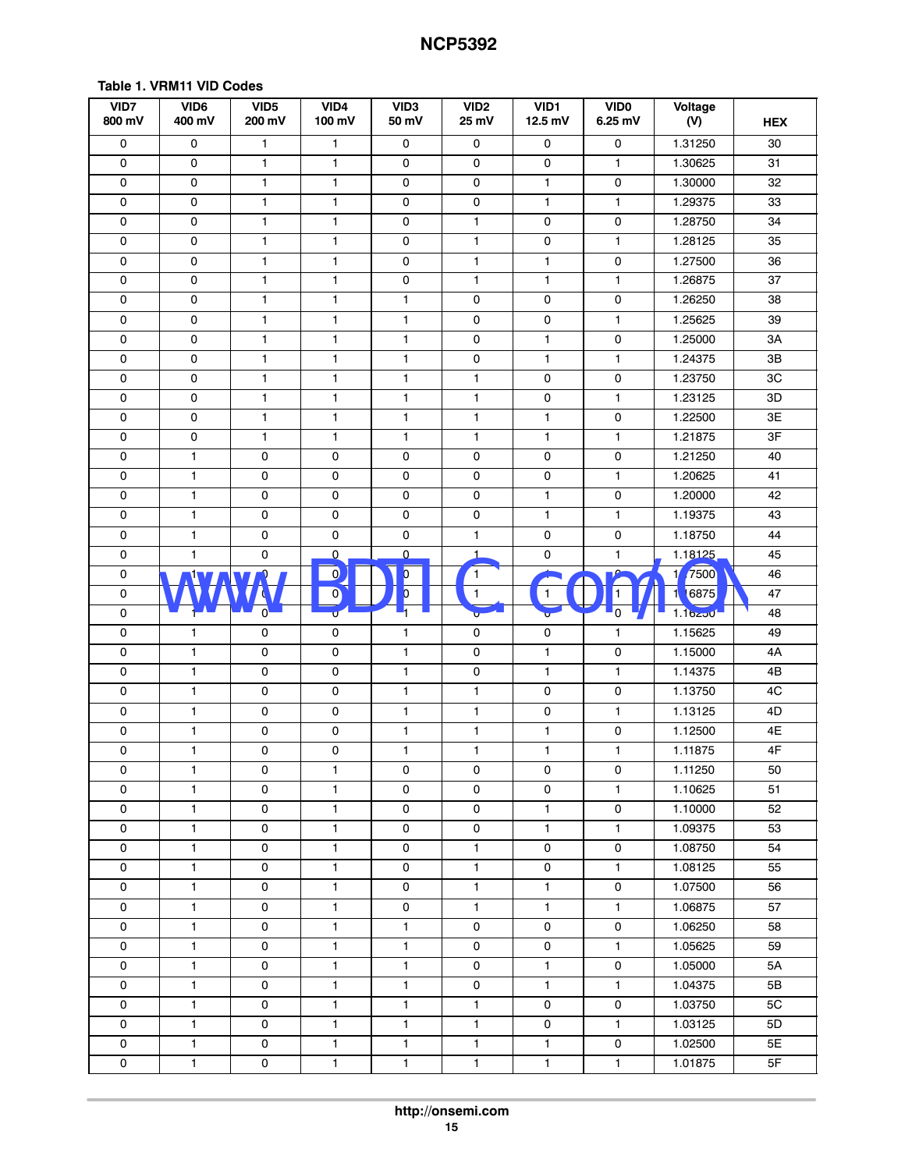| VID7<br>800 mV      | VID6<br>400 mV              | VID <sub>5</sub><br>200 mV | VID4<br>100 mV          | VID <sub>3</sub><br>50 mV | VID <sub>2</sub><br>25 mV | VID1<br>12.5 mV | <b>VIDO</b><br>6.25 mV | Voltage<br>(V) | <b>HEX</b> |
|---------------------|-----------------------------|----------------------------|-------------------------|---------------------------|---------------------------|-----------------|------------------------|----------------|------------|
| 0                   | 0                           | $\mathbf{1}$               | $\mathbf{1}$            | 0                         | 0                         | 0               | 0                      | 1.31250        | 30         |
| 0                   | 0                           | 1                          | $\mathbf{1}$            | 0                         | 0                         | 0               | $\mathbf{1}$           | 1.30625        | 31         |
| 0                   | 0                           | $\mathbf{1}$               | $\mathbf{1}$            | $\mathsf{O}\xspace$       | $\mathsf{o}\,$            | $\mathbf{1}$    | $\mathsf 0$            | 1.30000        | 32         |
| $\mathsf{O}\xspace$ | 0                           | 1                          | $\mathbf{1}$            | $\mathsf{O}\xspace$       | 0                         | $\mathbf{1}$    | $\mathbf{1}$           | 1.29375        | 33         |
| $\mathsf 0$         | 0                           | 1                          | $\mathbf{1}$            | $\mathsf 0$               | $\mathbf{1}$              | 0               | 0                      | 1.28750        | 34         |
| 0                   | $\mathsf{O}\xspace$         | 1                          | $\mathbf{1}$            | $\mathsf{O}\xspace$       | $\mathbf{1}$              | 0               | 1                      | 1.28125        | 35         |
| 0                   | 0                           | 1                          | $\mathbf{1}$            | $\mathsf{O}\xspace$       | $\mathbf{1}$              | $\mathbf{1}$    | $\mathsf{o}\,$         | 1.27500        | 36         |
| $\mathsf{O}\xspace$ | 0                           | 1                          | $\mathbf{1}$            | $\mathsf{O}\xspace$       | $\mathbf{1}$              | $\mathbf{1}$    | 1                      | 1.26875        | 37         |
| $\mathsf{O}\xspace$ | $\mathsf{O}\xspace$         | 1                          | $\mathbf{1}$            | $\mathbf{1}$              | $\mathsf 0$               | 0               | $\mathsf{O}\xspace$    | 1.26250        | 38         |
| $\mathsf{O}\xspace$ | 0                           | 1                          | $\mathbf{1}$            | $\mathbf{1}$              | 0                         | 0               | $\mathbf{1}$           | 1.25625        | 39         |
| 0                   | 0                           | $\mathbf{1}$               | $\mathbf{1}$            | $\mathbf{1}$              | 0                         | $\mathbf{1}$    | $\mathbf 0$            | 1.25000        | ЗA         |
| 0                   | 0                           | $\mathbf{1}$               | $\mathbf{1}$            | $\mathbf{1}$              | $\mathsf{O}\xspace$       | $\mathbf{1}$    | 1                      | 1.24375        | 3B         |
| 0                   | 0                           | 1                          | $\mathbf{1}$            | $\mathbf{1}$              | $\mathbf{1}$              | 0               | 0                      | 1.23750        | 3C         |
| 0                   | 0                           | 1                          | $\mathbf{1}$            | $\mathbf{1}$              | $\mathbf{1}$              | 0               | 1                      | 1.23125        | 3D         |
| 0                   | $\mathsf{O}\xspace$         | $\mathbf{1}$               | $\mathbf{1}$            | $\mathbf{1}$              | $\mathbf{1}$              | $\mathbf{1}$    | $\mathsf 0$            | 1.22500        | 3E         |
| $\mathsf{O}\xspace$ | 0                           | $\mathbf{1}$               | $\mathbf{1}$            | $\mathbf{1}$              | $\mathbf{1}$              | $\mathbf{1}$    | $\mathbf{1}$           | 1.21875        | 3F         |
| $\mathsf{O}\xspace$ | 1                           | 0                          | $\mathsf 0$             | $\mathsf{O}$              | $\mathsf 0$               | 0               | $\mathsf 0$            | 1.21250        | 40         |
| 0                   | $\mathbf{1}$                | 0                          | $\mathsf 0$             | $\mathsf{O}\xspace$       | 0                         | 0               | $\mathbf{1}$           | 1.20625        | 41         |
| $\mathsf{O}\xspace$ | 1                           | 0                          | 0                       | 0                         | 0                         | $\mathbf{1}$    | 0                      | 1.20000        | 42         |
| 0                   | 1                           | 0                          | 0                       | 0                         | 0                         | $\mathbf{1}$    | $\mathbf{1}$           | 1.19375        | 43         |
| $\mathsf{O}\xspace$ | $\mathbf{1}$                | 0                          | $\pmb{0}$               | $\mathsf{O}\xspace$       | $\mathbf{1}$              | 0               | $\mathsf{O}\xspace$    | 1.18750        | 44         |
| $\mathsf{O}\xspace$ | $\mathbf{1}$                | 0                          | $\overline{\mathbf{0}}$ | $\mathsf{O}\xspace$       | $\mathbf{1}$              | 0               | 1                      | 1.18125        | 45         |
| 0                   | $\overline{1}$<br>$\bullet$ | ρ.                         | $\mathbf{Q}$            | $\overline{\mathfrak{b}}$ | 1                         | 1               | $\Omega$               | 1/7500         | 46         |
| 0                   |                             |                            | $\mathbf{O}$            | $\overline{O}$            | 1                         | 1               | 1                      | 16875<br>1.    | 47         |
| 0                   |                             | $\mathbf{0}$               |                         |                           | Ū                         | Û               | ს                      | $1.10250 -$    | 48         |
| 0                   | 1                           | 0                          | 0                       | $\mathbf{1}$              | $\mathsf 0$               | 0               | 1                      | 1.15625        | 49         |
| $\mathsf{O}\xspace$ | $\mathbf{1}$                | 0                          | $\mathsf 0$             | $\mathbf{1}$              | 0                         | $\mathbf{1}$    | $\mathsf{O}\xspace$    | 1.15000        | 4A         |
| 0                   | $\mathbf{1}$                | 0                          | $\mathsf 0$             | $\mathbf{1}$              | 0                         | $\mathbf{1}$    | $\mathbf{1}$           | 1.14375        | 4B         |
| $\mathsf{O}\xspace$ | 1                           | 0                          | $\mathsf 0$             | $\mathbf{1}$              | $\mathbf{1}$              | 0               | $\mathbf 0$            | 1.13750        | 4C         |
| 0                   | 1                           | 0                          | $\mathsf 0$             | $\mathbf{1}$              | $\mathbf{1}$              | 0               | $\mathbf{1}$           | 1.13125        | 4D         |
| $\pmb{0}$           | 1                           | $\mathsf 0$                | $\mathsf 0$             | $\mathbf{1}$              | $\mathbf{1}$              | $\mathbf{1}$    | $\mathsf{O}\xspace$    | 1.12500        | 4E         |
| 0                   | 1                           | 0                          | 0                       | 1                         | $\mathbf{1}$              | 1               | 1                      | 1.11875        | 4F         |
| 0                   | 1                           | 0                          | 1                       | 0                         | 0                         | 0               | $\mathsf{o}\,$         | 1.11250        | 50         |
| 0                   | 1                           | 0                          | $\mathbf{1}$            | $\mathsf{O}\xspace$       | 0                         | 0               | 1                      | 1.10625        | 51         |
| $\mathsf{O}\xspace$ | 1                           | 0                          | 1                       | $\mathsf{O}\xspace$       | 0                         | $\mathbf{1}$    | $\mathsf 0$            | 1.10000        | 52         |
| 0                   | 1                           | 0                          | $\mathbf{1}$            | 0                         | 0                         | $\mathbf{1}$    | 1                      | 1.09375        | 53         |
| 0                   | 1                           | 0                          | 1                       | 0                         | $\mathbf{1}$              | 0               | 0                      | 1.08750        | 54         |
| $\mathsf{O}\xspace$ | 1                           | 0                          | $\mathbf{1}$            | 0                         | $\mathbf{1}$              | 0               | 1                      | 1.08125        | 55         |
| 0                   | $\mathbf{1}$                | 0                          | $\mathbf{1}$            | 0                         | $\mathbf{1}$              | $\mathbf{1}$    | $\mathsf 0$            | 1.07500        | 56         |
| 0                   | 1                           | 0                          | $\mathbf{1}$            | $\mathsf{O}\xspace$       | $\mathbf{1}$              | $\mathbf{1}$    | 1                      | 1.06875        | 57         |
| $\mathsf{O}\xspace$ | 1                           | 0                          | $\mathbf{1}$            | 1                         | 0                         | 0               | $\mathsf 0$            | 1.06250        | 58         |
| 0                   | 1                           | 0                          | $\mathbf{1}$            | 1                         | 0                         | 0               | $\mathbf{1}$           | 1.05625        | 59         |
| $\mathsf{O}\xspace$ | 1                           | 0                          | 1                       | $\mathbf{1}$              | 0                         | $\mathbf{1}$    | $\mathsf{O}\xspace$    | 1.05000        | 5A         |
| 0                   | 1                           | 0                          | $\mathbf{1}$            | 1                         | 0                         | $\mathbf{1}$    | 1                      | 1.04375        | 5B         |
| 0                   | $\mathbf{1}$                | 0                          | $\mathbf{1}$            | $\mathbf{1}$              | $\mathbf{1}$              | 0               | $\mathsf{o}\,$         | 1.03750        | 5C         |
| 0                   | $\mathbf{1}$                | 0                          | $\mathbf{1}$            | 1                         | $\mathbf{1}$              | 0               | $\mathbf{1}$           | 1.03125        | 5D         |
| $\mathsf{O}\xspace$ | $\mathbf{1}$                | 0                          | 1                       | $\mathbf{1}$              | $\mathbf{1}$              | $\mathbf{1}$    | $\mathsf{O}\xspace$    | 1.02500        | 5E         |
| $\mathsf{O}\xspace$ | 1                           | 0                          | $\mathbf{1}$            | $\mathbf{1}$              | $\mathbf{1}$              | $\mathbf{1}$    | 1                      | 1.01875        | 5F         |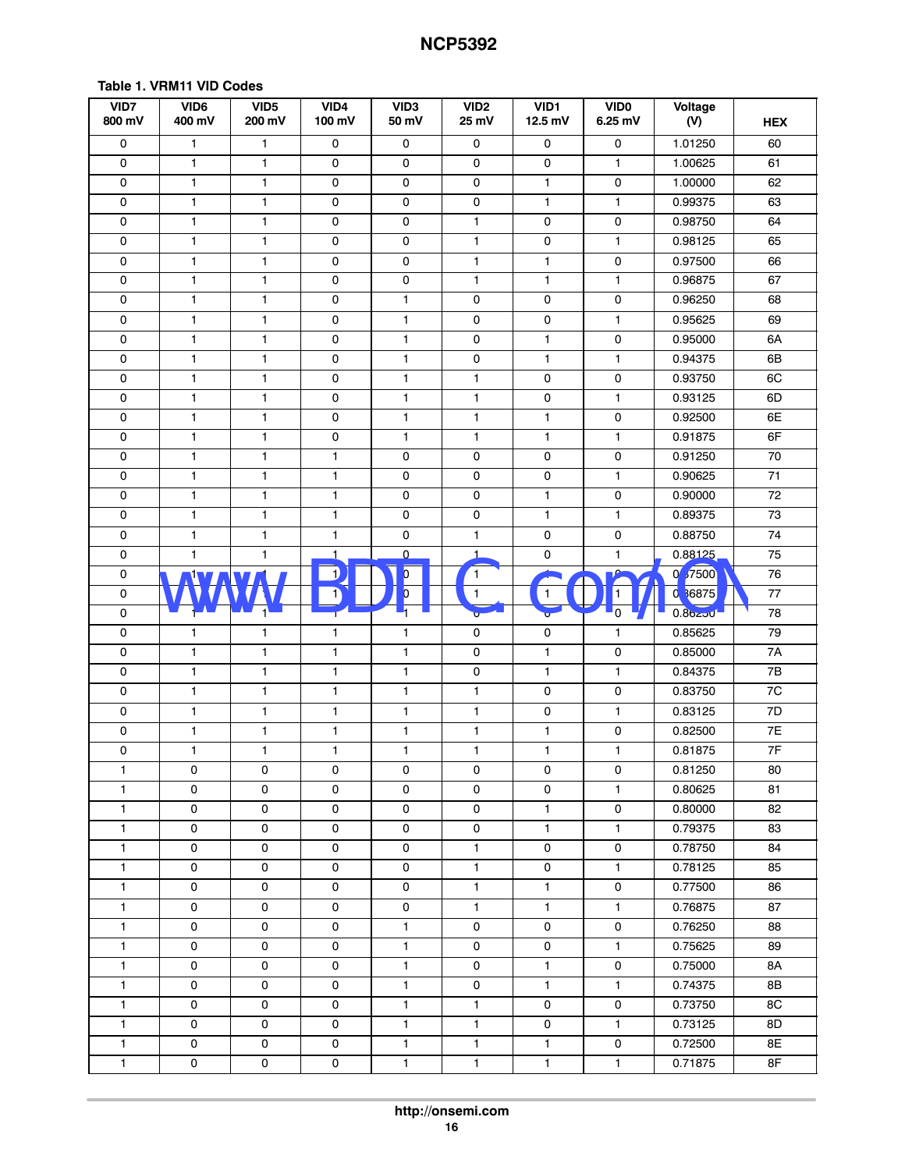| VID7<br>800 mV      | VID6<br>400 mV      | VID <sub>5</sub><br>200 mV | VID4<br>100 mV | VID <sub>3</sub><br>50 mV | VID <sub>2</sub><br>25 mV | VID1<br>12.5 mV | <b>VIDO</b><br>6.25 mV | Voltage<br>(V) | <b>HEX</b>    |
|---------------------|---------------------|----------------------------|----------------|---------------------------|---------------------------|-----------------|------------------------|----------------|---------------|
| 0                   | 1                   | 1                          | 0              | 0                         | 0                         | 0               | 0                      | 1.01250        | 60            |
| 0                   | $\mathbf{1}$        | 1                          | 0              | 0                         | 0                         | 0               | $\mathbf{1}$           | 1.00625        | 61            |
| $\pmb{0}$           | $\mathbf{1}$        | $\mathbf{1}$               | $\mathsf 0$    | $\mathsf{O}\xspace$       | 0                         | $\mathbf{1}$    | $\mathsf 0$            | 1.00000        | 62            |
| $\pmb{0}$           | $\mathbf{1}$        | 1                          | $\mathsf 0$    | $\mathsf{O}\xspace$       | 0                         | $\mathbf{1}$    | $\mathbf{1}$           | 0.99375        | 63            |
| $\mathsf{O}\xspace$ | 1                   | 1                          | $\mathsf 0$    | $\mathsf 0$               | $\mathbf{1}$              | 0               | $\mathbf 0$            | 0.98750        | 64            |
| 0                   | 1                   | 1                          | $\mathsf 0$    | $\mathsf{O}\xspace$       | 1                         | 0               | 1                      | 0.98125        | 65            |
| $\mathbf 0$         | 1                   | $\mathbf{1}$               | 0              | $\mathsf{O}\xspace$       | $\mathbf{1}$              | $\mathbf{1}$    | $\mathsf 0$            | 0.97500        | 66            |
| $\mathsf{O}\xspace$ | 1                   | 1                          | 0              | $\mathsf{O}\xspace$       | $\mathbf{1}$              | $\mathbf{1}$    | 1                      | 0.96875        | 67            |
| $\pmb{0}$           | $\mathbf{1}$        | 1                          | $\pmb{0}$      | $\mathbf{1}$              | $\mathsf 0$               | 0               | $\mathsf{O}\xspace$    | 0.96250        | 68            |
| $\mathsf{O}\xspace$ | 1                   | 1                          | $\mathsf 0$    | $\mathbf{1}$              | 0                         | 0               | 1                      | 0.95625        | 69            |
| $\mathsf{O}\xspace$ | 1                   | 1                          | $\mathsf 0$    | $\mathbf{1}$              | 0                         | $\mathbf{1}$    | $\mathbf 0$            | 0.95000        | 6A            |
| 0                   | 1                   | $\mathbf{1}$               | 0              | $\mathbf{1}$              | $\mathsf{O}\xspace$       | $\mathbf{1}$    | 1                      | 0.94375        | 6B            |
| 0                   | 1                   | 1                          | 0              | $\mathbf{1}$              | $\mathbf{1}$              | 0               | 0                      | 0.93750        | 6C            |
| 0                   | 1                   | 1                          | $\mathsf 0$    | $\mathbf{1}$              | 1                         | 0               | 1                      | 0.93125        | 6D            |
| $\pmb{0}$           | $\mathbf{1}$        | $\mathbf{1}$               | $\mathsf 0$    | $\mathbf{1}$              | $\mathbf{1}$              | $\mathbf{1}$    | $\mathsf 0$            | 0.92500        | 6E            |
| $\mathsf{O}\xspace$ | $\mathbf{1}$        | 1                          | $\mathsf 0$    | $\mathbf{1}$              | $\mathbf{1}$              | $\mathbf{1}$    | $\mathbf{1}$           | 0.91875        | 6F            |
| $\mathsf{O}\xspace$ | 1                   | 1                          | $\mathbf{1}$   | $\mathsf{O}\xspace$       | $\mathsf 0$               | 0               | $\mathsf 0$            | 0.91250        | 70            |
| 0                   | $\mathbf{1}$        | 1                          | $\mathbf{1}$   | $\mathsf{O}\xspace$       | 0                         | 0               | $\mathbf{1}$           | 0.90625        | 71            |
| $\mathsf{O}\xspace$ | 1                   | 1                          | $\mathbf{1}$   | $\mathsf{O}\xspace$       | 0                         | $\mathbf{1}$    | $\mathbf 0$            | 0.90000        | 72            |
| $\mathsf{O}\xspace$ | 1                   | 1                          | $\mathbf{1}$   | 0                         | 0                         | $\mathbf{1}$    | $\mathbf{1}$           | 0.89375        | 73            |
| $\mathsf{O}\xspace$ | $\mathbf{1}$        | 1                          | $\mathbf{1}$   | $\mathsf{O}\xspace$       | $\mathbf{1}$              | 0               | $\mathsf{O}\xspace$    | 0.88750        | 74            |
| $\pmb{0}$           | $\mathbf{1}$        | $\mathbf{1}$               | 1              | $\mathsf{O}\xspace$       | $\mathbf{1}$              | 0               | 1                      | 0.88125        | 75            |
| $\pmb{0}$           | <b>14</b>           |                            | 1              | $\overline{\mathfrak{b}}$ | $\mathbf{1}$              | 1               | $\Omega$               | 0 37500        | 76            |
| 0                   |                     |                            |                | $\overline{O}$            | 1                         | 1               | 1                      | 0 36875        | $77\,$        |
| 0                   |                     | $\mathbf{1}^{\prime}$      |                |                           |                           | Û               | ს                      | $0.86250 -$    | 78            |
| 0                   | 1                   | 1                          | 1              | $\mathbf{1}$              | $\mathsf 0$               | 0               | 1                      | 0.85625        | 79            |
| $\mathsf{O}\xspace$ | $\mathbf{1}$        | $\mathbf{1}$               | $\mathbf{1}$   | $\mathbf{1}$              | $\mathsf{O}\xspace$       | $\mathbf{1}$    | $\mathsf{O}\xspace$    | 0.85000        | 7A            |
| 0                   | $\mathbf{1}$        | 1                          | $\mathbf{1}$   | $\mathbf{1}$              | $\mathsf 0$               | $\mathbf{1}$    | $\mathbf{1}$           | 0.84375        | $7\mathsf{B}$ |
| $\mathsf{O}\xspace$ | 1                   | 1                          | $\mathbf{1}$   | $\mathbf{1}$              | $\mathbf{1}$              | 0               | $\mathbf 0$            | 0.83750        | 7C            |
| 0                   | 1                   | $\mathbf{1}$               | $\mathbf{1}$   | $\mathbf{1}$              | $\mathbf{1}$              | 0               | $\mathbf{1}$           | 0.83125        | 7D            |
| $\pmb{0}$           | $\mathbf{1}$        | $\mathbf{1}$               | $\mathbf{1}$   | $\mathbf{1}$              | $\mathbf{1}$              | $\mathbf{1}$    | $\mathbf 0$            | 0.82500        | 7E            |
| 0                   | 1                   | $\mathbf{1}$               | 1              | 1                         | $\mathbf{1}$              | 1               | 1                      | 0.81875        | 7F            |
| 1                   | 0                   | 0                          | 0              | 0                         | 0                         | 0               | $\mathsf{o}\,$         | 0.81250        | 80            |
| 1                   | 0                   | 0                          | 0              | 0                         | 0                         | 0               | 1                      | 0.80625        | 81            |
| 1                   | 0                   | 0                          | 0              | 0                         | 0                         | $\mathbf{1}$    | $\mathsf 0$            | 0.80000        | 82            |
| 1                   | 0                   | 0                          | 0              | 0                         | 0                         | $\mathbf{1}$    | 1                      | 0.79375        | 83            |
| 1                   | 0                   | 0                          | 0              | 0                         | $\mathbf{1}$              | 0               | 0                      | 0.78750        | 84            |
| 1                   | 0                   | 0                          | 0              | 0                         | $\mathbf{1}$              | 0               | 1                      | 0.78125        | 85            |
| $\mathbf{1}$        | 0                   | 0                          | 0              | 0                         | $\mathbf{1}$              | $\mathbf{1}$    | $\mathsf 0$            | 0.77500        | 86            |
| $\mathbf{1}$        | 0                   | 0                          | $\mathsf 0$    | $\mathsf{O}\xspace$       | $\mathbf{1}$              | $\mathbf{1}$    | 1                      | 0.76875        | 87            |
| $\mathbf{1}$        | $\mathsf{O}\xspace$ | 0                          | $\mathsf 0$    | $\mathbf{1}$              | 0                         | 0               | $\mathsf 0$            | 0.76250        | 88            |
| 1                   | 0                   | 0                          | $\mathsf 0$    | $\mathbf{1}$              | 0                         | 0               | $\mathbf{1}$           | 0.75625        | 89            |
| 1                   | 0                   | 0                          | $\mathsf 0$    | $\mathbf{1}$              | 0                         | $\mathbf{1}$    | $\mathsf{O}\xspace$    | 0.75000        | 8A            |
| 1                   | 0                   | 0                          | 0              | 1                         | 0                         | $\mathbf{1}$    | 1                      | 0.74375        | 8Β            |
| $\mathbf{1}$        | 0                   | 0                          | 0              | $\mathbf{1}$              | $\mathbf{1}$              | 0               | $\mathsf{o}\,$         | 0.73750        | 8C            |
| $\mathbf{1}$        | 0                   | 0                          | 0              | 1                         | $\mathbf{1}$              | 0               | $\mathbf{1}$           | 0.73125        | 8D            |
| 1                   | 0                   | 0                          | $\mathsf 0$    | $\mathbf{1}$              | $\mathbf{1}$              | $\mathbf{1}$    | $\mathsf{O}\xspace$    | 0.72500        | 8E            |
| 1                   | 0                   | 0                          | $\mathsf 0$    | $\mathbf{1}$              | $\mathbf{1}$              | $\mathbf{1}$    | 1                      | 0.71875        | 8F            |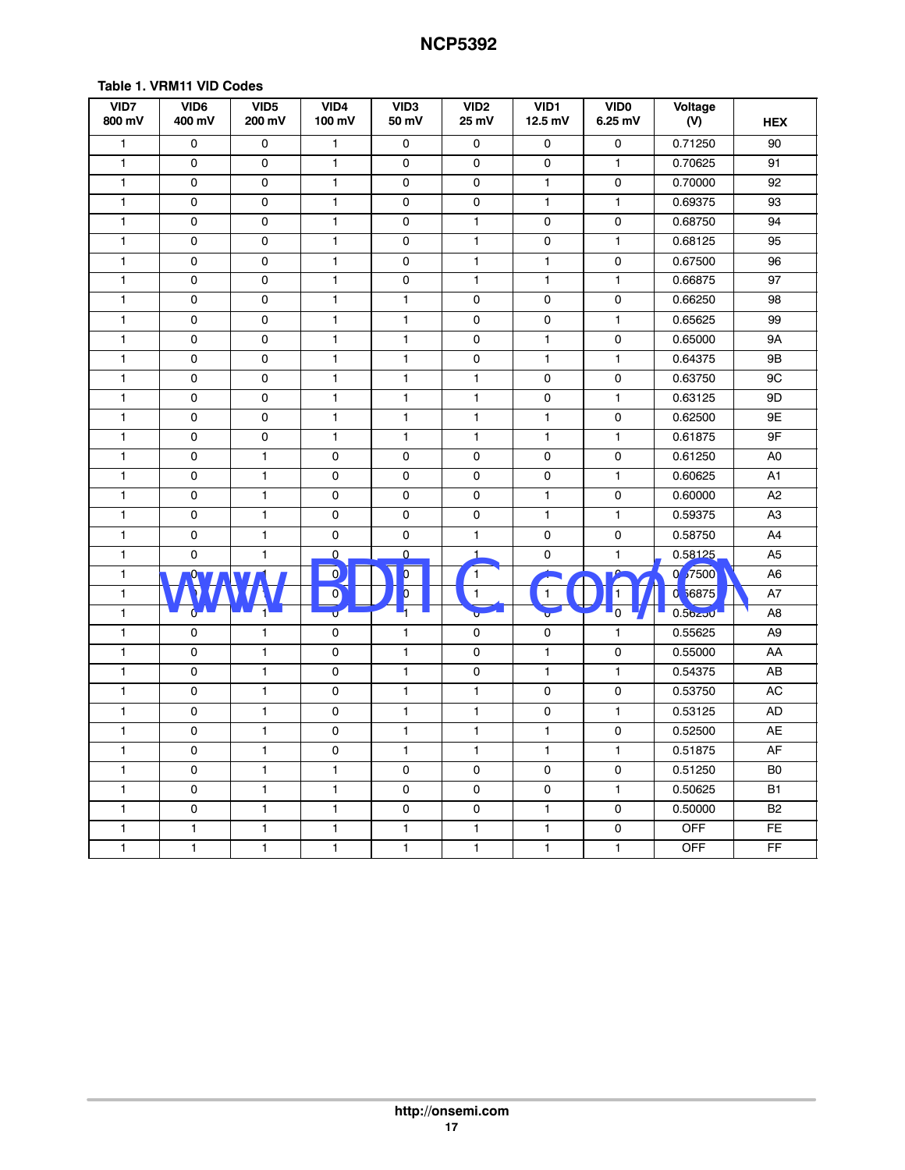| VID7<br>800 mV | VID <sub>6</sub><br>400 mV | VID <sub>5</sub><br>200 mV | VID4<br>100 mV | VID <sub>3</sub><br>50 mV | VID <sub>2</sub><br>25 mV | VID1<br>12.5 mV | <b>VIDO</b><br>6.25 mV | Voltage<br>(V) | <b>HEX</b>     |
|----------------|----------------------------|----------------------------|----------------|---------------------------|---------------------------|-----------------|------------------------|----------------|----------------|
| $\mathbf{1}$   | $\mathbf 0$                | 0                          | $\mathbf{1}$   | $\mathsf{O}\xspace$       | 0                         | $\mathbf 0$     | 0                      | 0.71250        | 90             |
| $\mathbf{1}$   | 0                          | 0                          | $\mathbf{1}$   | 0                         | 0                         | 0               | $\mathbf{1}$           | 0.70625        | 91             |
| $\mathbf{1}$   | 0                          | 0                          | $\mathbf{1}$   | 0                         | 0                         | $\mathbf{1}$    | 0                      | 0.70000        | 92             |
| $\mathbf{1}$   | 0                          | 0                          | $\mathbf{1}$   | $\mathbf 0$               | 0                         | $\mathbf{1}$    | $\mathbf{1}$           | 0.69375        | 93             |
| $\mathbf{1}$   | 0                          | 0                          | $\mathbf{1}$   | $\mathbf 0$               | 1                         | 0               | $\mathsf 0$            | 0.68750        | 94             |
| $\mathbf{1}$   | 0                          | 0                          | 1              | 0                         | 1                         | 0               | $\mathbf{1}$           | 0.68125        | 95             |
| 1              | 0                          | 0                          | 1              | 0                         | $\mathbf{1}$              | 1               | 0                      | 0.67500        | 96             |
| $\mathbf{1}$   | $\mathsf{O}\xspace$        | 0                          | $\mathbf{1}$   | 0                         | $\mathbf{1}$              | 1               | $\mathbf{1}$           | 0.66875        | 97             |
| $\mathbf{1}$   | 0                          | 0                          | $\mathbf{1}$   | $\mathbf{1}$              | 0                         | 0               | $\mathbf 0$            | 0.66250        | 98             |
| $\mathbf{1}$   | 0                          | 0                          | $\mathbf{1}$   | $\mathbf{1}$              | 0                         | 0               | $\mathbf{1}$           | 0.65625        | 99             |
| $\mathbf{1}$   | 0                          | 0                          | 1              | 1                         | 0                         | 1               | 0                      | 0.65000        | 9A             |
| $\mathbf{1}$   | 0                          | 0                          | $\mathbf{1}$   | $\mathbf{1}$              | 0                         | 1               | $\mathbf{1}$           | 0.64375        | 9B             |
| $\mathbf{1}$   | 0                          | 0                          | $\mathbf{1}$   | $\mathbf{1}$              | $\mathbf{1}$              | 0               | $\mathsf 0$            | 0.63750        | 9C             |
| $\mathbf{1}$   | 0                          | 0                          | $\mathbf{1}$   | $\mathbf{1}$              | $\mathbf{1}$              | 0               | $\mathbf{1}$           | 0.63125        | 9D             |
| $\mathbf{1}$   | 0                          | 0                          | $\mathbf{1}$   | $\mathbf{1}$              | 1                         | 1               | $\mathsf 0$            | 0.62500        | 9E             |
| $\mathbf{1}$   | 0                          | 0                          | $\mathbf{1}$   | 1                         | $\mathbf{1}$              | $\mathbf{1}$    | $\overline{1}$         | 0.61875        | 9F             |
| 1              | 0                          | $\mathbf{1}$               | 0              | 0                         | 0                         | 0               | $\pmb{0}$              | 0.61250        | A <sub>0</sub> |
| $\mathbf{1}$   | 0                          | $\mathbf{1}$               | 0              | 0                         | 0                         | 0               | $\mathbf{1}$           | 0.60625        | A1             |
| $\mathbf{1}$   | 0                          | $\mathbf{1}$               | 0              | 0                         | 0                         | 1               | $\pmb{0}$              | 0.60000        | A2             |
| $\mathbf{1}$   | 0                          | $\mathbf{1}$               | 0              | 0                         | 0                         | 1               | $\overline{1}$         | 0.59375        | A <sub>3</sub> |
| $\mathbf{1}$   | 0                          | $\mathbf{1}$               | 0              | 0                         | $\mathbf{1}$              | 0               | $\mathsf 0$            | 0.58750        | A4             |
| $\mathbf{1}$   | $\mathbf 0$                | 1                          | $\pmb{0}$      | 0                         | $\mathbf{1}$              | 0               | $\mathbf{1}$           | 0.58125        | A <sub>5</sub> |
| $\mathbf{1}$   | <u>Ω</u>                   |                            | $\mathbf{Q}$   | $\blacklozenge$           | $\mathbf{1}$              | 1               | $\Omega$               | 0 57500        | A6             |
| $\mathbf{1}$   |                            |                            | $\mathbf{O}$   | $\overline{0}$            | $\mathbf{1}$              | $\mathbf{1}$    | 1                      | 0 56875        | A7             |
| $\mathbf{1}$   | Ó.                         | $1^{\mathsf{L}}$           | б              | ч                         | Ù                         | ÷               | 5                      | 0.56250        | A8             |
| $\mathbf{1}$   | 0                          | $\mathbf{1}$               | 0              | $\mathbf{1}$              | 0                         | 0               | $\mathbf{1}$           | 0.55625        | A9             |
| $\mathbf{1}$   | $\mathbf 0$                | $\mathbf{1}$               | 0              | $\mathbf{1}$              | 0                         | $\mathbf{1}$    | $\mathsf 0$            | 0.55000        | AA             |
| $\mathbf{1}$   | 0                          | $\mathbf{1}$               | 0              | 1                         | 0                         | 1               | $\mathbf{1}$           | 0.54375        | AB             |
| $\mathbf{1}$   | 0                          | $\mathbf{1}$               | 0              | 1                         | 1                         | 0               | $\mathsf 0$            | 0.53750        | AC             |
| $\mathbf{1}$   | 0                          | $\mathbf{1}$               | 0              | $\mathbf{1}$              | 1                         | 0               | $\mathbf{1}$           | 0.53125        | <b>AD</b>      |
| $\mathbf{1}$   | 0                          | $\mathbf{1}$               | 0              | 1                         | $\mathbf{1}$              | 1               | 0                      | 0.52500        | AE             |
| $\mathbf{1}$   | 0                          | $\mathbf{1}$               | 0              | 1                         | $\mathbf{1}$              | $\mathbf{1}$    | $\mathbf{1}$           | 0.51875        | AF             |
| $\mathbf{1}$   | 0                          | $\mathbf{1}$               | $\mathbf{1}$   | 0                         | 0                         | 0               | 0                      | 0.51250        | B <sub>0</sub> |
| $\mathbf{1}$   | 0                          | $\mathbf{1}$               | $\mathbf{1}$   | 0                         | 0                         | 0               | $\mathbf{1}$           | 0.50625        | B1             |
| $\mathbf{1}$   | 0                          | $\mathbf{1}$               | $\mathbf{1}$   | 0                         | $\mathbf 0$               | $\mathbf{1}$    | $\mathbf 0$            | 0.50000        | <b>B2</b>      |
| $\mathbf{1}$   | $\mathbf{1}$               | $\mathbf{1}$               | $\mathbf{1}$   | $\mathbf{1}$              | $\mathbf{1}$              | 1               | 0                      | <b>OFF</b>     | FE.            |
| $\mathbf{1}$   | $\mathbf{1}$               | $\mathbf{1}$               | $\mathbf{1}$   | 1                         | 1                         | $\mathbf{1}$    | $\mathbf{1}$           | <b>OFF</b>     | FF             |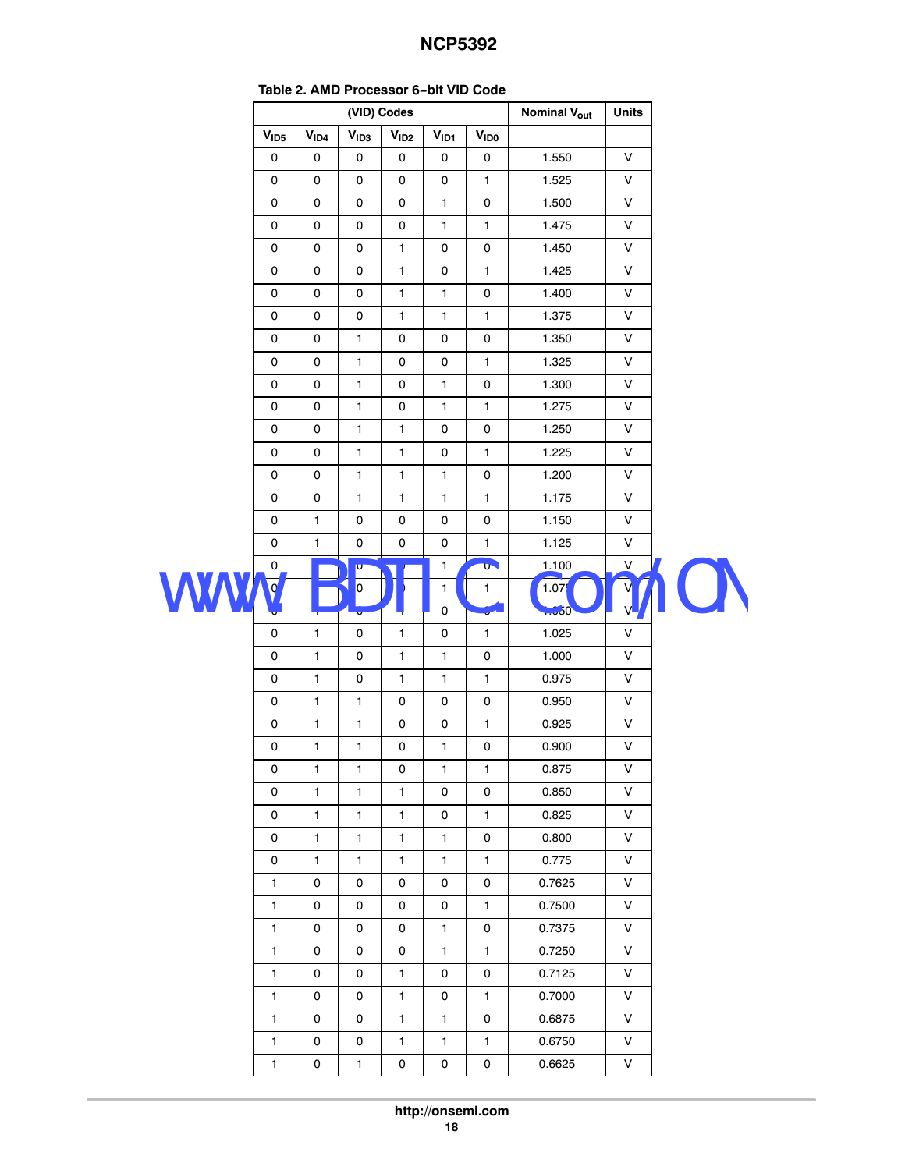<span id="page-17-0"></span>

| Table 2. AMD FTOCESSOL 0-DIL VID COUP |                  |                              |                              |                  |                   |                     |              |  |
|---------------------------------------|------------------|------------------------------|------------------------------|------------------|-------------------|---------------------|--------------|--|
|                                       |                  |                              | (VID) Codes                  |                  |                   | <b>Nominal Vout</b> | <b>Units</b> |  |
| V <sub>1D5</sub>                      | V <sub>ID4</sub> | V <sub>1D3</sub>             | V <sub>1D2</sub>             | V <sub>ID1</sub> | <b>VIDO</b>       |                     |              |  |
| $\mathsf{O}\xspace$                   | 0                | 0                            | 0                            | 0                | 0                 | 1.550               | V            |  |
| $\mathsf{O}$                          | 0                | 0                            | 0                            | 0                | $\mathbf{1}$      | 1.525               | V            |  |
| $\mathsf{O}$                          | 0                | 0                            | 0                            | $\mathbf{1}$     | 0                 | 1.500               | V            |  |
| $\pmb{0}$                             | $\mathsf{o}\,$   | 0                            | 0                            | $\mathbf{1}$     | $\mathbf{1}$      | 1.475               | V            |  |
| $\pmb{0}$                             | $\mathsf{o}\,$   | 0                            | $\mathbf{1}$                 | $\pmb{0}$        | 0                 | 1.450               | V            |  |
| 0                                     | 0                | 0                            | 1                            | 0                | $\mathbf{1}$      | 1.425               | V            |  |
| 0                                     | 0                | 0                            | $\mathbf{1}$                 | $\mathbf{1}$     | 0                 | 1.400               | V            |  |
| $\pmb{0}$                             | $\pmb{0}$        | 0                            | $\mathbf{1}$                 | $\mathbf{1}$     | $\mathbf{1}$      | 1.375               | V            |  |
| $\pmb{0}$                             | 0                | $\mathbf{1}$                 | 0                            | 0                | 0                 | 1.350               | V            |  |
| $\pmb{0}$                             | 0                | $\mathbf{1}$                 | 0                            | 0                | $\mathbf{1}$      | 1.325               | V            |  |
| $\pmb{0}$                             | 0                | $\mathbf{1}$                 | 0                            | $\mathbf{1}$     | 0                 | 1.300               | V            |  |
| $\mathsf 0$                           | 0                | $\mathbf{1}$                 | 0                            | $\mathbf{1}$     | $\mathbf{1}$      | 1.275               | V            |  |
| $\pmb{0}$                             | $\mathsf{o}\,$   | $\mathbf{1}$<br>$\mathbf{1}$ | $\mathbf{1}$<br>$\mathbf{1}$ | 0<br>$\pmb{0}$   | 0<br>$\mathbf{1}$ | 1.250<br>1.225      | V<br>V       |  |
| $\pmb{0}$                             | $\mathsf{o}\,$   |                              |                              |                  |                   |                     |              |  |
| 0                                     | 0                | $\mathbf{1}$                 | $\mathbf{1}$                 | $\mathbf{1}$     | 0                 | 1.200               | V            |  |
| 0                                     | 0                | $\mathbf{1}$                 | $\mathbf{1}$                 | $\mathbf{1}$     | $\mathbf{1}$      | 1.175               | V            |  |
| 0                                     | $\mathbf{1}$     | 0                            | 0                            | $\pmb{0}$        | 0                 | 1.150               | V            |  |
| 0                                     | $\mathbf{1}$     | $\mathsf 0$                  | $\mathsf 0$                  | $\mathsf 0$      | $\mathbf{1}$      | 1.125               | $\mathsf{V}$ |  |
| 0                                     |                  | $\overline{\mathbf{U}}$      |                              | $\mathbf{1}$     | $\mathbf{a}$      | 1.100               | V            |  |
| 0,                                    |                  | O.                           |                              | $\mathbf{1}$     | 1                 | 1.075               |              |  |
|                                       |                  | ۰                            |                              | L o              | $\sqrt{\bullet}$  | $+650$              |              |  |
| $\mathsf 0$                           | $\mathbf{1}$     | 0                            | $\mathbf{1}$                 | $\pmb{0}$        | $\mathbf{1}$      | 1.025               | $\sf V$      |  |
| 0                                     | $\mathbf{1}$     | 0                            | $\mathbf{1}$                 | $\mathbf{1}$     | 0                 | 1.000               | V            |  |
| $\pmb{0}$                             | 1                | 0                            | $\mathbf{1}$                 | $\mathbf{1}$     | 1                 | 0.975               | V            |  |
| 0                                     | 1                | $\mathbf{1}$                 | 0                            | 0                | 0                 | 0.950               | V            |  |
| 0                                     | $\mathbf{1}$     | $\mathbf{1}$                 | 0                            | $\pmb{0}$        | $\mathbf{1}$      | 0.925               | V            |  |
| 0                                     | $\mathbf{1}$     | $\mathbf{1}$                 | 0                            | 1                | 0                 | 0.900               | V            |  |
| 0                                     | 1                | 1                            | 0                            | $\mathbf{1}$     | 1                 | 0.875               | V            |  |
| 0                                     | $\mathbf{1}$     | 1                            | 1                            | 0                | 0                 | 0.850               | V            |  |
| 0                                     | 1                | $\mathbf{1}$                 | 1                            | 0                | 1                 | 0.825               | V            |  |
| 0                                     | 1                | 1                            | 1                            | 1                | 0                 | 0.800               | V            |  |
| 0                                     | $\mathbf{1}$     | 1                            | $\mathbf{1}$                 | $\mathbf{1}$     | $\mathbf{1}$      | 0.775               | $\vee$       |  |
| 1                                     | 0                | 0                            | 0                            | 0                | 0                 | 0.7625              | V            |  |
| 1                                     | 0                | 0                            | 0                            | 0                | 1                 | 0.7500              | V            |  |
| $\mathbf{1}$                          | 0                | 0                            | 0                            | $\mathbf{1}$     | 0                 | 0.7375              | V            |  |
| $\mathbf{1}$                          | 0                | 0                            | 0                            | $\mathbf{1}$     | $\mathbf{1}$      | 0.7250              | V            |  |
| 1                                     | 0                | 0                            | 1                            | 0                | 0                 | 0.7125              | V            |  |
| $\mathbf{1}$                          | 0                | 0                            | 1                            | 0                | 1                 | 0.7000              | V            |  |
| 1                                     | 0                | 0                            | 1                            | $\mathbf{1}$     | 0                 | 0.6875              | V            |  |
| 1                                     | 0                | 0                            | 1                            | 1                | 1                 | 0.6750              | V            |  |
| 1                                     | 0                | 1                            | 0                            | 0                | 0                 | 0.6625              | V            |  |
|                                       |                  |                              |                              |                  |                   |                     |              |  |

#### **Table 2. AMD Processor 6−bit VID Code**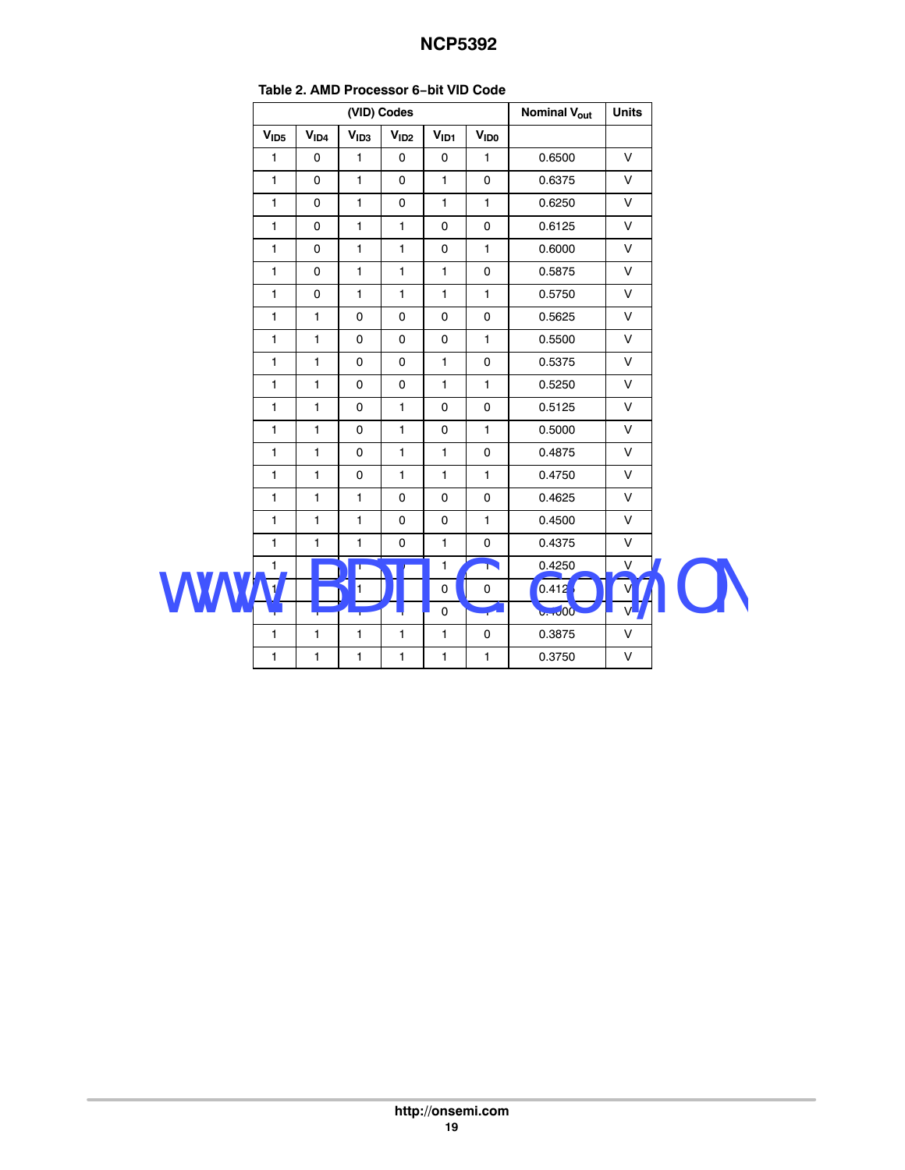|                  |                  |                  |                     | Table 2. AIMD FTUCESSUL U-DIL VID COUP |              |                                |              |  |
|------------------|------------------|------------------|---------------------|----------------------------------------|--------------|--------------------------------|--------------|--|
|                  |                  |                  | (VID) Codes         |                                        |              | <b>Nominal V<sub>out</sub></b> |              |  |
| V <sub>1D5</sub> | V <sub>ID4</sub> | V <sub>1D3</sub> | V <sub>1D2</sub>    | V <sub>ID1</sub>                       | <b>VIDO</b>  |                                |              |  |
| $\mathbf{1}$     | 0                | $\mathbf{1}$     | $\mathbf 0$         | $\mathbf 0$                            | $\mathbf{1}$ | 0.6500                         | $\vee$       |  |
| $\mathbf{1}$     | 0                | $\mathbf{1}$     | 0                   | $\mathbf{1}$                           | 0            | 0.6375                         | V            |  |
| $\mathbf{1}$     | $\mathbf 0$      | $\mathbf{1}$     | $\mathbf 0$         | $\mathbf{1}$                           | $\mathbf{1}$ | 0.6250                         | V            |  |
| $\mathbf{1}$     | 0                | $\mathbf{1}$     | $\mathbf{1}$        | $\mathsf{O}\xspace$                    | $\mathbf 0$  | 0.6125                         | V            |  |
| $\mathbf{1}$     | 0                | $\mathbf{1}$     | $\mathbf{1}$        | 0                                      | $\mathbf{1}$ | 0.6000                         | V            |  |
| $\mathbf{1}$     | $\mathbf 0$      | $\mathbf{1}$     | $\mathbf{1}$        | $\mathbf{1}$                           | 0            | 0.5875                         | $\vee$       |  |
| $\mathbf{1}$     | $\mathbf 0$      | $\mathbf{1}$     | $\mathbf{1}$        | $\mathbf{1}$                           | $\mathbf{1}$ | 0.5750                         | V            |  |
| $\mathbf{1}$     | $\mathbf{1}$     | $\mathsf 0$      | $\mathsf{O}\xspace$ | $\mathsf 0$                            | 0            | 0.5625                         | V            |  |
| $\mathbf{1}$     | $\mathbf{1}$     | $\mathbf 0$      | $\mathsf{o}$        | $\mathsf{O}\xspace$                    | $\mathbf{1}$ | 0.5500                         | V            |  |
| $\mathbf{1}$     | $\mathbf{1}$     | 0                | $\mathbf 0$         | $\mathbf{1}$                           | $\mathbf 0$  | 0.5375                         | V            |  |
| $\mathbf{1}$     | 1                | $\mathbf 0$      | $\mathbf 0$         | $\mathbf{1}$                           | $\mathbf{1}$ | 0.5250                         | V            |  |
| $\mathbf{1}$     | 1                | $\mathbf 0$      | $\mathbf{1}$        | $\mathbf 0$                            | $\mathbf 0$  | 0.5125                         | $\mathsf{V}$ |  |
| $\mathbf{1}$     | $\mathbf{1}$     | $\mathbf 0$      | $\mathbf{1}$        | $\pmb{0}$                              | $\mathbf{1}$ | 0.5000                         | V            |  |
| 1                | $\mathbf{1}$     | 0                | $\mathbf{1}$        | $\mathbf{1}$                           | 0            | 0.4875                         | V            |  |
| 1                | 1                | $\mathbf 0$      | $\mathbf{1}$        | $\mathbf{1}$                           | $\mathbf{1}$ | 0.4750                         | V            |  |
| $\mathbf{1}$     | $\mathbf{1}$     | $\mathbf{1}$     | $\mathbf 0$         | 0                                      | $\mathbf 0$  | 0.4625                         | V            |  |
| $\mathbf{1}$     | $\mathbf{1}$     | $\mathbf{1}$     | $\mathbf 0$         | $\mathbf 0$                            | $\mathbf{1}$ | 0.4500                         | V            |  |
| $\mathbf{1}$     | 1                | $\mathbf{1}$     | $\mathbf 0$         | $\mathbf{1}$                           | $\mathbf 0$  | 0.4375                         | V            |  |
| $\mathbf{1}$     |                  | T                |                     | $\mathbf{1}$                           | Ñ            | 0.4250                         | V            |  |
|                  |                  | ł.               |                     | 0                                      | 0            | 0.412                          |              |  |
|                  |                  |                  |                     | ┻╻                                     | 76           | 6.4000                         |              |  |
| $\mathbf{1}$     | $\mathbf{1}$     | $\mathbf{1}$     | $\mathbf{1}$        | $\mathbf{1}$                           | $\mathbf 0$  | 0.3875                         | $\mathsf{V}$ |  |
| $\mathbf{1}$     | $\mathbf{1}$     | $\mathbf{1}$     | $\mathbf{1}$        | $\mathbf{1}$                           | $\mathbf{1}$ | 0.3750                         | $\mathsf V$  |  |

#### **Table [2](#page-17-0). AMD Processor 6−bit VID Code**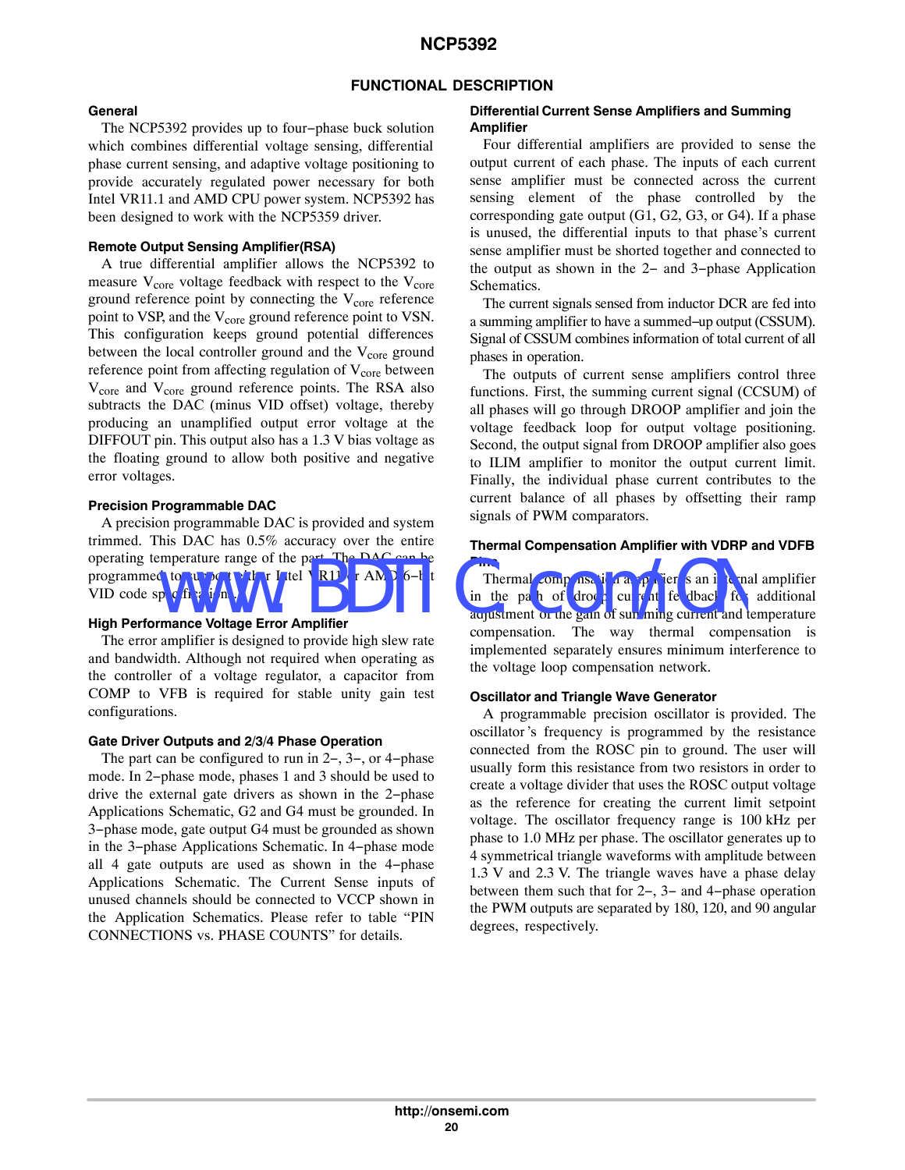#### **FUNCTIONAL DESCRIPTION**

#### **General**

The NCP5392 provides up to four−phase buck solution which combines differential voltage sensing, differential phase current sensing, and adaptive voltage positioning to provide accurately regulated power necessary for both Intel VR11.1 and AMD CPU power system. NCP5392 has been designed to work with the NCP5359 driver.

#### **Remote Output Sensing Amplifier(RSA)**

A true differential amplifier allows the NCP5392 to measure  $V_{\text{core}}$  voltage feedback with respect to the  $V_{\text{core}}$ ground reference point by connecting the  $V_{\text{core}}$  reference point to VSP, and the V<sub>core</sub> ground reference point to VSN. This configuration keeps ground potential differences between the local controller ground and the  $V_{\text{core}}$  ground reference point from affecting regulation of  $V_{\text{core}}$  between V<sub>core</sub> and V<sub>core</sub> ground reference points. The RSA also subtracts the DAC (minus VID offset) voltage, thereby producing an unamplified output error voltage at the DIFFOUT pin. This output also has a 1.3 V bias voltage as the floating ground to allow both positive and negative error voltages.

#### **Precision Programmable DAC**

A precision programmable DAC is provided and system trimmed. This DAC has 0.5% accuracy over the entire operating temperature range of the part. The DAC can be<br>
with compensation approximate for an interest of the part. Thermal compensation approximate for an interest<br>
with Device specification. We have a mail that the part programmed to support either Intel VR1<sup>1</sup> or AMD 6−b t VID code specifications.

#### **High Performance Voltage Error Amplifier**

The error amplifier is designed to provide high slew rate and bandwidth. Although not required when operating as the controller of a voltage regulator, a capacitor from COMP to VFB is required for stable unity gain test configurations.

#### **Gate Driver Outputs and 2/3/4 Phase Operation**

The part can be configured to run in 2−, 3−, or 4−phase mode. In 2−phase mode, phases 1 and 3 should be used to drive the external gate drivers as shown in the 2−phase Applications Schematic, G2 and G4 must be grounded. In 3−phase mode, gate output G4 must be grounded as shown in the 3−phase Applications Schematic. In 4−phase mode all 4 gate outputs are used as shown in the 4−phase Applications Schematic. The Current Sense inputs of unused channels should be connected to VCCP shown in the Application Schematics. Please refer to table "PIN CONNECTIONS vs. PHASE COUNTS" for details.

#### **Differential Current Sense Amplifiers and Summing Amplifier**

Four differential amplifiers are provided to sense the output current of each phase. The inputs of each current sense amplifier must be connected across the current sensing element of the phase controlled by the corresponding gate output (G1, G2, G3, or G4). If a phase is unused, the differential inputs to that phase's current sense amplifier must be shorted together and connected to the output as shown in the 2− and 3−phase Application Schematics.

The current signals sensed from inductor DCR are fed into a summing amplifier to have a summed−up output (CSSUM). Signal of CSSUM combines information of total current of all phases in operation.

The outputs of current sense amplifiers control three functions. First, the summing current signal (CCSUM) of all phases will go through DROOP amplifier and join the voltage feedback loop for output voltage positioning. Second, the output signal from DROOP amplifier also goes to ILIM amplifier to monitor the output current limit. Finally, the individual phase current contributes to the current balance of all phases by offsetting their ramp signals of PWM comparators.

#### **Thermal Compensation Amplifier with VDRP and VDFB Pins**

Thermal compensation amplifier is an internal amplifier in the pa<sup>th</sup> of droop currely feedback for additional adjustment of the gain of summing current and temperature compensation. The way thermal compensation is implemented separately ensures minimum interference to the voltage loop compensation network.

#### **Oscillator and Triangle Wave Generator**

A programmable precision oscillator is provided. The oscillator's frequency is programmed by the resistance connected from the ROSC pin to ground. The user will usually form this resistance from two resistors in order to create a voltage divider that uses the ROSC output voltage as the reference for creating the current limit setpoint voltage. The oscillator frequency range is 100 kHz per phase to 1.0 MHz per phase. The oscillator generates up to 4 symmetrical triangle waveforms with amplitude between 1.3 V and 2.3 V. The triangle waves have a phase delay between them such that for 2−, 3− and 4−phase operation the PWM outputs are separated by 180, 120, and 90 angular degrees, respectively.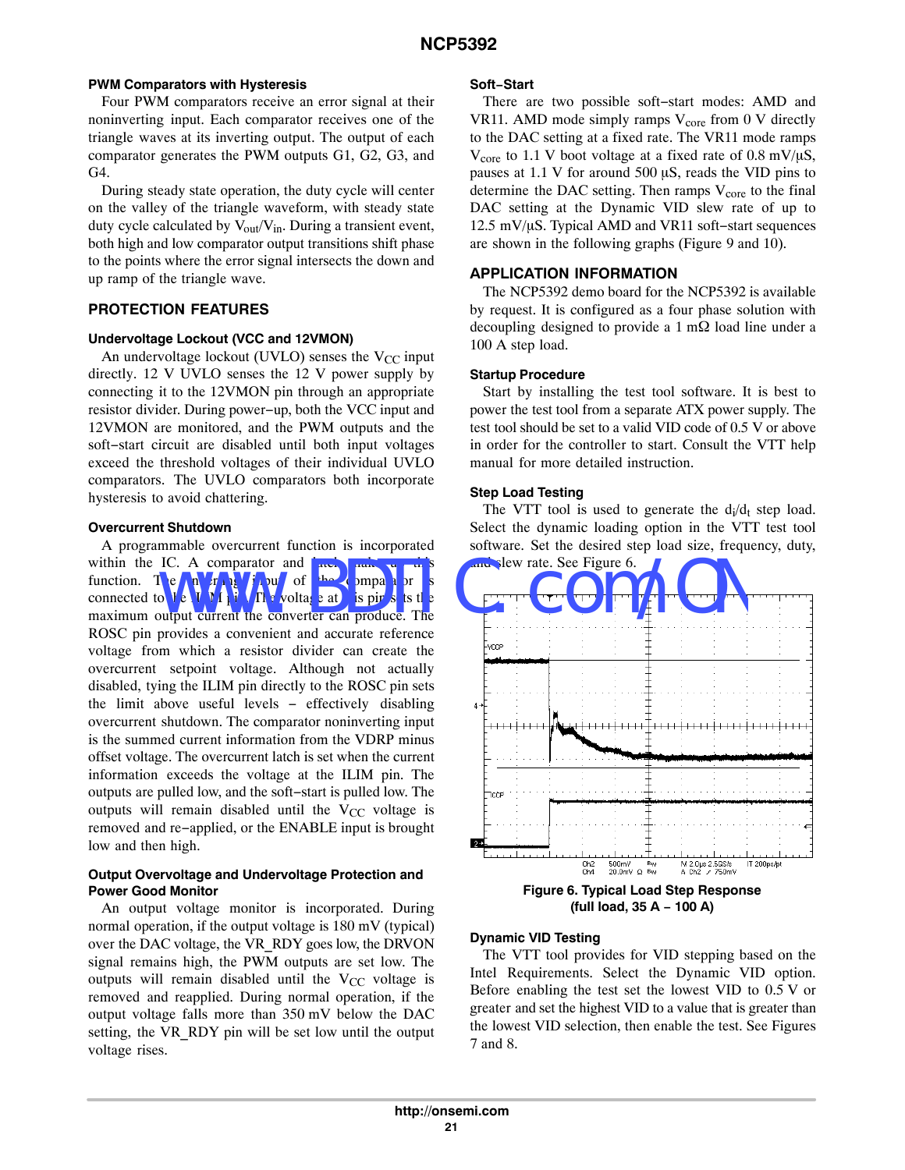#### **PWM Comparators with Hysteresis**

Four PWM comparators receive an error signal at their noninverting input. Each comparator receives one of the triangle waves at its inverting output. The output of each comparator generates the PWM outputs G1, G2, G3, and G4.

During steady state operation, the duty cycle will center on the valley of the triangle waveform, with steady state duty cycle calculated by  $V_{out}/V_{in}$ . During a transient event, both high and low comparator output transitions shift phase to the points where the error signal intersects the down and up ramp of the triangle wave.

### **PROTECTION FEATURES**

#### **Undervoltage Lockout (VCC and 12VMON)**

An undervoltage lockout (UVLO) senses the  $V_{CC}$  input directly. 12 V UVLO senses the 12 V power supply by connecting it to the 12VMON pin through an appropriate resistor divider. During power−up, both the VCC input and 12VMON are monitored, and the PWM outputs and the soft−start circuit are disabled until both input voltages exceed the threshold voltages of their individual UVLO comparators. The UVLO comparators both incorporate hysteresis to avoid chattering.

#### **Overcurrent Shutdown**

A programmable overcurrent function is incorporated within the IC. A comparator and  $\frac{1}{4}$  atch  $\frac{1}{4}$ function. The inverting  $\eta$  in put of the comparator connected to the  $\mathbf{U}$  M is  $\mathbf{V}$ . The voltage at it is pin sets the maximum output current the converter can produce. The ROSC pin provides a convenient and accurate reference voltage from which a resistor divider can create the overcurrent setpoint voltage. Although not actually disabled, tying the ILIM pin directly to the ROSC pin sets the limit above useful levels − effectively disabling overcurrent shutdown. The comparator noninverting input is the summed current information from the VDRP minus offset voltage. The overcurrent latch is set when the current information exceeds the voltage at the ILIM pin. The outputs are pulled low, and the soft−start is pulled low. The outputs will remain disabled until the  $V_{CC}$  voltage is removed and re−applied, or the ENABLE input is brought low and then high. IC. A comparator and rate, and rate of the comparator is the comparator of the comparator is the comparator of the comparator is the converter can produce. The

#### **Output Overvoltage and Undervoltage Protection and Power Good Monitor**

An output voltage monitor is incorporated. During normal operation, if the output voltage is 180 mV (typical) over the DAC voltage, the VR\_RDY goes low, the DRVON signal remains high, the PWM outputs are set low. The outputs will remain disabled until the  $V_{CC}$  voltage is removed and reapplied. During normal operation, if the output voltage falls more than 350 mV below the DAC setting, the VR\_RDY pin will be set low until the output voltage rises.

#### **Soft−Start**

There are two possible soft−start modes: AMD and VR11. AMD mode simply ramps  $V_{core}$  from 0 V directly to the DAC setting at a fixed rate. The VR11 mode ramps  $V_{\text{core}}$  to 1.1 V boot voltage at a fixed rate of 0.8 mV/ $\mu$ S, pauses at 1.1 V for around 500  $\mu$ S, reads the VID pins to determine the DAC setting. Then ramps  $V_{\text{core}}$  to the final DAC setting at the Dynamic VID slew rate of up to 12.5 mV/μS. Typical AMD and VR11 soft–start sequences are shown in the following graphs (Figure [9](#page-21-0) and [10\)](#page-21-0).

#### **APPLICATION INFORMATION**

The NCP5392 demo board for the NCP5392 is available by request. It is configured as a four phase solution with decoupling designed to provide a 1 m $\Omega$  load line under a 100 A step load.

#### **Startup Procedure**

Start by installing the test tool software. It is best to power the test tool from a separate ATX power supply. The test tool should be set to a valid VID code of 0.5 V or above in order for the controller to start. Consult the VTT help manual for more detailed instruction.

#### **Step Load Testing**

The VTT tool is used to generate the  $d_i/d_f$  step load. Select the dynamic loading option in the VTT test tool software. Set the desired step load size, frequency, duty, and slew rate. See Figure 6.



**Figure 6. Typical Load Step Response (full load, 35 A − 100 A)**

#### **Dynamic VID Testing**

The VTT tool provides for VID stepping based on the Intel Requirements. Select the Dynamic VID option. Before enabling the test set the lowest VID to 0.5 V or greater and set the highest VID to a value that is greater than the lowest VID selection, then enable the test. See Figures [7](#page-21-0) and [8](#page-21-0).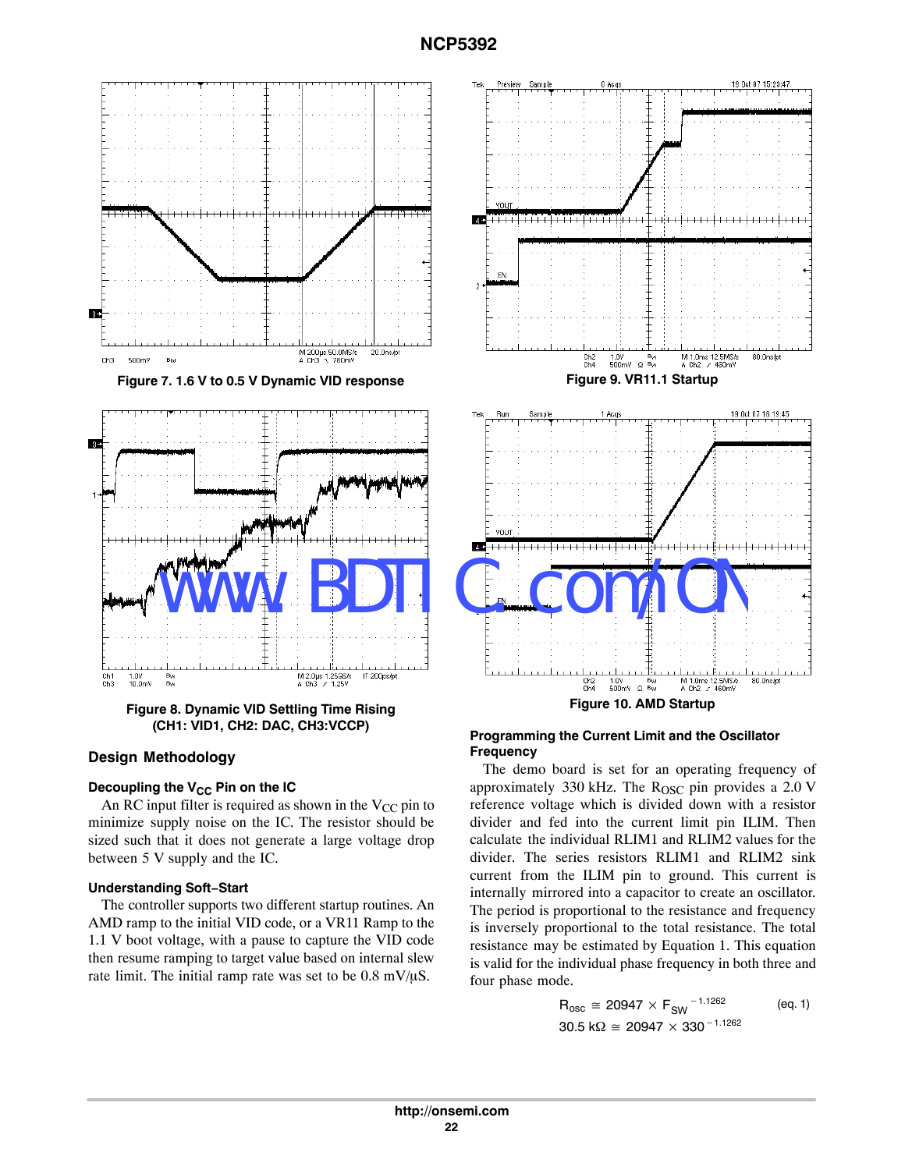<span id="page-21-0"></span>

**Figure 8. Dynamic VID Settling Time Rising (CH1: VID1, CH2: DAC, CH3:VCCP)**

#### **Design Methodology**

#### **Decoupling the V<sub>CC</sub> Pin on the IC**

An RC input filter is required as shown in the  $V_{CC}$  pin to minimize supply noise on the IC. The resistor should be sized such that it does not generate a large voltage drop between 5 V supply and the IC.

#### **Understanding Soft−Start**

The controller supports two different startup routines. An AMD ramp to the initial VID code, or a VR11 Ramp to the 1.1 V boot voltage, with a pause to capture the VID code then resume ramping to target value based on internal slew rate limit. The initial ramp rate was set to be  $0.8 \text{ mV}/\mu\text{S}$ .



#### **Programming the Current Limit and the Oscillator Frequency**

The demo board is set for an operating frequency of approximately 330 kHz. The  $R<sub>OSC</sub>$  pin provides a 2.0 V reference voltage which is divided down with a resistor divider and fed into the current limit pin ILIM. Then calculate the individual RLIM1 and RLIM2 values for the divider. The series resistors RLIM1 and RLIM2 sink current from the ILIM pin to ground. This current is internally mirrored into a capacitor to create an oscillator. The period is proportional to the resistance and frequency is inversely proportional to the total resistance. The total resistance may be estimated by Equation 1. This equation is valid for the individual phase frequency in both three and four phase mode.

$$
R_{\text{osc}} \cong 20947 \times F_{\text{SW}}^{-1.1262} \quad \text{(eq. 1)}
$$
  
30.5 kΩ  $\cong$  20947 × 330<sup>-1.1262</sup>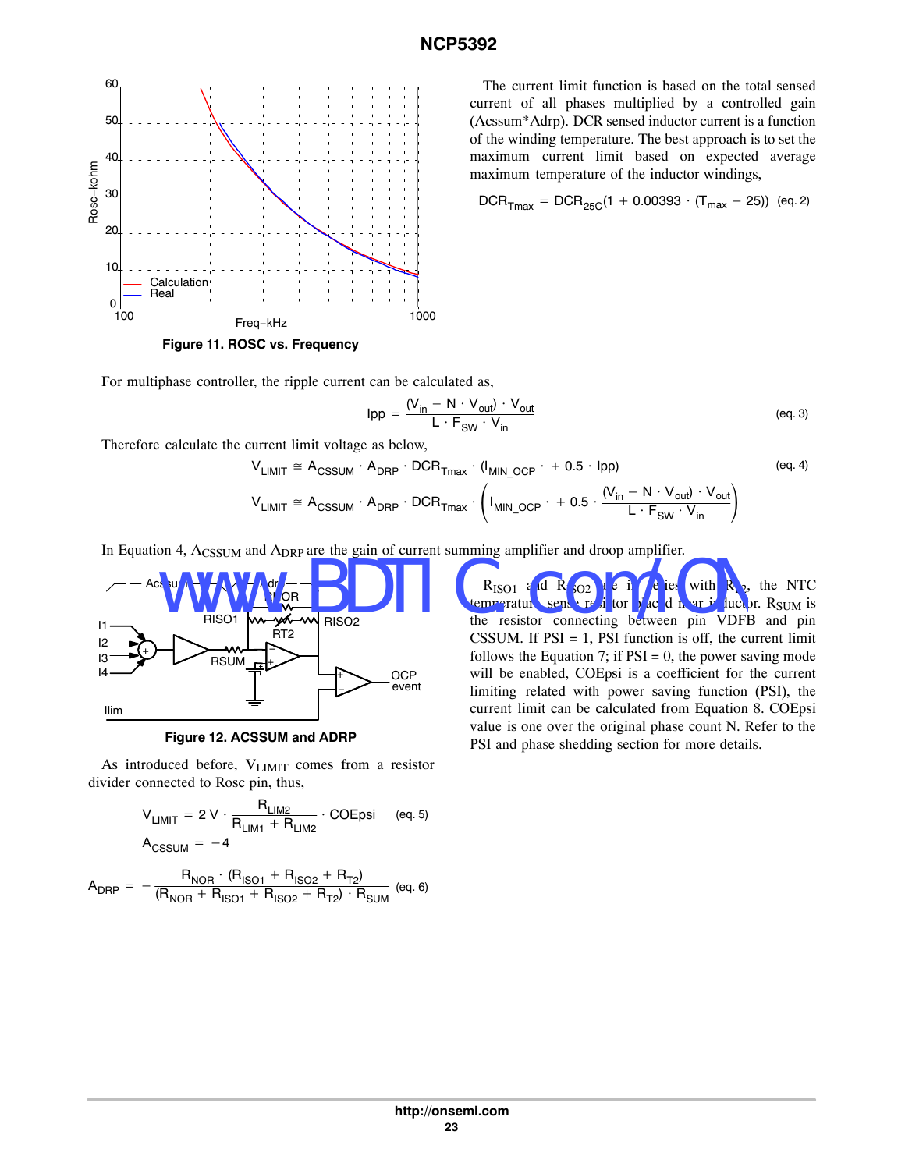

**Figure 11. ROSC vs. Frequency**

For multiphase controller, the ripple current can be calculated as,

$$
Ipp = \frac{(V_{in} - N \cdot V_{out}) \cdot V_{out}}{L \cdot F_{SW} \cdot V_{in}}
$$
 (eq.3)

Therefore calculate the current limit voltage as below,

$$
V_{LIMIT} \cong A_{CSSUM} \cdot A_{DRP} \cdot DCR_{Tmax} \cdot (I_{MIN\_OCP} \cdot + 0.5 \cdot lpp)
$$
 (eq. 4)  

$$
V_{LIMIT} \cong A_{CSSUM} \cdot A_{DRP} \cdot DCR_{Tmax} \cdot (I_{MIN\_OCP} \cdot + 0.5 \cdot \frac{(V_{in} - N \cdot V_{out}) \cdot V_{out}}{L \cdot F_{SW} \cdot V_{in}})
$$





As introduced before, V<sub>LIMIT</sub> comes from a resistor divider connected to Rosc pin, thus,

$$
V_{LIMIT} = 2 V \cdot \frac{R_{LIM2}}{R_{LIM1} + R_{LIM2}} \cdot COEpsi \quad (eq. 5)
$$
  

$$
A_{CSSUM} = -4
$$

$$
A_{DRP} = -\frac{R_{NOR} \cdot (R_{ISO1} + R_{ISO2} + R_{T2})}{(R_{NOR} + R_{ISO1} + R_{ISO2} + R_{T2}) \cdot R_{SUM}} \text{ (eq. 6)}
$$

The current limit function is based on the total sensed current of all phases multiplied by a controlled gain (Acssum\*Adrp). DCR sensed inductor current is a function of the winding temperature. The best approach is to set the maximum current limit based on expected average maximum temperature of the inductor windings,

$$
DCR_{Tmax} = DCR_{25C}(1 + 0.00393 \cdot (T_{max} - 25))
$$
 (eq. 2)

 $R_{\text{ISO1}}$  and  $R_{\text{IO2}}$  are in series with  $R_{\text{I2}}$ , the NTC temperature sense resistor placed near inductor. R<sub>SUM</sub> is the resistor connecting between pin VDFB and pin CSSUM. If  $PSI = 1$ ,  $PSI$  function is off, the current limit follows the Equation [7;](#page-23-0) if  $PSI = 0$ , the power saving mode will be enabled, COEpsi is a coefficient for the current limiting related with power saving function (PSI), the current limit can be calculated from Equation [8.](#page-23-0) COEpsi value is one over the original phase count N. Refer to the PSI and phase shedding section for more details.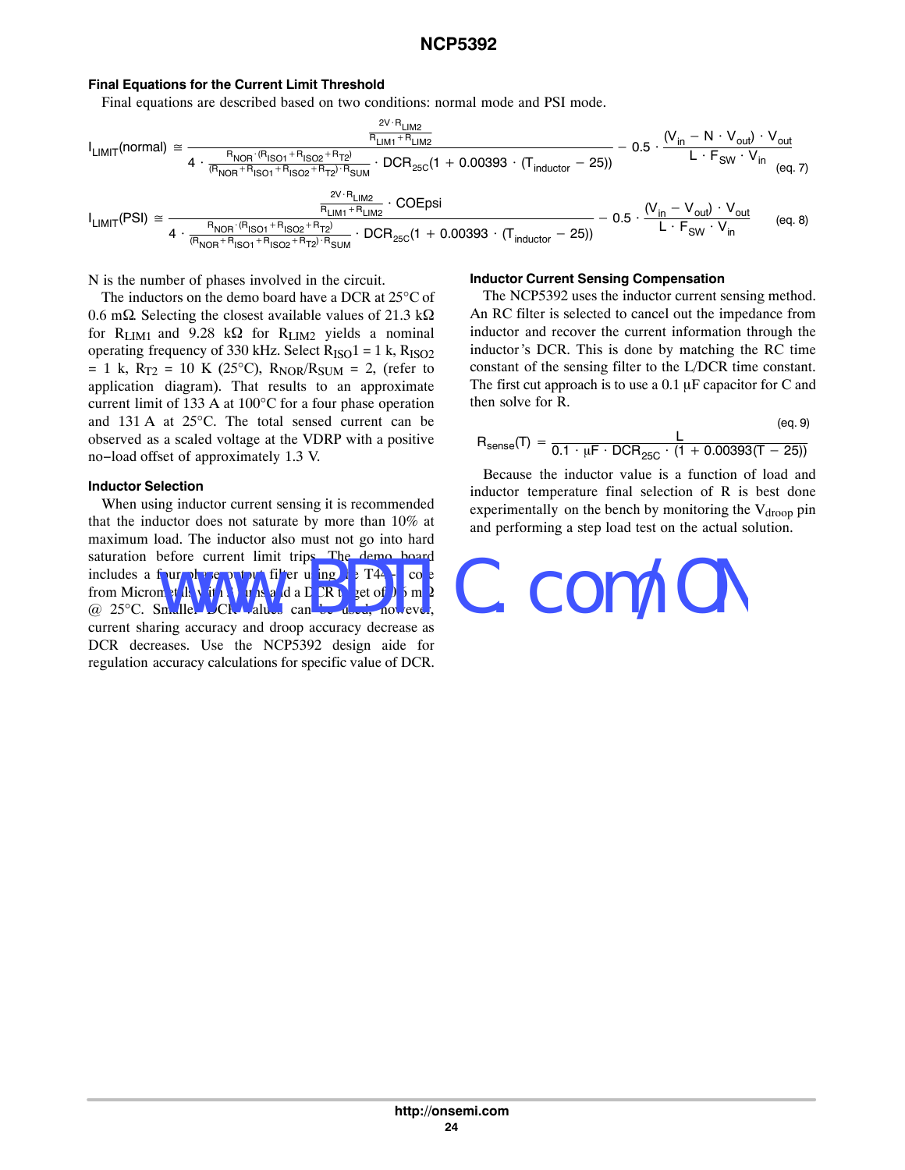#### <span id="page-23-0"></span>**Final Equations for the Current Limit Threshold**

Final equations are described based on two conditions: normal mode and PSI mode.

 $2V \cdot D$ 

$$
I_{LIMIT}(normal) \cong \frac{\frac{2^{V \cdot H_{LIM2}}}{R_{LIM1} + R_{LIM2}}}{4 \cdot \frac{R_{NOR} \cdot (R_{ISO1} + R_{ISO2} + R_{T2})}{(R_{NOR} + R_{ISO1} + R_{ISO2} + R_{T2}) \cdot R_{SUM}}} - DCR_{25C}(1 + 0.00393 \cdot (T_{inductor} - 25))} - 0.5 \cdot \frac{(V_{in} - N \cdot V_{out}) \cdot V_{out}}{L \cdot F_{SW} \cdot V_{in}} \cdot \frac{2^{V \cdot R_{LIM2}}}{(eq. 7)} \cdot \frac{2^{V \cdot R_{LIM2}}}{R_{LIM1} + R_{LIM2}} \cdot \frac{1}{1 + 0.00393 \cdot (T_{inductor} - 25))} - 0.5 \cdot \frac{(V_{in} - V_{out}) \cdot V_{out}}{L \cdot F_{SW} \cdot V_{in}} \cdot \frac{(eq. 8)}{(eq. 8)}
$$

N is the number of phases involved in the circuit.

The inductors on the demo board have a DCR at 25°C of 0.6 m $\Omega$ . Selecting the closest available values of 21.3 k $\Omega$ for R<sub>LIM1</sub> and 9.28 k $\Omega$  for R<sub>LIM2</sub> yields a nominal operating frequency of 330 kHz. Select  $R_{ISO}1 = 1$  k,  $R_{ISO2}$  $= 1$  k, R<sub>T2</sub> = 10 K (25<sup>o</sup>C), R<sub>NOR</sub>/R<sub>SUM</sub> = 2, (refer to application diagram). That results to an approximate current limit of 133 A at 100°C for a four phase operation and 131 A at 25°C. The total sensed current can be observed as a scaled voltage at the VDRP with a positive no−load offset of approximately 1.3 V.

#### **Inductor Selection**

When using inductor current sensing it is recommended that the inductor does not saturate by more than 10% at maximum load. The inductor also must not go into hard saturation before current limit trips. The demo board includes a four phase output filter using  $\mathbf{h}$  a T4 $-\mathbf{g}$  core from Micrometals with 3 urns and a DCR to get of 0.5 m.  $@ 25^{\circ}C.$  Smaller DCN Values can be current sharing accuracy and droop accuracy decrease as DCR decreases. Use the NCP5392 design aide for regulation accuracy calculations for specific value of DCR.

#### **Inductor Current Sensing Compensation**

The NCP5392 uses the inductor current sensing method. An RC filter is selected to cancel out the impedance from inductor and recover the current information through the inductor's DCR. This is done by matching the RC time constant of the sensing filter to the L/DCR time constant. The first cut approach is to use a  $0.1 \mu$ F capacitor for C and then solve for R.

$$
R_{sense}(T) \, = \, \frac{L}{0.1 \, \cdot \, \mu F \, \cdot \, DCR_{25C} \, \cdot \, (1 \, + \, 0.00393(T \, - \, 25))} \qquad \qquad \, \text{(eq. 9)}
$$

Because the inductor value is a function of load and inductor temperature final selection of R is best done experimentally on the bench by monitoring the  $V_{drop}$  pin and performing a step load test on the actual solution.

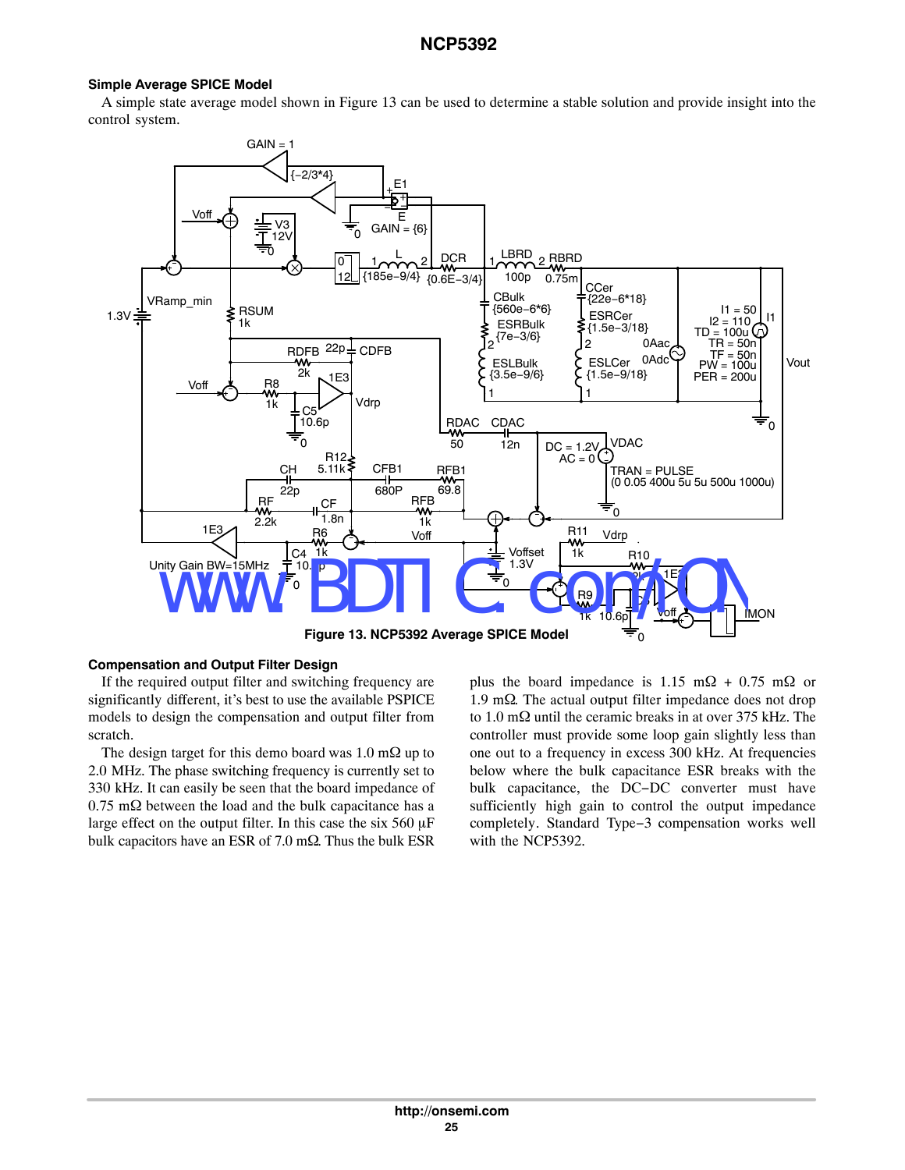#### **Simple Average SPICE Model**

A simple state average model shown in Figure 13 can be used to determine a stable solution and provide insight into the control system.



#### **Compensation and Output Filter Design**

If the required output filter and switching frequency are significantly different, it's best to use the available PSPICE models to design the compensation and output filter from scratch.

The design target for this demo board was 1.0 m $\Omega$  up to 2.0 MHz. The phase switching frequency is currently set to 330 kHz. It can easily be seen that the board impedance of  $0.75 \text{ m}\Omega$  between the load and the bulk capacitance has a large effect on the output filter. In this case the six  $560 \mu F$ bulk capacitors have an ESR of 7.0 m $\Omega$ . Thus the bulk ESR

plus the board impedance is 1.15 m $\Omega$  + 0.75 m $\Omega$  or 1.9 m $\Omega$ . The actual output filter impedance does not drop to 1.0 m $\Omega$  until the ceramic breaks in at over 375 kHz. The controller must provide some loop gain slightly less than one out to a frequency in excess 300 kHz. At frequencies below where the bulk capacitance ESR breaks with the bulk capacitance, the DC−DC converter must have sufficiently high gain to control the output impedance completely. Standard Type−3 compensation works well with the NCP5392.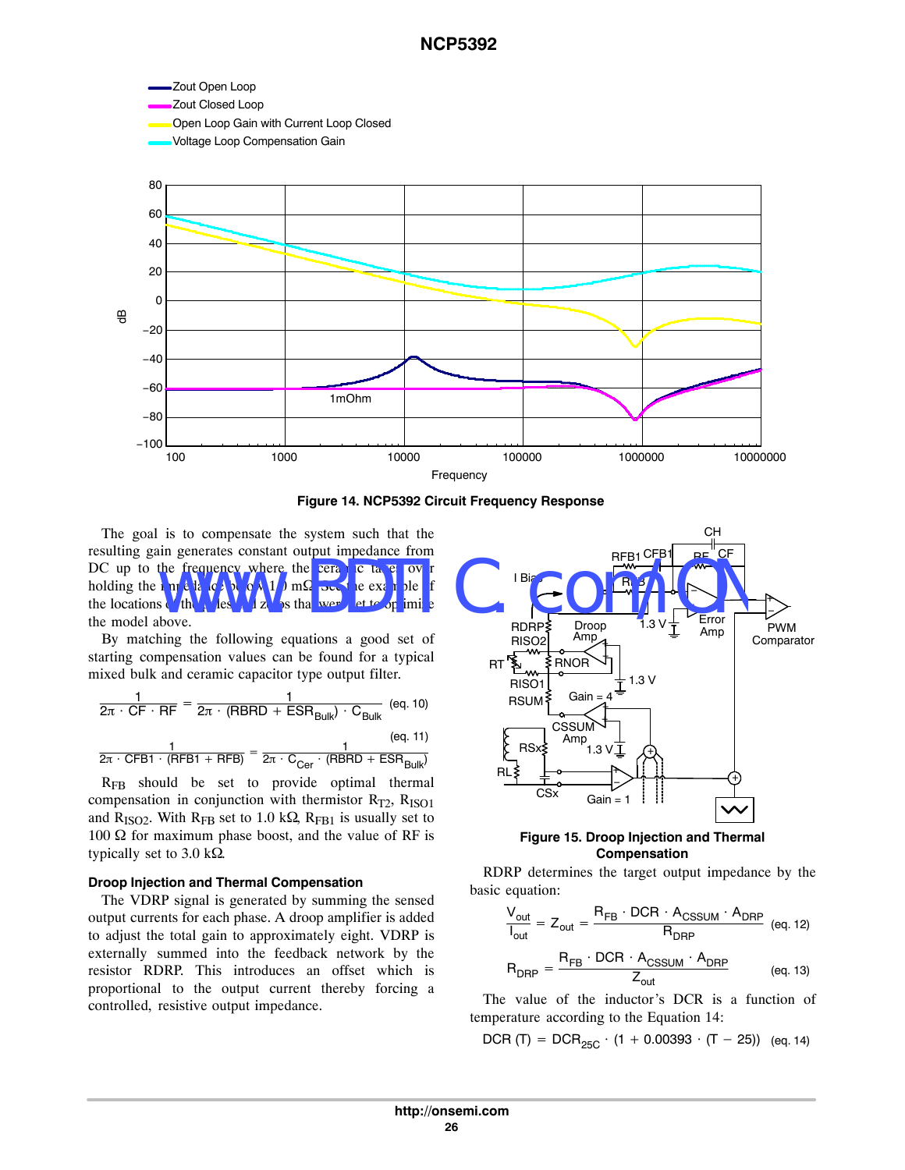



The goal is to compensate the system such that the resulting gain generates constant output impedance from DC up to the frequency where the ceramic takes over holding the  $\ln np_1 \ln \left( \frac{C_2}{N_1} \ln \left( \frac{C_3}{N_1} \right) \right)$  m $\Omega$  See the example the locations of the poles and zeros that were set to optimize the model above. in generates constant output impedance from<br>the frequency where the cerar is takes own<br>s of the play of the set of the cerar of the cerar of the cerar of the cerar of the cerar of the cerar of the<br>s of the play of the cera

By matching the following equations a good set of starting compensation values can be found for a typical mixed bulk and ceramic capacitor type output filter.

$$
\frac{1}{2\pi \cdot CF \cdot RF} = \frac{1}{2\pi \cdot (RBRD + ESR_{Bulk}) \cdot C_{Bulk}} \quad (eq. 10)
$$
\n
$$
\frac{1}{2\pi \cdot CFB1 \cdot (RFB1 + RFB)} = \frac{1}{2\pi \cdot C_{Cer} \cdot (RBRD + ESR_{Bulk})}
$$

RFB should be set to provide optimal thermal compensation in conjunction with thermistor  $R_{T2}$ ,  $R_{ISO1}$ and R<sub>ISO2</sub>. With R<sub>FB</sub> set to 1.0 k $\Omega$ , R<sub>FB1</sub> is usually set to 100  $\Omega$  for maximum phase boost, and the value of RF is typically set to 3.0 k $\Omega$ .

#### **Droop Injection and Thermal Compensation**

The VDRP signal is generated by summing the sensed output currents for each phase. A droop amplifier is added to adjust the total gain to approximately eight. VDRP is externally summed into the feedback network by the resistor RDRP. This introduces an offset which is proportional to the output current thereby forcing a controlled, resistive output impedance.



#### **Figure 15. Droop Injection and Thermal Compensation**

RDRP determines the target output impedance by the basic equation:

$$
\frac{V_{out}}{I_{out}} = Z_{out} = \frac{R_{FB} \cdot DCR \cdot A_{CSSUM} \cdot A_{DRP}}{R_{DRP}} \text{ (eq. 12)}
$$

$$
R_{DRP} = \frac{R_{FB} \cdot DCR \cdot A_{CSSUM} \cdot A_{DRP}}{Z_{out}} \text{ (eq. 13)}
$$

The value of the inductor's DCR is a function of temperature according to the Equation 14:

DCR (T) =  $DCR_{25C} \cdot (1 + 0.00393 \cdot (T - 25))$  (eq. 14)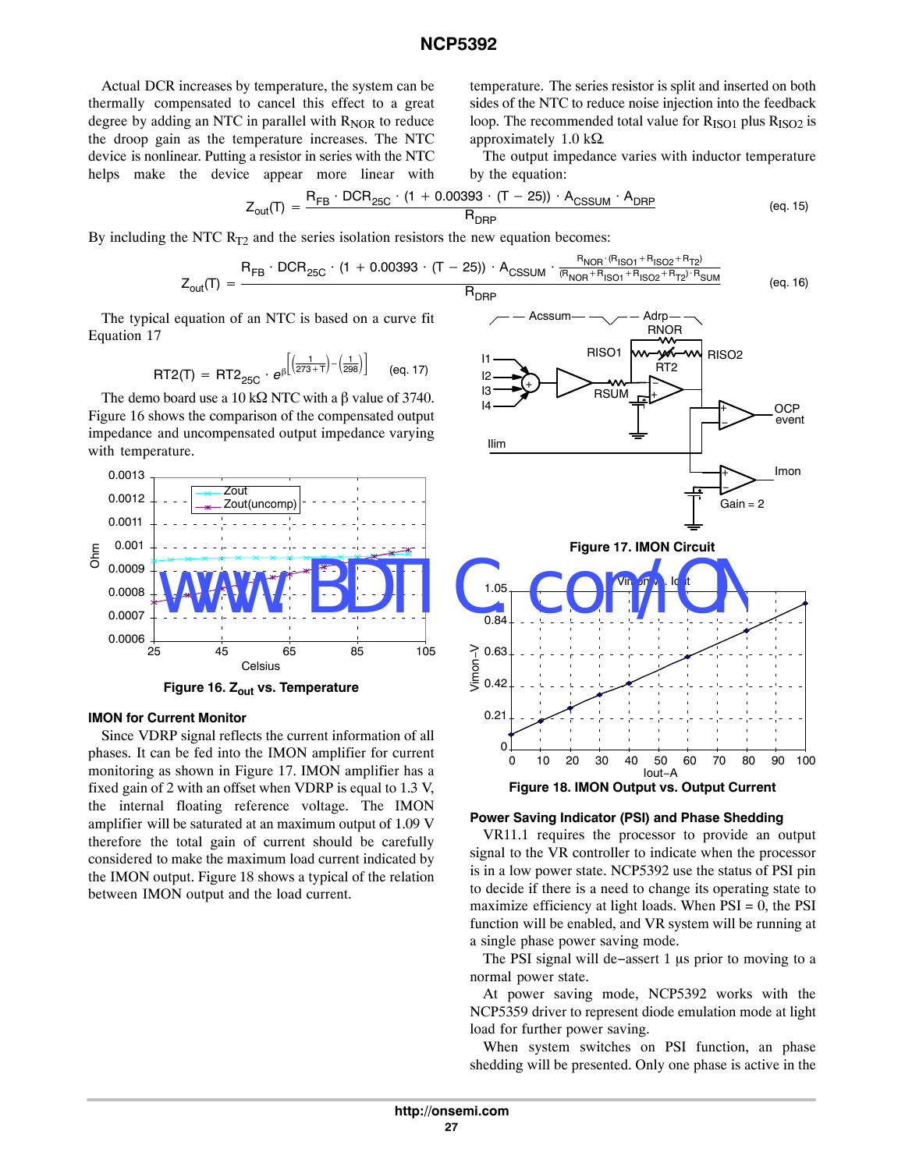Actual DCR increases by temperature, the system can be thermally compensated to cancel this effect to a great degree by adding an NTC in parallel with  $R<sub>NOR</sub>$  to reduce the droop gain as the temperature increases. The NTC device is nonlinear. Putting a resistor in series with the NTC helps make the device appear more linear with temperature. The series resistor is split and inserted on both sides of the NTC to reduce noise injection into the feedback loop. The recommended total value for  $R_{ISO1}$  plus  $R_{ISO2}$  is approximately 1.0  $k\Omega$ .

The output impedance varies with inductor temperature by the equation:

$$
Z_{\text{out}}(T) = \frac{R_{FB} \cdot DCR_{25C} \cdot (1 + 0.00393 \cdot (T - 25)) \cdot A_{\text{CSSUM}} \cdot A_{\text{DRP}}}{R_{\text{DRP}}}
$$
(eq. 15)

By including the NTC  $R_{T2}$  and the series isolation resistors the new equation becomes:

$$
Z_{out}(T) = \frac{R_{FB} \cdot DCR_{25C} \cdot (1 + 0.00393 \cdot (T - 25)) \cdot A_{CSSUM} \cdot \frac{R_{NOR} \cdot (R_{ISO1} + R_{ISO2} + R_{T2})}{(R_{NOR} + R_{ISO1} + R_{ISO2} + R_{T2}) \cdot R_{SUM}}}{R_{NPR}} \tag{eq.16}
$$

The typical equation of an NTC is based on a curve fit Equation 17

$$
RT2(T) = RT2_{25C} \cdot e^{\beta \left[ \left( \frac{1}{273+T} \right) - \left( \frac{1}{298} \right) \right]}
$$
 (eq. 17)

The demo board use a 10 k $\Omega$  NTC with a  $\beta$  value of 3740. Figure 16 shows the comparison of the compensated output impedance and uncompensated output impedance varying with temperature.



**Figure 16. Zout vs. Temperature**

#### **IMON for Current Monitor**

Since VDRP signal reflects the current information of all phases. It can be fed into the IMON amplifier for current monitoring as shown in Figure 17. IMON amplifier has a fixed gain of 2 with an offset when VDRP is equal to 1.3 V, the internal floating reference voltage. The IMON amplifier will be saturated at an maximum output of 1.09 V therefore the total gain of current should be carefully considered to make the maximum load current indicated by the IMON output. Figure 18 shows a typical of the relation between IMON output and the load current.



#### **Power Saving Indicator (PSI) and Phase Shedding**

VR11.1 requires the processor to provide an output signal to the VR controller to indicate when the processor is in a low power state. NCP5392 use the status of PSI pin to decide if there is a need to change its operating state to maximize efficiency at light loads. When  $PSI = 0$ , the  $PSI$ function will be enabled, and VR system will be running at a single phase power saving mode.

The PSI signal will de−assert 1  $\mu$ s prior to moving to a normal power state.

At power saving mode, NCP5392 works with the NCP5359 driver to represent diode emulation mode at light load for further power saving.

When system switches on PSI function, an phase shedding will be presented. Only one phase is active in the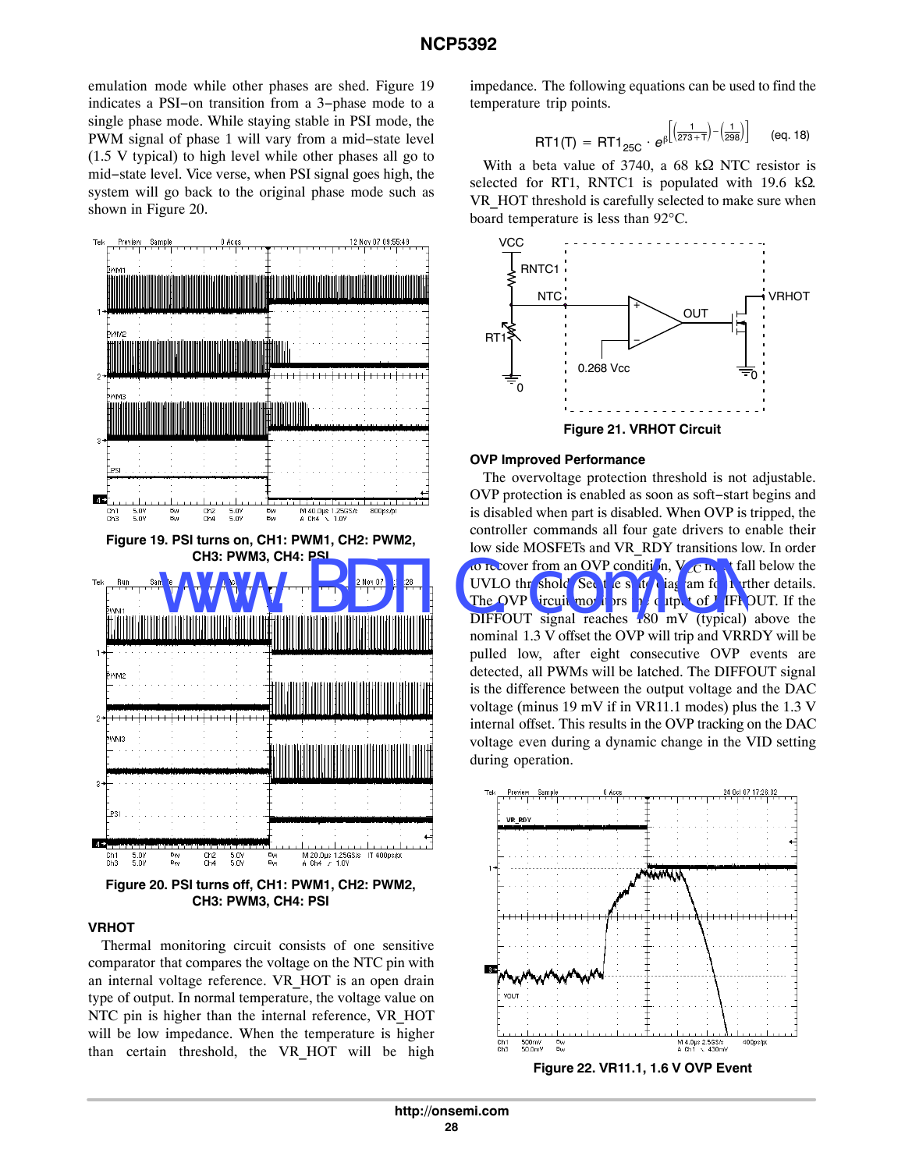emulation mode while other phases are shed. Figure 19 indicates a PSI−on transition from a 3−phase mode to a single phase mode. While staying stable in PSI mode, the PWM signal of phase 1 will vary from a mid−state level (1.5 V typical) to high level while other phases all go to mid−state level. Vice verse, when PSI signal goes high, the system will go back to the original phase mode such as shown in Figure 20.



#### **VRHOT**

Thermal monitoring circuit consists of one sensitive comparator that compares the voltage on the NTC pin with an internal voltage reference. VR\_HOT is an open drain type of output. In normal temperature, the voltage value on NTC pin is higher than the internal reference, VR\_HOT will be low impedance. When the temperature is higher than certain threshold, the VR\_HOT will be high

impedance. The following equations can be used to find the temperature trip points.

$$
RT1(T) = RT1_{25C} \cdot e^{\beta \left[ \left( \frac{1}{273+T} \right) - \left( \frac{1}{298} \right) \right]}
$$
 (eq. 18)

With a beta value of 3740, a 68 k $\Omega$  NTC resistor is selected for RT1, RNTC1 is populated with 19.6 k $\Omega$ . VR\_HOT threshold is carefully selected to make sure when board temperature is less than 92°C.



**Figure 21. VRHOT Circuit**

#### **OVP Improved Performance**

The overvoltage protection threshold is not adjustable. OVP protection is enabled as soon as soft−start begins and is disabled when part is disabled. When OVP is tripped, the controller commands all four gate drivers to enable their low side MOSFETs and VR\_RDY transitions low. In order to **R** cover from an OVP condition,  $V_{CC}$  m, t fall below the UVLO thr shold See the state diagram for further details. The OVP circuit monitors he utput of DIFFOUT. If the  $\overline{DIFFOUT}$  signal reaches  $\overline{180}$  mV (typical) above the nominal 1.3 V offset the OVP will trip and VRRDY will be pulled low, after eight consecutive OVP events are detected, all PWMs will be latched. The DIFFOUT signal is the difference between the output voltage and the DAC voltage (minus 19 mV if in VR11.1 modes) plus the 1.3 V internal offset. This results in the OVP tracking on the DAC voltage even during a dynamic change in the VID setting during operation.

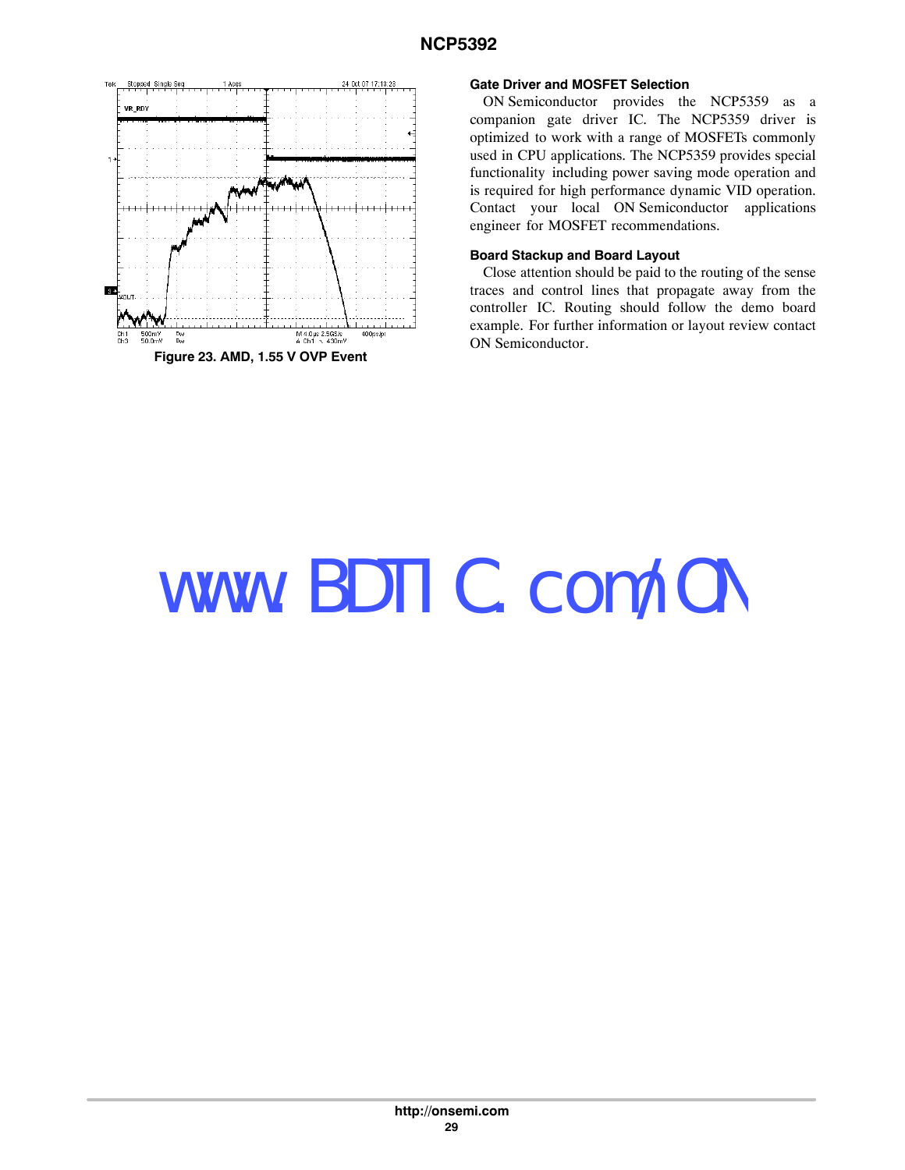

#### **Gate Driver and MOSFET Selection**

ON Semiconductor provides the NCP5359 as a companion gate driver IC. The NCP5359 driver is optimized to work with a range of MOSFETs commonly used in CPU applications. The NCP5359 provides special functionality including power saving mode operation and is required for high performance dynamic VID operation. Contact your local ON Semiconductor applications engineer for MOSFET recommendations.

#### **Board Stackup and Board Layout**

Close attention should be paid to the routing of the sense traces and control lines that propagate away from the controller IC. Routing should follow the demo board example. For further information or layout review contact ON Semiconductor.

# www.BDTIC.com/ON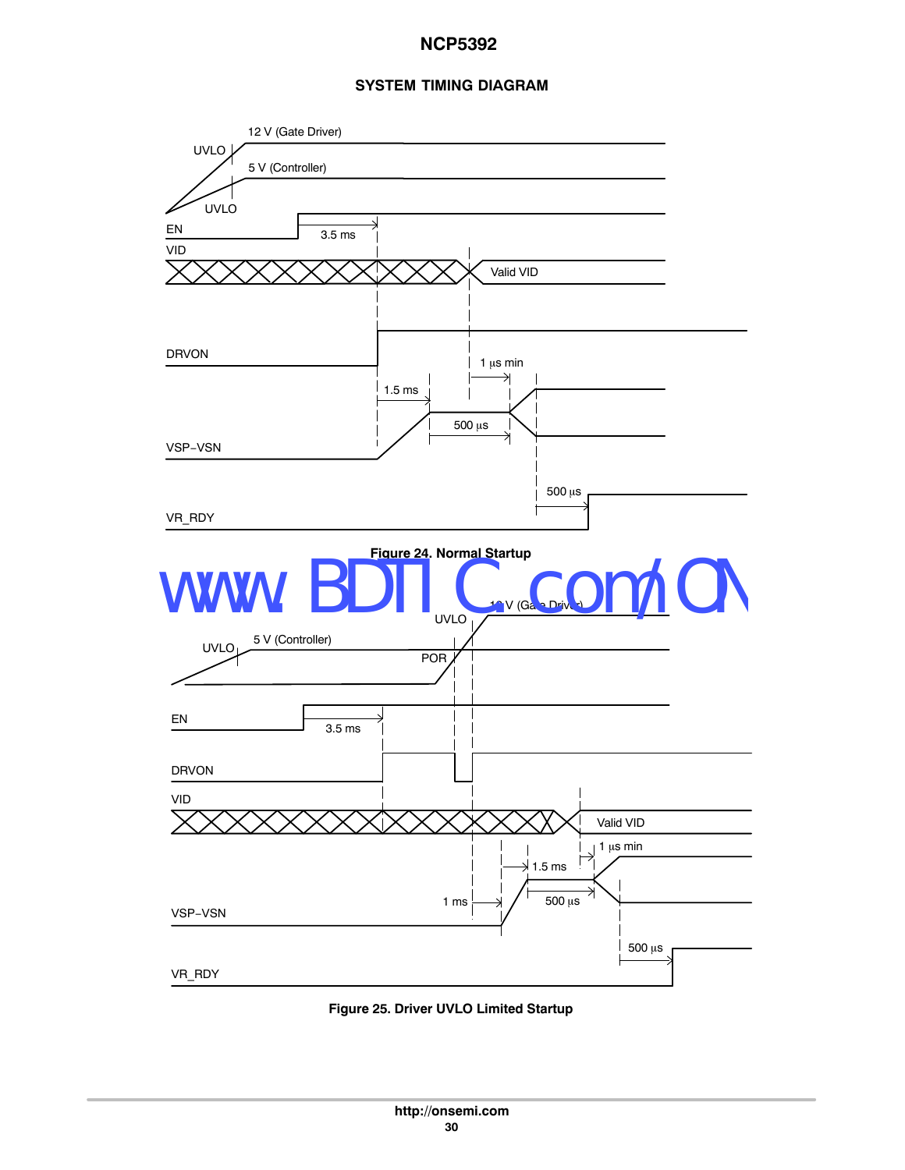## **SYSTEM TIMING DIAGRAM**



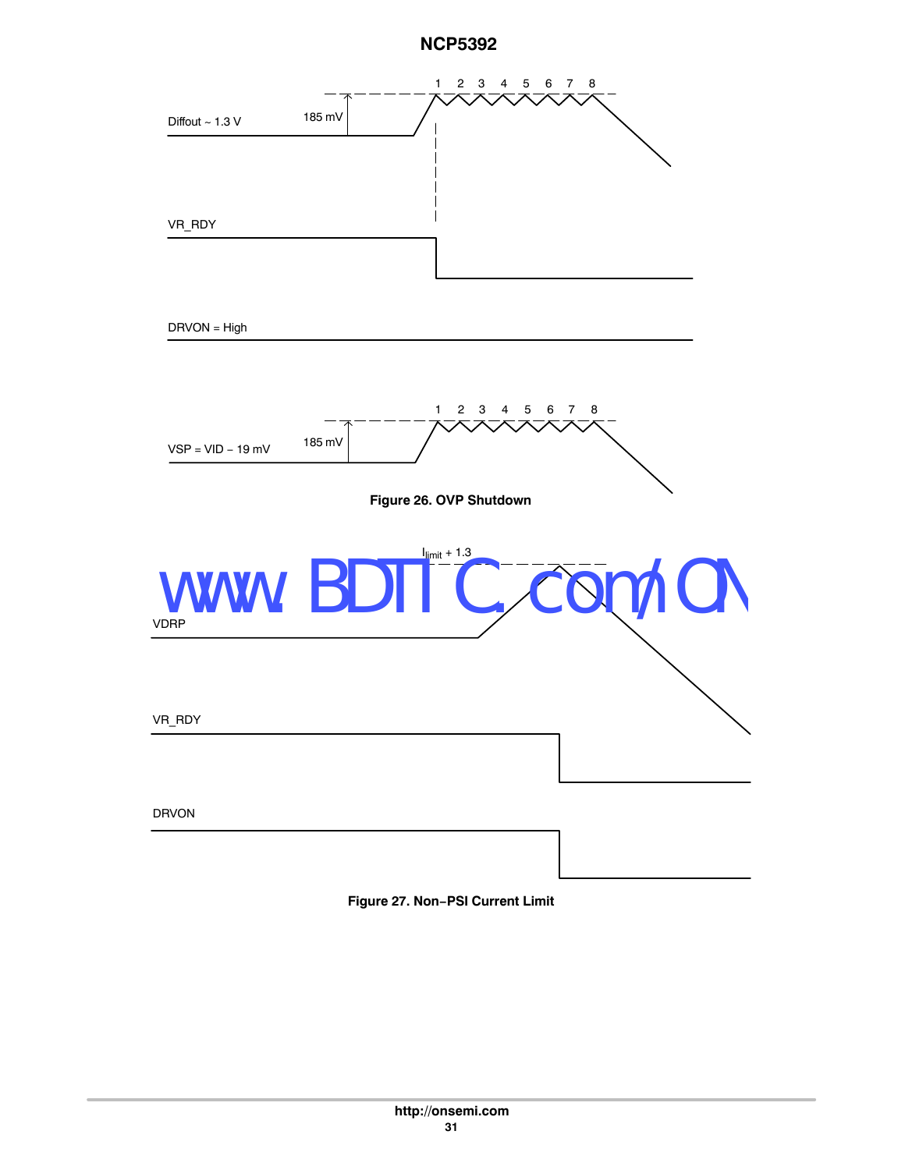